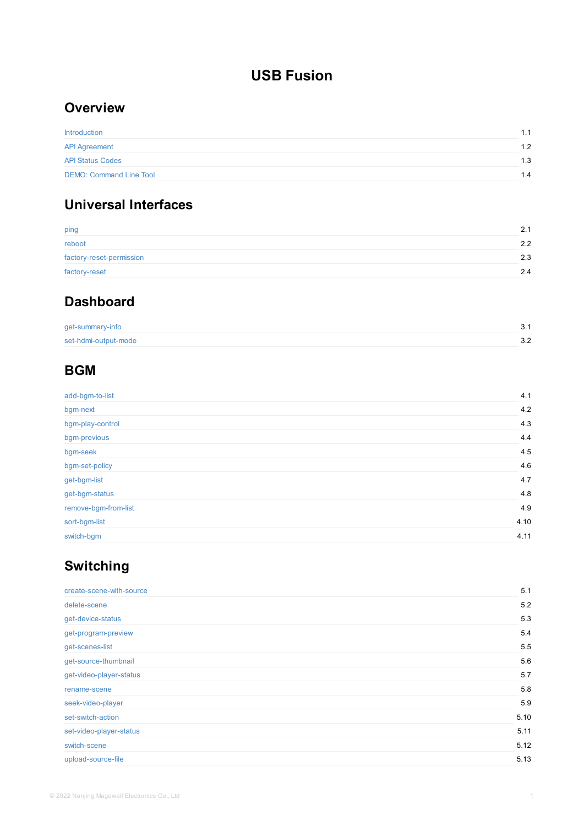# **Dashboard**

get-summary-info

set-hdmi-output-mode

# **BGM**

| add-bgm-to-list      |  |
|----------------------|--|
| bgm-next             |  |
| bgm-play-control     |  |
| bgm-previous         |  |
| bgm-seek             |  |
| bgm-set-policy       |  |
| get-bgm-list         |  |
| get-bgm-status       |  |
| remove-bgm-from-list |  |
| sort-bgm-list        |  |
| switch-bgm           |  |

# **Switching**

| create-scene-with-source |  |
|--------------------------|--|
| delete-scene             |  |
| get-device-status        |  |
| get-program-preview      |  |
| get-scenes-list          |  |
| get-source-thumbnail     |  |
| get-video-player-status  |  |
| rename-scene             |  |
| seek-video-player        |  |
| set-switch-action        |  |
| set-video-player-status  |  |
| switch-scene             |  |
| upload-source-file       |  |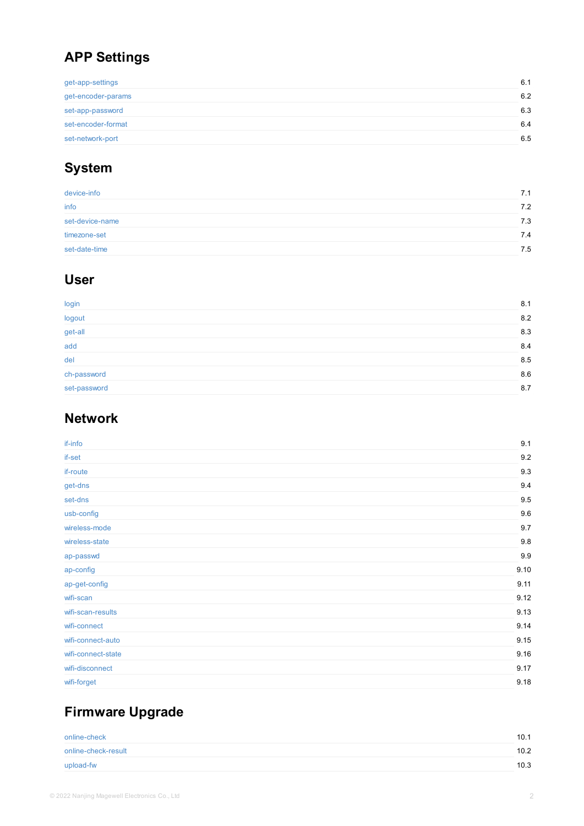### **User**

| login        |  |
|--------------|--|
| logout       |  |
| get-all      |  |
| add          |  |
| del          |  |
| ch-password  |  |
| set-password |  |
|              |  |

# **[Network](#page-57-0)**

| if-info            |
|--------------------|
| if-set             |
| if-route           |
| get-dns            |
| set-dns            |
| usb-config         |
| wireless-mode      |
| wireless-state     |
| ap-passwd          |
| ap-config          |
| ap-get-config      |
| wifi-scan          |
| wifi-scan-results  |
| wifi-connect       |
| wifi-connect-auto  |
| wifi-connect-state |
| wifi-disconnect    |
| wifi-forget        |

# **[Firm](#page-70-0)ware Upgrade**

| online-check        |  |  |
|---------------------|--|--|
| online-check-result |  |  |
| upload-fw           |  |  |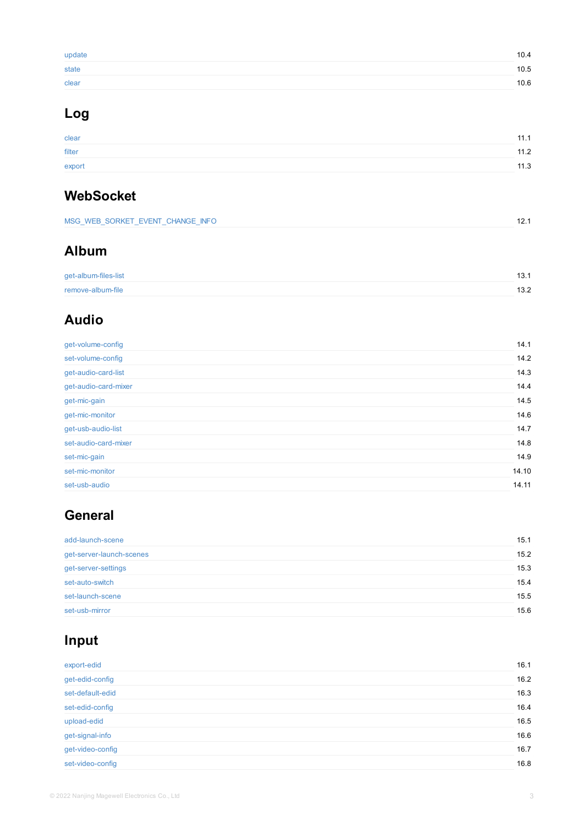| got-aibun-mos-nat |  |
|-------------------|--|
| remove-album-file |  |

# **Audio**

| get-volume-config    |  |
|----------------------|--|
| set-volume-config    |  |
| get-audio-card-list  |  |
| get-audio-card-mixer |  |
| get-mic-gain         |  |
| get-mic-monitor      |  |
| get-usb-audio-list   |  |
| set-audio-card-mixer |  |
| set-mic-gain         |  |
| set-mic-monitor      |  |
| set-usb-audio        |  |

# **General**

| add-launch-scene         |  |
|--------------------------|--|
| get-server-launch-scenes |  |
| get-server-settings      |  |
| set-auto-switch          |  |
| set-launch-scene         |  |
| set-usb-mirror           |  |

# **[Input](#page-108-0)**

| export-edid      |  |  |  |
|------------------|--|--|--|
| get-edid-config  |  |  |  |
| set-default-edid |  |  |  |
| set-edid-config  |  |  |  |
| upload-edid      |  |  |  |
| get-signal-info  |  |  |  |
| get-video-config |  |  |  |
| set-video-config |  |  |  |
|                  |  |  |  |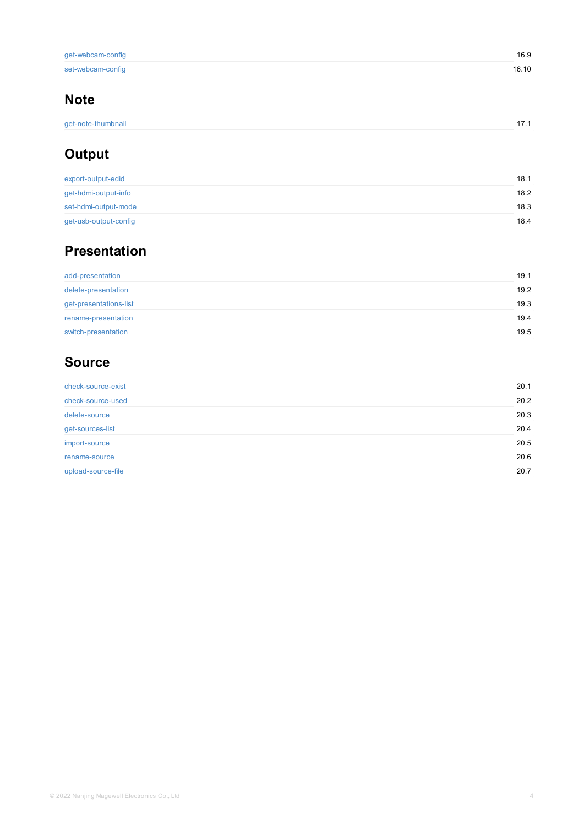| auu-prosontation       |  |  |
|------------------------|--|--|
| delete-presentation    |  |  |
| get-presentations-list |  |  |
| rename-presentation    |  |  |
| switch-presentation    |  |  |
|                        |  |  |

# **Source**

| check-source-exist |  |  |
|--------------------|--|--|
| check-source-used  |  |  |
| delete-source      |  |  |
| get-sources-list   |  |  |
| import-source      |  |  |
| rename-source      |  |  |
| upload-source-file |  |  |
|                    |  |  |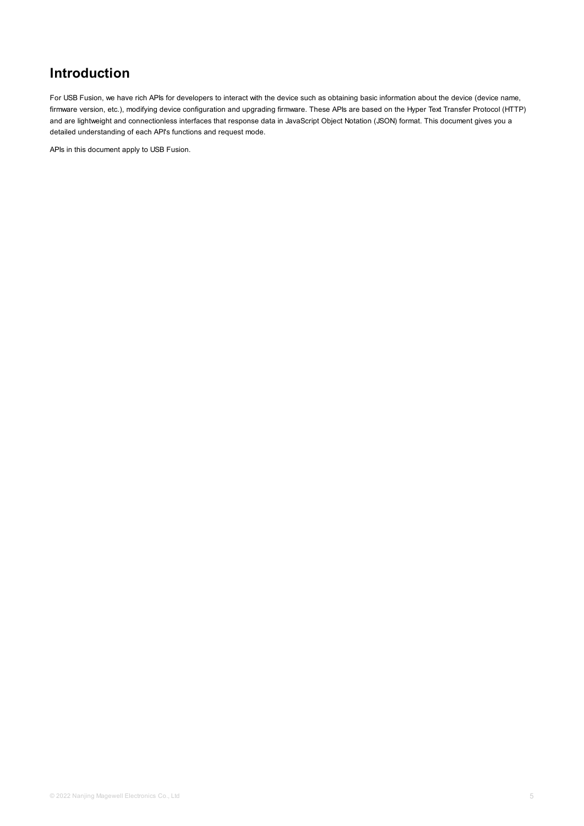# <span id="page-4-0"></span>**Introduction**

For USB Fusion, we have rich APIs for developers to interact with the device such as obtaining basic information about the device (device name, firmware version, etc.), modifying device configuration and upgrading firmware. These APIs are based on the Hyper Text Transfer Protocol (HTTP) and are lightweight and connectionless interfaces that response data in JavaScript Object Notation (JSON) format. This document gives you a detailed understanding of each API's functions and request mode.

APIs in this document apply to USB Fusion.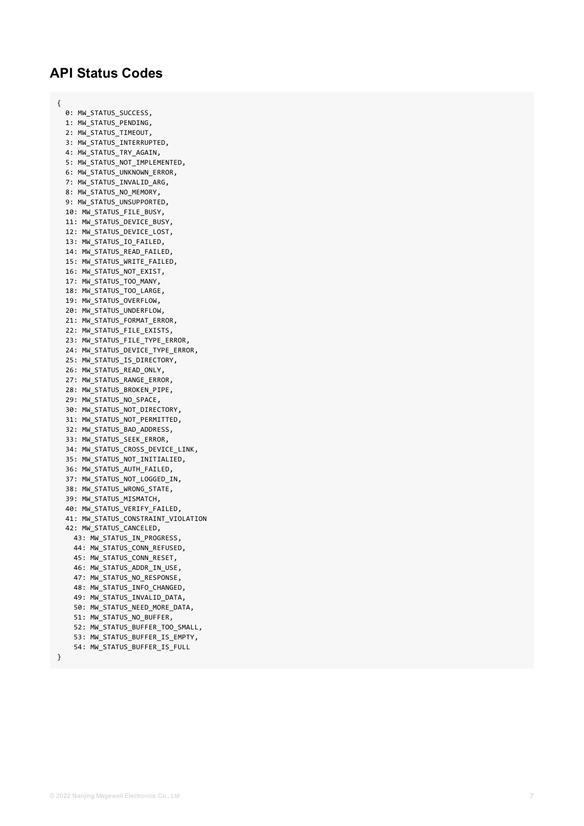## <span id="page-6-0"></span>**API Status Codes**

{

0: MW\_STATUS\_SUCCESS**,** 1: MW\_STATUS\_PENDING, 2: MW\_STATUS\_TIMEOUT**,** 3: MW\_STATUS\_INTERRUPTED**,** 4: MW\_STATUS\_TRY\_AGAIN**,** 5: MW\_STATUS\_NOT\_IMPLEMENTED, 6: MW\_STATUS\_UNKNOWN\_ERROR**,** 7: MW\_STATUS\_INVALID\_ARG**,** 8: MW\_STATUS\_NO\_MEMORY**,** 9: MW\_STATUS\_UNSUPPORTED**,** 10: MW\_STATUS\_FILE\_BUSY, 11: MW\_STATUS\_DEVICE\_BUSY, 12: MW\_STATUS\_DEVICE\_LOST, 13: MW\_STATUS\_IO\_FAILED**,** 14: MW\_STATUS\_READ\_FAILED**,** 15: MW\_STATUS\_WRITE\_FAILED, 16: MW\_STATUS\_NOT\_EXIST, 17: MW\_STATUS\_TOO\_MANY**,** 18: MW\_STATUS\_TOO\_LARGE, 19: MW\_STATUS\_OVERFLOW**,** 20: MW\_STATUS\_UNDERFLOW, 21: MW\_STATUS\_FORMAT\_ERROR**,** 22: MW\_STATUS\_FILE\_EXISTS**,** 23: MW\_STATUS\_FILE\_TYPE\_ERROR**,** 24: MW\_STATUS\_DEVICE\_TYPE\_ERROR, 25: MW\_STATUS\_IS\_DIRECTORY, 26: MW\_STATUS\_READ\_ONLY**,** 27: MW\_STATUS\_RANGE\_ERROR**,** 28: MW\_STATUS\_BROKEN\_PIPE, 29: MW\_STATUS\_NO\_SPACE**,** 30: MW\_STATUS\_NOT\_DIRECTORY, 31: MW\_STATUS\_NOT\_PERMITTED, 32: MW\_STATUS\_BAD\_ADDRESS, 33: MW\_STATUS\_SEEK\_ERROR**,** 34: MW\_STATUS\_CROSS\_DEVICE\_LINK, 35: MW\_STATUS\_NOT\_INITIALIED, 36: MW\_STATUS\_AUTH\_FAILED, 37: MW\_STATUS\_NOT\_LOGGED\_IN**,** 38: MW\_STATUS\_WRONG\_STATE, 39: MW\_STATUS\_MISMATCH, 40: MW\_STATUS\_VERIFY\_FAILED, 41: MW\_STATUS\_CONSTRAINT\_VIOLATION 42: MW\_STATUS\_CANCELED**,** 43: MW\_STATUS\_IN\_PROGRESS, 44: MW\_STATUS\_CONN\_REFUSED, 45: MW\_STATUS\_CONN\_RESET, 46: MW\_STATUS\_ADDR\_IN\_USE**,** 47: MW\_STATUS\_NO\_RESPONSE**,** 48: MW\_STATUS\_INFO\_CHANGED, 49: MW\_STATUS\_INVALID\_DATA, 50: MW\_STATUS\_NEED\_MORE\_DATA, 51: MW\_STATUS\_NO\_BUFFER,

53: MW\_STATUS\_BUFFER\_IS\_EMPTY, 54: MW\_STATUS\_BUFFER\_IS\_FULL

}

52: MW\_STATUS\_BUFFER\_TOO\_SMALL,

© 2022 Nanjing Magewell Electronics Co., Ltd

7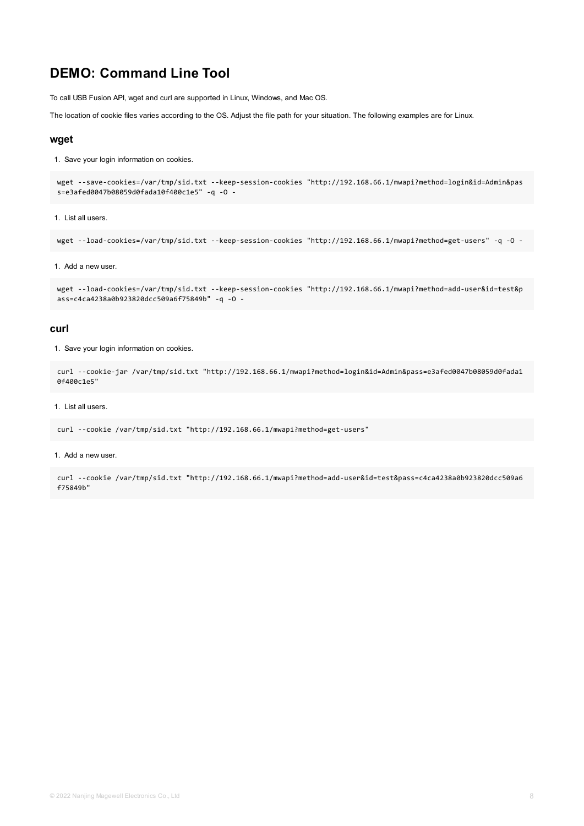## <span id="page-7-0"></span>**DEMO: Command Line Tool**

To call USB Fusion API, wget and curl are supported in Linux, Windows, and Mac OS.

The location of cookie files varies according to the OS. Adjust the file path for your situation. The following examples are for Linux.

#### **wget**

1. Save your login information on cookies.

```
wget --save-cookies=/var/tmp/sid.txt --keep-session-cookies "http://192.168.66.1/mwapi?method=login&id=Admin&pas
s=e3afed0047b08059d0fada10f400c1e5" -q -O -
```
1. List all users.

```
wget --load-cookies=/var/tmp/sid.txt --keep-session-cookies "http://192.168.66.1/mwapi?method=get-users" -q -O -
```
1. Add a new user.

```
wget --load-cookies=/var/tmp/sid.txt --keep-session-cookies "http://192.168.66.1/mwapi?method=add-user&id=test&p
ass=c4ca4238a0b923820dcc509a6f75849b" -q -O -
```
#### **curl**

1. Save your login information on cookies.

```
curl --cookie-jar /var/tmp/sid.txt "http://192.168.66.1/mwapi?method=login&id=Admin&pass=e3afed0047b08059d0fada1
0f400c1e5"
```
1. List all users.

```
curl --cookie /var/tmp/sid.txt "http://192.168.66.1/mwapi?method=get-users"
```
1. Add a new user.

curl --cookie /var/tmp/sid.txt "http://192.168.66.1/mwapi?method=add-user&id=test&pass=c4ca4238a0b923820dcc509a6 f75849b"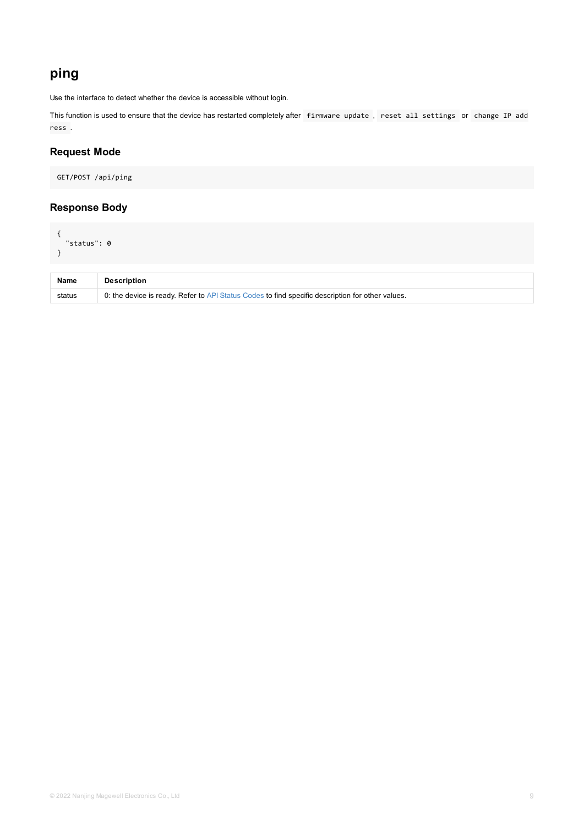<span id="page-8-0"></span>

| Name   | <b>Description</b>                                                                               |
|--------|--------------------------------------------------------------------------------------------------|
| status | 0: the device is ready. Refer to API Status Codes to find specific description for other values. |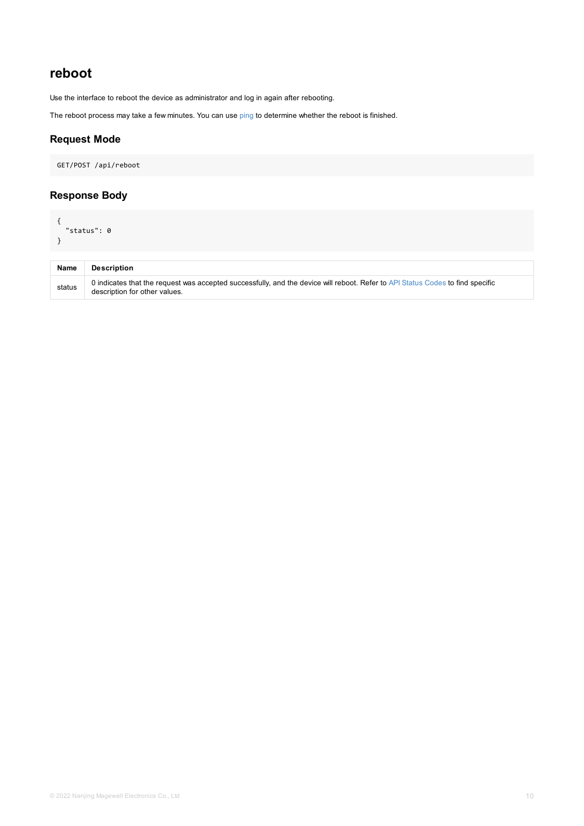<span id="page-9-0"></span>

|        | ) indicates that the request was accepted successfully, and the device will reboot. I<br>Refer to APL |
|--------|-------------------------------------------------------------------------------------------------------|
| status | description for other values.                                                                         |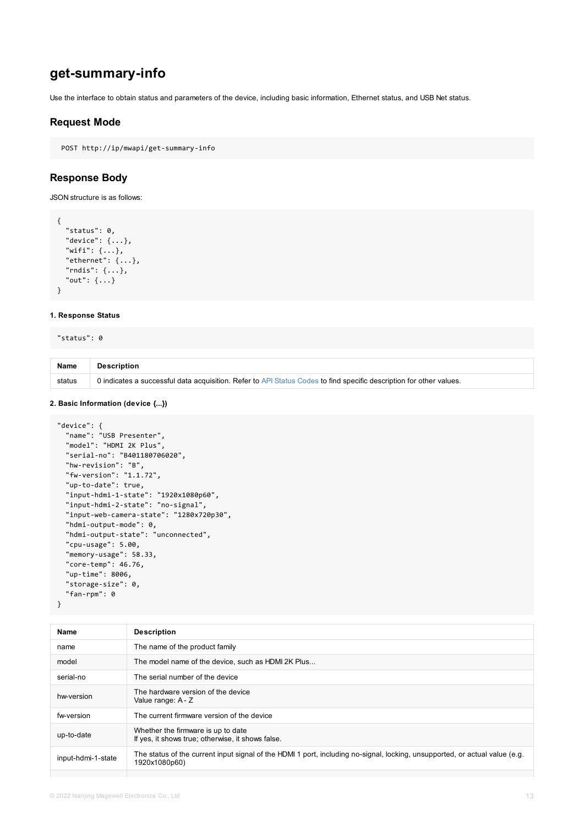```
"out": {...}
}
```
#### **1. Response Status**

"status": 0

| <b>Name</b> | <b>Description</b>                                                                                       |
|-------------|----------------------------------------------------------------------------------------------------------|
| status      | 0 indicates a successful data acquisition. Refer to API Status Codes to find specific description for ot |

#### **2. Basic Information (device {...})**

```
"device": {
  "name": "USB Presenter",
  "model": "HDMI 2K Plus",
  "serial-no": "B401180706020",
  "hw-revision": "B",
  "fw-version": "1.1.72",
  "up-to-date": true,
  "input-hdmi-1-state": "1920x1080p60",
  "input-hdmi-2-state": "no-signal",
  "input-web-camera-state": "1280x720p30",
  "hdmi-output-mode": 0,
  "hdmi-output-state": "unconnected",
  "cpu-usage": 5.00,
  "memory-usage": 58.33,
  "core-temp": 46.76,
  "up-time": 8006,
  "storage-size": 0,
  "fan-rpm": 0
}
```

```
Name Description
name The name of the product family
Plus...
serial-no The serial number of the device
hw-version
                  The hardware version of the device
                  Value range: A - Z
fw-version The current firmware version of the device
up-to-date
                  Whether the firmware is up to date
                  If yes, it shows true; otherwise, it shows false.
input-hdmi-1-state
                  The status of the current input signal of the HDMI 1 port, including no-signal, locking, uns
                  1920x1080p60)
```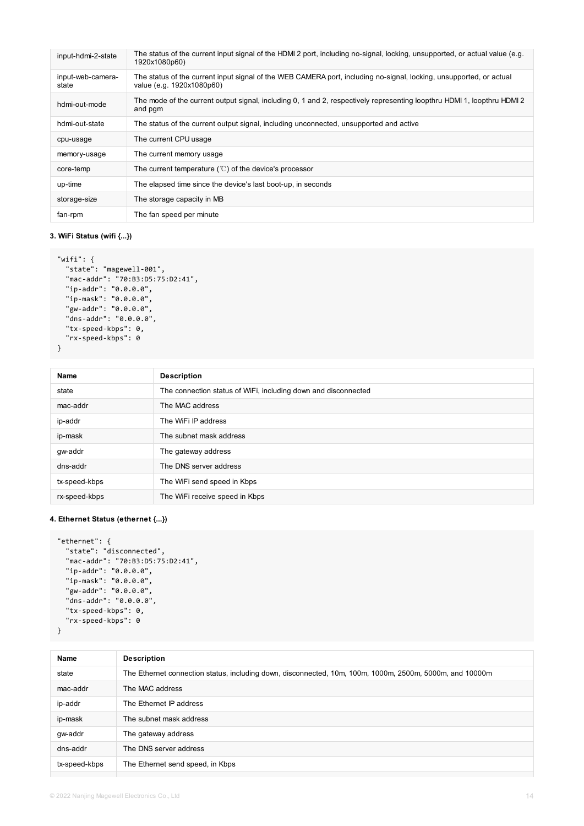| input-hdmi-2-state         | The status of the current input signal of the HDMI 2 port, including no-signal, locking, unsupported, or actual value (e.g.<br>1920x1080p60)     |
|----------------------------|--------------------------------------------------------------------------------------------------------------------------------------------------|
| input-web-camera-<br>state | The status of the current input signal of the WEB CAMERA port, including no-signal, locking, unsupported, or actual<br>value (e.g. 1920x1080p60) |
| hdmi-out-mode              | The mode of the current output signal, including 0, 1 and 2, respectively representing loopthru HDMI 1, loopthru HDMI 2<br>and pgm               |
| hdmi-out-state             | The status of the current output signal, including unconnected, unsupported and active                                                           |
| cpu-usage                  | The current CPU usage                                                                                                                            |
| memory-usage               | The current memory usage                                                                                                                         |
| core-temp                  | The current temperature $(°C)$ of the device's processor                                                                                         |
| up-time                    | The elapsed time since the device's last boot-up, in seconds                                                                                     |
| storage-size               | The storage capacity in MB                                                                                                                       |
| fan-rpm                    | The fan speed per minute                                                                                                                         |

#### **3. WiFi Status (wifi {...})**

```
"wifi": {
 "state": "magewell-001",
  "mac-addr": "70:B3:D5:75:D2:41",
  "ip-addr": "0.0.0.0",
  "ip-mask": "0.0.0.0",
  "gw-addr": "0.0.0.0",
  "dns-addr": "0.0.0.0",
  "tx-speed-kbps": 0,
 "rx-speed-kbps": 0
}
```

| <b>Name</b>   | <b>Description</b>                                             |
|---------------|----------------------------------------------------------------|
| state         | The connection status of WiFi, including down and disconnected |
| mac-addr      | The MAC address                                                |
| ip-addr       | The WiFi IP address                                            |
| ip-mask       | The subnet mask address                                        |
| gw-addr       | The gateway address                                            |
| dns-addr      | The DNS server address                                         |
| tx-speed-kbps | The WiFi send speed in Kbps                                    |
| rx-speed-kbps | The WiFi receive speed in Kbps                                 |

#### **4. Ethernet Status (ethernet {...})**

```
"ethernet": {
 "state": "disconnected",
 "mac-addr": "70:B3:D5:75:D2:41",
 "ip-addr": "0.0.0.0",
 "ip-mask": "0.0.0.0",
 "gw-addr": "0.0.0.0",
  "dns-addr": "0.0.0.0",
  "tx-speed-kbps": 0,
  "rx-speed-kbps": 0
```

| $\}$ |  |  |  |
|------|--|--|--|
|      |  |  |  |

| <b>Name</b>   | <b>Description</b>                                                                                       |
|---------------|----------------------------------------------------------------------------------------------------------|
| state         | The Ethernet connection status, including down, disconnected, 10m, 100m, 1000m, 2500m, 5000m, and 10000m |
| mac-addr      | The MAC address                                                                                          |
| ip-addr       | The Ethernet IP address                                                                                  |
| ip-mask       | The subnet mask address                                                                                  |
| gw-addr       | The gateway address                                                                                      |
| dns-addr      | The DNS server address                                                                                   |
| tx-speed-kbps | The Ethernet send speed, in Kbps                                                                         |
|               |                                                                                                          |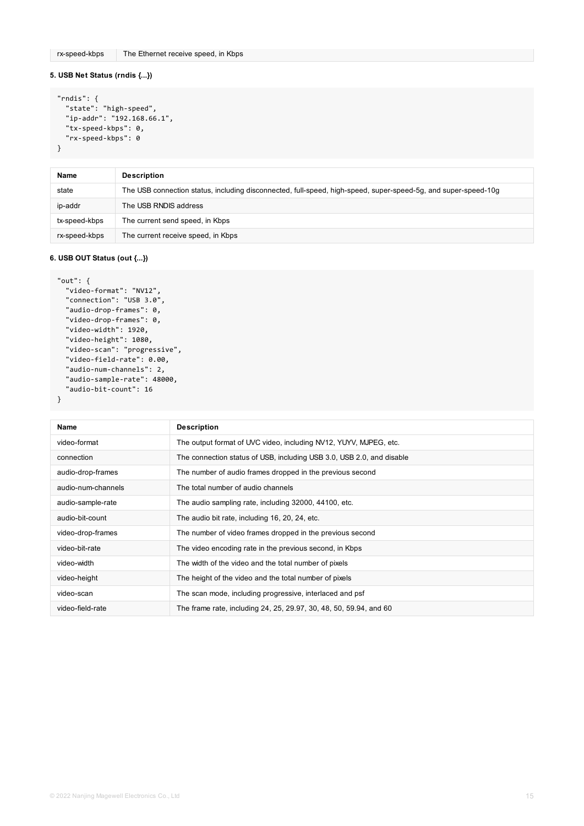#### **5. USB Net Status (rndis {...})**

```
"rndis": {
 "state": "high-speed",
 "ip-addr": "192.168.66.1",
  "tx-speed-kbps": 0,
 "rx-speed-kbps": 0
}
```

| <b>Name</b>   | <b>Description</b>                                                                                             |
|---------------|----------------------------------------------------------------------------------------------------------------|
| state         | The USB connection status, including disconnected, full-speed, high-speed, super-speed-5g, and super-speed-10g |
| ip-addr       | The USB RNDIS address                                                                                          |
| tx-speed-kbps | The current send speed, in Kbps                                                                                |
| rx-speed-kbps | The current receive speed, in Kbps                                                                             |

#### **6. USB OUT Status (out {...})**

```
"out": {
  "video-format": "NV12",
  "connection": "USB 3.0",
  "audio-drop-frames": 0,
  "video-drop-frames": 0,
  "video-width": 1920,
  "video-height": 1080,
  "video-scan": "progressive",
  "video-field-rate": 0.00,
  "audio-num-channels": 2,
 "audio-sample-rate": 48000,
  "audio-bit-count": 16
}
```

| <b>Name</b>        | <b>Description</b>                                                    |
|--------------------|-----------------------------------------------------------------------|
| video-format       | The output format of UVC video, including NV12, YUYV, MJPEG, etc.     |
| connection         | The connection status of USB, including USB 3.0, USB 2.0, and disable |
| audio-drop-frames  | The number of audio frames dropped in the previous second             |
| audio-num-channels | The total number of audio channels                                    |
| audio-sample-rate  | The audio sampling rate, including 32000, 44100, etc.                 |
| audio-bit-count    | The audio bit rate, including 16, 20, 24, etc.                        |
| video-drop-frames  | The number of video frames dropped in the previous second             |
| video-bit-rate     | The video encoding rate in the previous second, in Kbps               |
| video-width        | The width of the video and the total number of pixels                 |
| video-height       | The height of the video and the total number of pixels                |
| video-scan         | The scan mode, including progressive, interlaced and psf              |
| video-field-rate   | The frame rate, including 24, 25, 29.97, 30, 48, 50, 59.94, and 60    |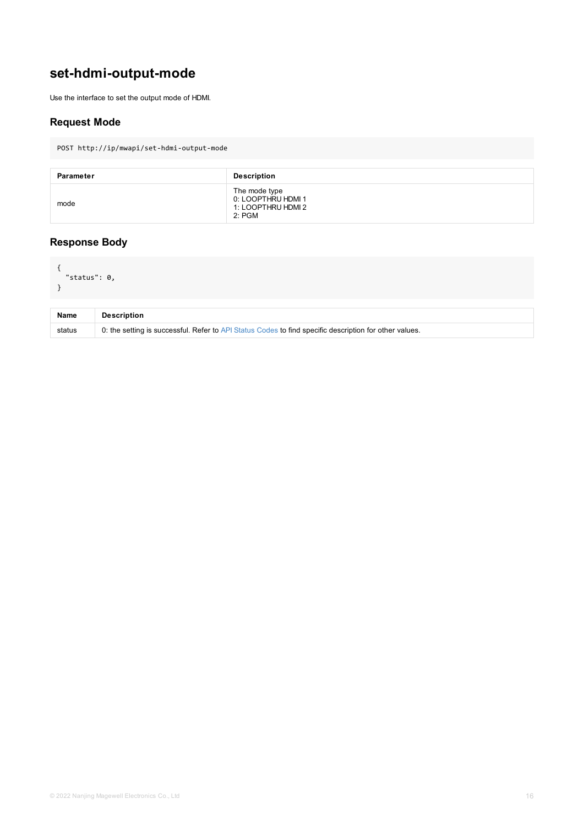```
"status": 0,
}
```

| <b>Name</b> | <b>Description</b>                                                                                     |
|-------------|--------------------------------------------------------------------------------------------------------|
| status      | 0: the setting is successful. Refer to API Status Codes to find specific description for other values. |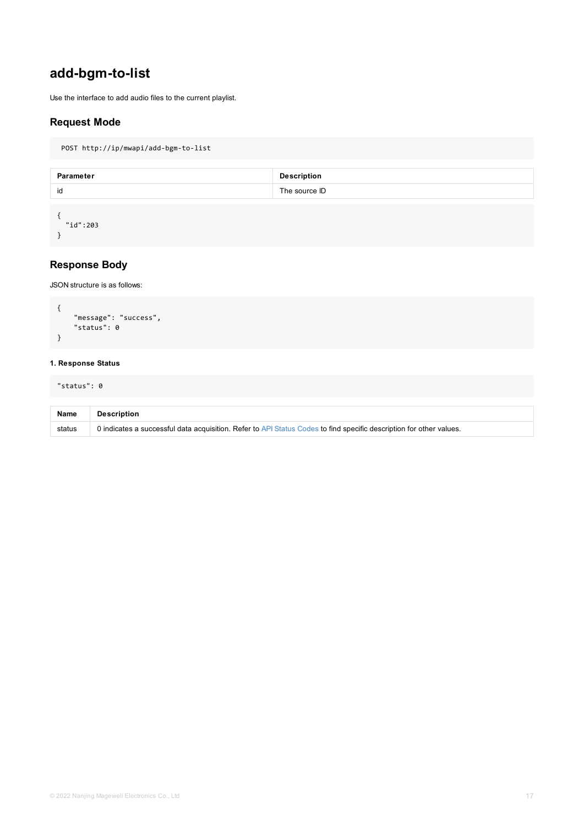<span id="page-16-0"></span>JSON structure is as follows:

```
{
   "message": "success",
   "status": 0
}
```
### **1. Response Status**

| <b>Name</b> | <b>Description</b>                                                                                       |
|-------------|----------------------------------------------------------------------------------------------------------|
| status      | 0 indicates a successful data acquisition. Refer to API Status Codes to find specific description for ot |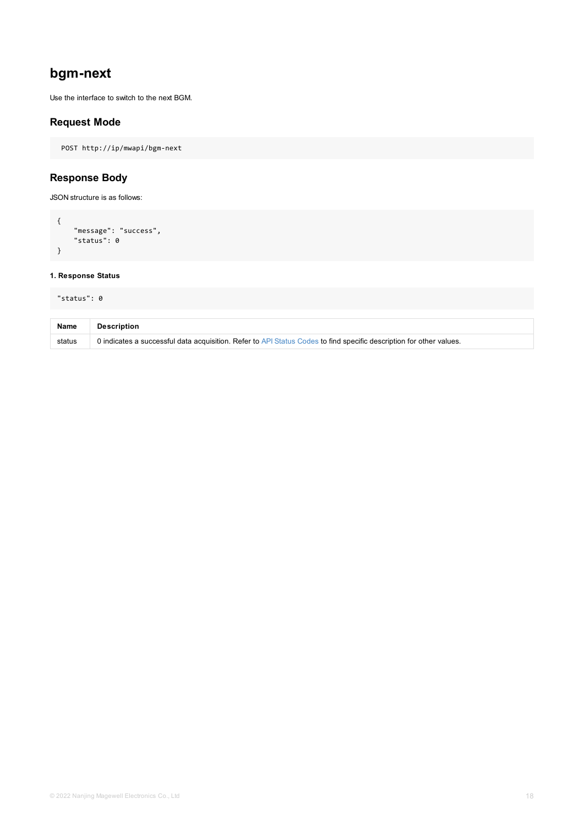#### <span id="page-17-0"></span>**1. Response Status**

| <b>Name</b> | <b>Description</b>                                                                                       |
|-------------|----------------------------------------------------------------------------------------------------------|
| status      | 0 indicates a successful data acquisition. Refer to API Status Codes to find specific description for ot |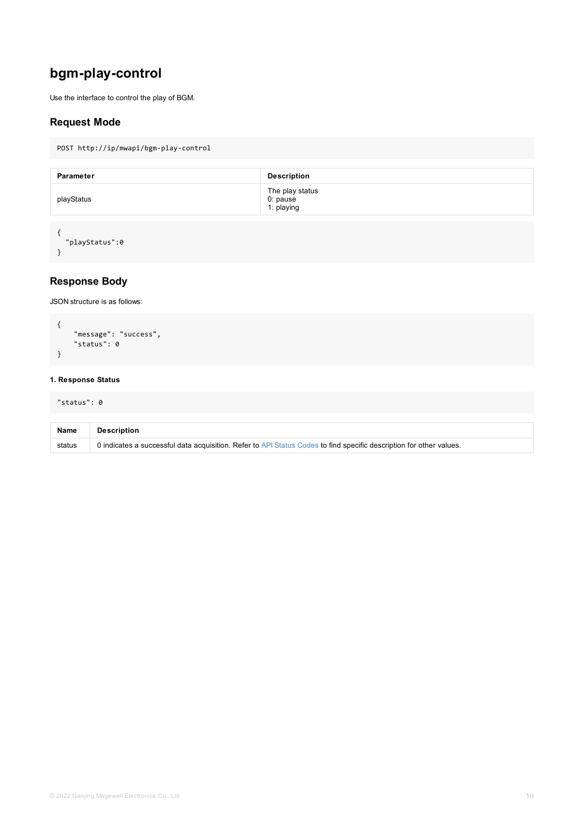### <span id="page-18-0"></span>**Response Body**

JSON structure is as follows:

```
{
    "message": "success",
   "status": 0
}
```
#### **1. Response Status**

| <b>Name</b> | <b>Description</b>                                                                                       |
|-------------|----------------------------------------------------------------------------------------------------------|
| status      | 0 indicates a successful data acquisition. Refer to API Status Codes to find specific description for ot |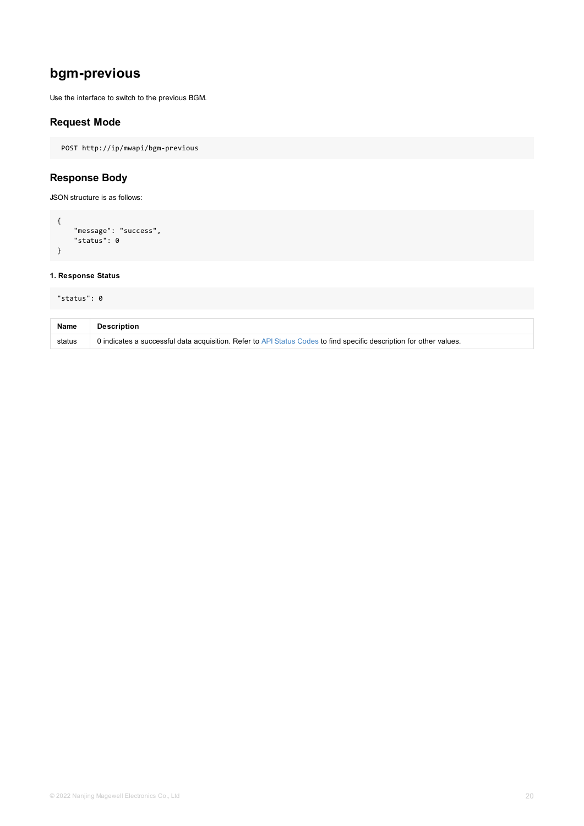#### <span id="page-19-0"></span>**1. Response Status**

| <b>Name</b> | <b>Description</b>                                                                                       |
|-------------|----------------------------------------------------------------------------------------------------------|
| status      | 0 indicates a successful data acquisition. Refer to API Status Codes to find specific description for ot |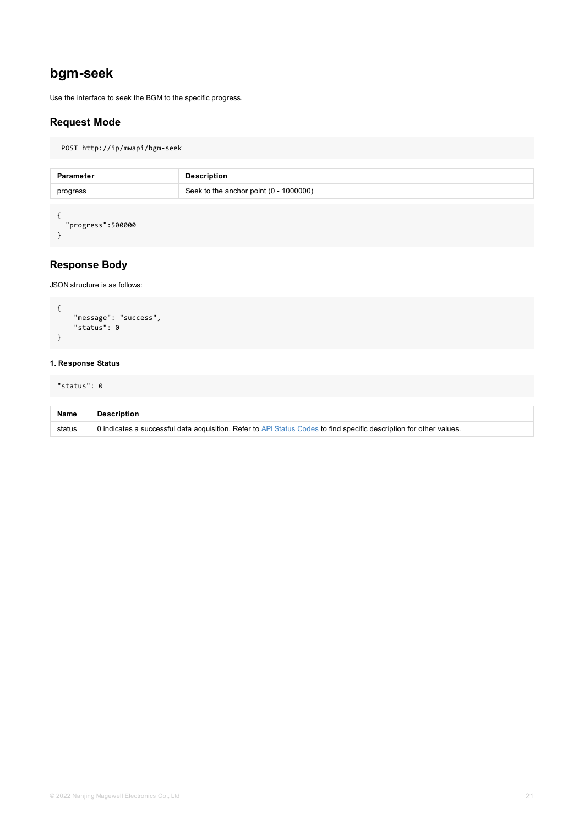<span id="page-20-0"></span>JSON structure is as follows:

```
{
   "message": "success",
   "status": 0
}
```
### **1. Response Status**

| <b>Name</b> | <b>Description</b>                                                                                       |
|-------------|----------------------------------------------------------------------------------------------------------|
| status      | 0 indicates a successful data acquisition. Refer to API Status Codes to find specific description for ot |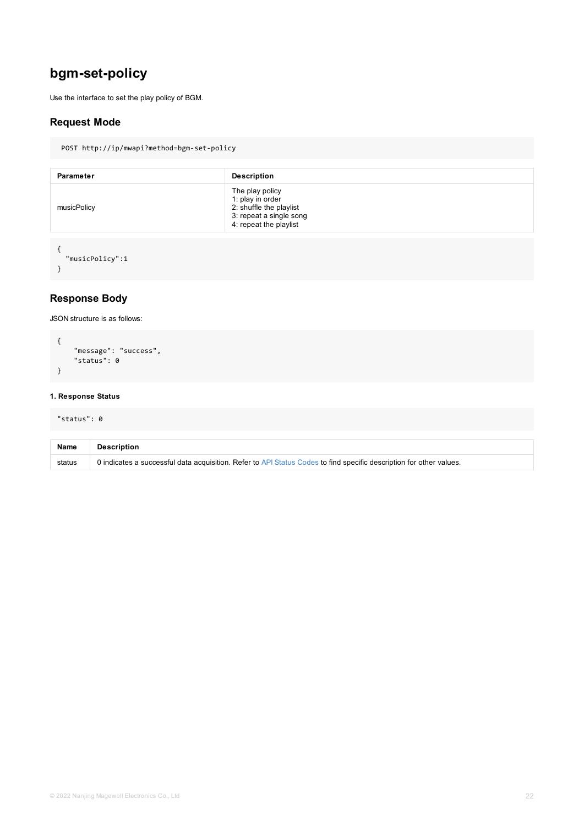### <span id="page-21-0"></span>**Response Body**

JSON structure is as follows:

```
{
    "message": "success",
    "status": 0
}
```
### **1. Response Status**

| <b>Name</b> | <b>Description</b>                                                                                       |
|-------------|----------------------------------------------------------------------------------------------------------|
| status      | 0 indicates a successful data acquisition. Refer to API Status Codes to find specific description for ot |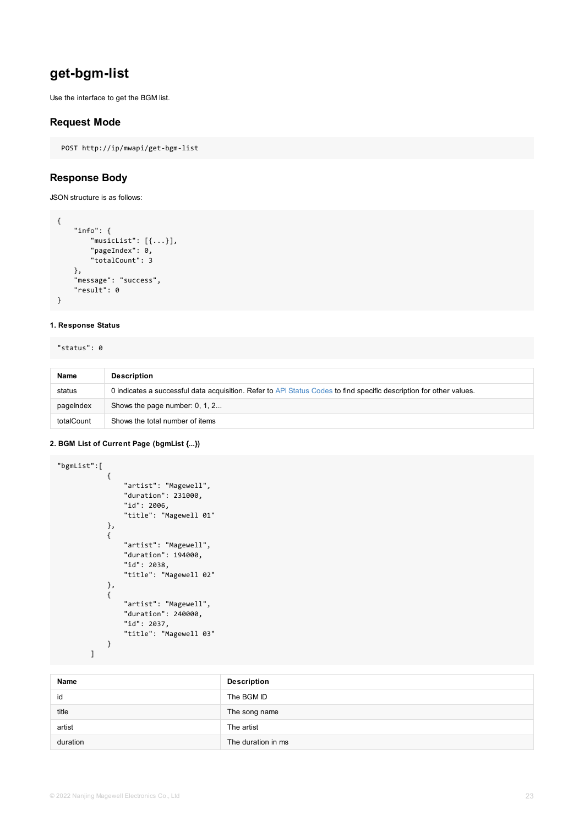```
"message": "success",
    "result": 0
}
```
#### **1. Response Status**

```
"status": 0
```

| <b>Name</b> | <b>Description</b>                                                                                  |
|-------------|-----------------------------------------------------------------------------------------------------|
| status      | 0 indicates a successful data acquisition. Refer to API Status Codes to find specific description f |
| pagelndex   | Shows the page number: 0, 1, 2                                                                      |
| totalCount  | Shows the total number of items                                                                     |

#### **2. BGM List of Current Page (bgmList {...})**

```
"bgmList":[
            {
                "artist": "Magewell",
                "duration": 231000,
                "id": 2006,
                "title": "Magewell 01"
            },
            {
                "artist": "Magewell",
                "duration": 194000,
                "id": 2038,
                "title": "Magewell 02"
            },
            {
                "artist": "Magewell",
                "duration": 240000,
                "id": 2037,
                "title": "Magewell 03"
            }
        ]
```

| <b>Name</b> | <b>Description</b> |
|-------------|--------------------|
| id          | The BGM ID         |
| title       | The song name      |
| artist      | The artist         |
| duration    | The duration in ms |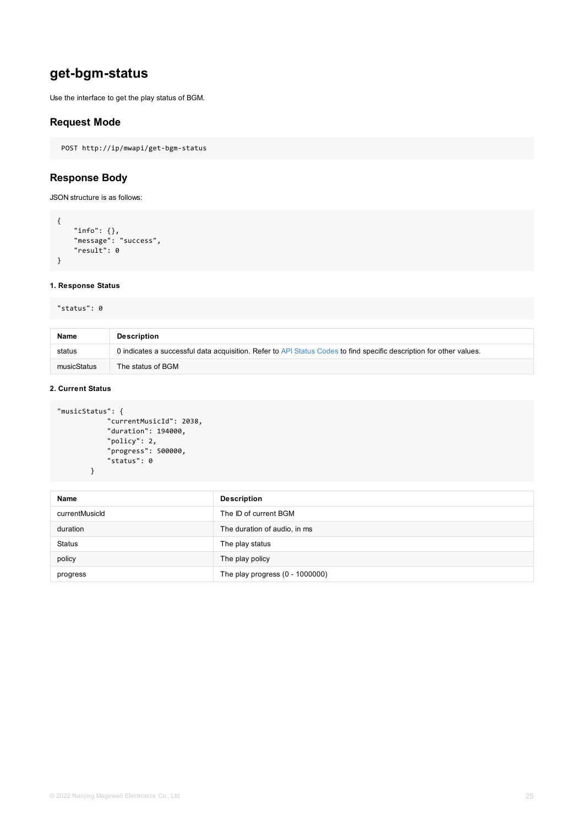#### **1. Response Status**

"status": 0

| <b>Name</b> | <b>Description</b>                                                                                |
|-------------|---------------------------------------------------------------------------------------------------|
| status      | 0 indicates a successful data acquisition. Refer to API Status Codes to find specific description |
| musicStatus | The status of BGM                                                                                 |

#### **2. Current Status**

```
"musicStatus": {
           "currentMusicId": 2038,
           "duration": 194000,
            "policy": 2,
            "progress": 500000,
           "status": 0
       }
```

| <b>Name</b>    | <b>Description</b>              |
|----------------|---------------------------------|
| currentMusicId | The ID of current BGM           |
| duration       | The duration of audio, in ms    |
| <b>Status</b>  | The play status                 |
| policy         | The play policy                 |
| progress       | The play progress (0 - 1000000) |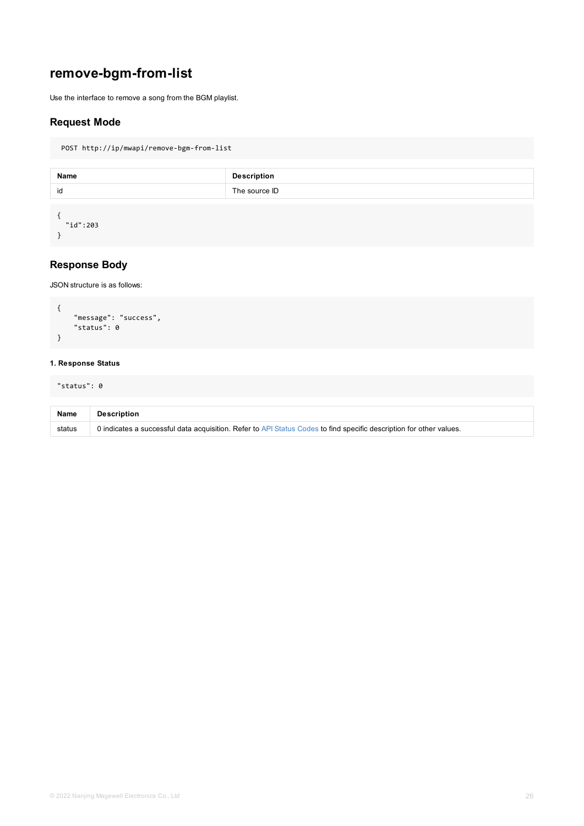JSON structure is as follows:

```
{
   "message": "success",
   "status": 0
}
```
### **1. Response Status**

| <b>Name</b> | <b>Description</b>                                                                                       |
|-------------|----------------------------------------------------------------------------------------------------------|
| status      | 0 indicates a successful data acquisition. Refer to API Status Codes to find specific description for ot |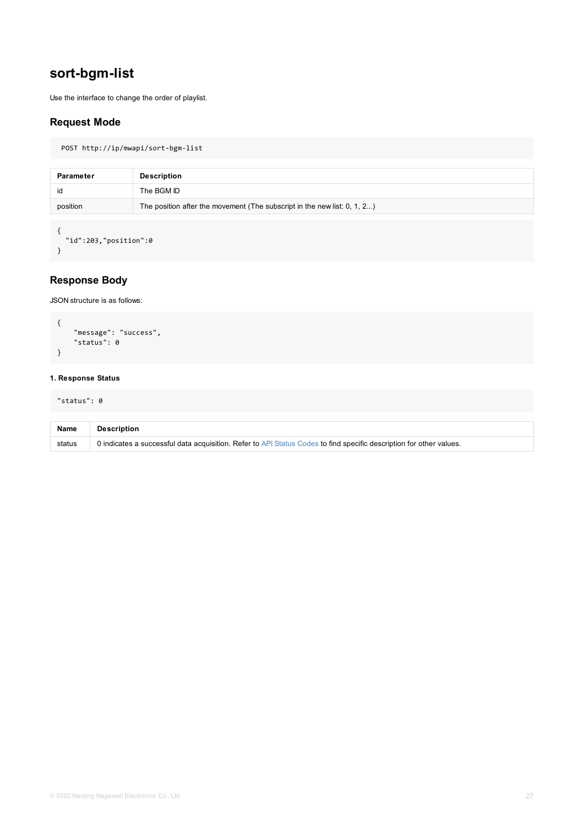#### <span id="page-26-0"></span>**Response Body**

JSON structure is as follows:

```
{
    "message": "success",
    "status": 0
}
```
#### **1. Response Status**

| <b>Name</b> | <b>Description</b>                                                                                       |
|-------------|----------------------------------------------------------------------------------------------------------|
| status      | 0 indicates a successful data acquisition. Refer to API Status Codes to find specific description for ot |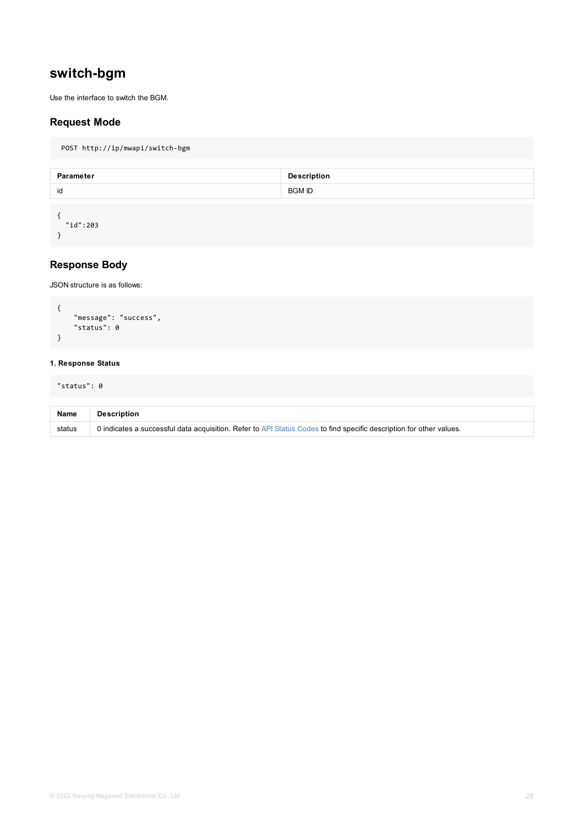JSON structure is as follows:

```
{
   "message": "success",
   "status": 0
}
```
### **1. Response Status**

| <b>Name</b> | <b>Description</b>                                                                                       |
|-------------|----------------------------------------------------------------------------------------------------------|
| status      | 0 indicates a successful data acquisition. Refer to API Status Codes to find specific description for ot |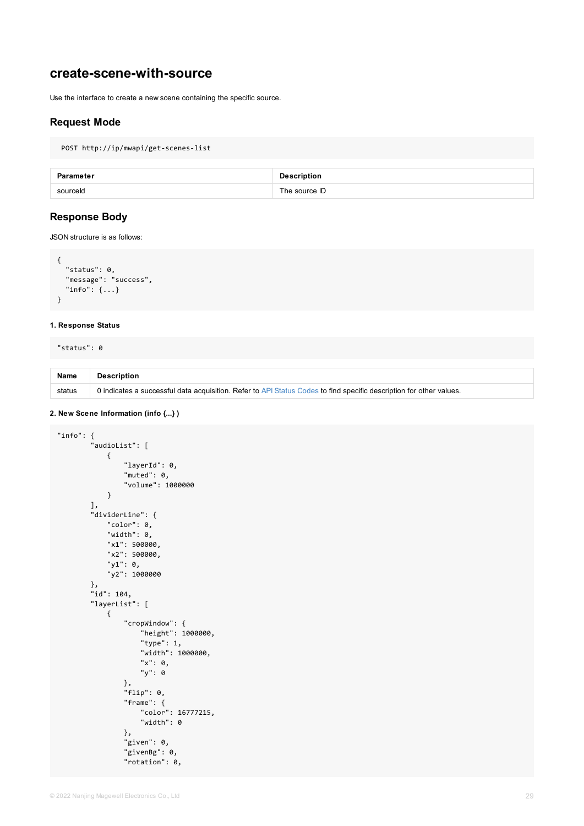## **create-scene-with-source**

Use the interface to create a new scene containing the specific source.

### **Request Mode**

POST http://ip/mwapi/get-scenes-list

| <b>Parameter</b> | <b>Description</b> |
|------------------|--------------------|
| sourceld         | The source ID      |

### **Response Body**

JSON structure is as follows:

```
{
  "status": 0,
  "message": "success",
  "info": {...}
}
```
#### **1. Response Status**

"status": 0

| <b>Name</b> | <b>Description</b>                                                                                                  |
|-------------|---------------------------------------------------------------------------------------------------------------------|
| status      | 0 indicates a successful data acquisition. Refer to API Status Codes to find specific description for other values. |

#### **2. New Scene Information (info {...} )**

```
"info": {
        "audioList": [
            {
                "layerId": 0,
                "muted": 0,
                "volume": 1000000
            }
       ],
        "dividerLine": {
            "color": 0,
            "width": 0,
            "x1": 500000,
            "x2": 500000,
            "y1": 0,
            "y2": 1000000
       },
        "id": 104,
        "layerList": [
            {
                "cropWindow": {
                    "height": 1000000,
                    "type": 1,
                    "width": 1000000,
                    "x": 0,
                    "y": 0
                },
                "flip": 0,
                "frame": {
                    "color": 16777215,
                    "width": 0
                },
                "given": 0,
                "givenBg": 0,
                "rotation": 0,
```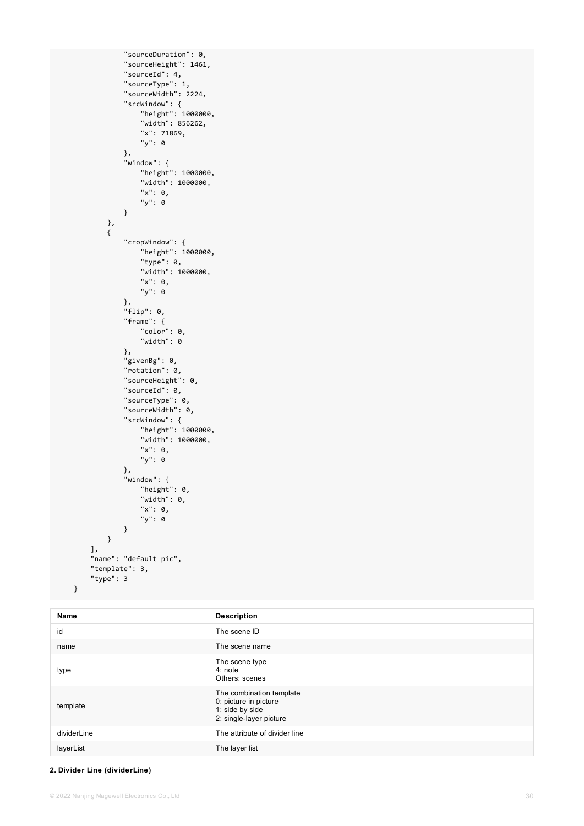```
"sourceDuration": 0,
        "sourceHeight": 1461,
        "sourceId": 4,
        "sourceType": 1,
        "sourceWidth": 2224,
        "srcWindow": {
             "height": 1000000,
             "width": 856262,
             "x": 71869,
             "
y
"
:
0
        }
,
        "window": {
             "height": 1000000,
             "width": 1000000,
             "x": 0,
             "
y
"
:
0
        }
    }
,
   {
        "cropWindow": {
             "height": 1000000,
             "type": 0,
             "width": 1000000,
             "x": 0,
             "
y
"
:
0
        }
,
        "flip": 0,
        "frame": {
             "color": 0,
             "width": 0
        }
,
        "givenBg": 0,
        "rotation": 0,
        "sourceHeight": 0,
        "sourceId": 0,
        "sourceType": 0,
        "sourceWidth": 0,
        "srcWindow": {
             "height": 1000000,
             "width": 1000000,
             "x": 0,
             "
y
"
:
0
        }
,
        "window": {
             "height": 0,
             "width": 0,
             "x": 0,
             "
y
"
:
0
        }
   }
]
,
"name": "default pic",
"template": 3,
"
t
y
p
e
"
:
3
```
}

#### **Description**

| id          | The scene ID                                                                                    |
|-------------|-------------------------------------------------------------------------------------------------|
| name        | The scene name                                                                                  |
| type        | The scene type<br>4: note<br>Others: scenes                                                     |
| template    | The combination template<br>0: picture in picture<br>1: side by side<br>2: single-layer picture |
| dividerLine | The attribute of divider line                                                                   |
| layerList   | The layer list                                                                                  |

#### 2. Divider Line (dividerLine)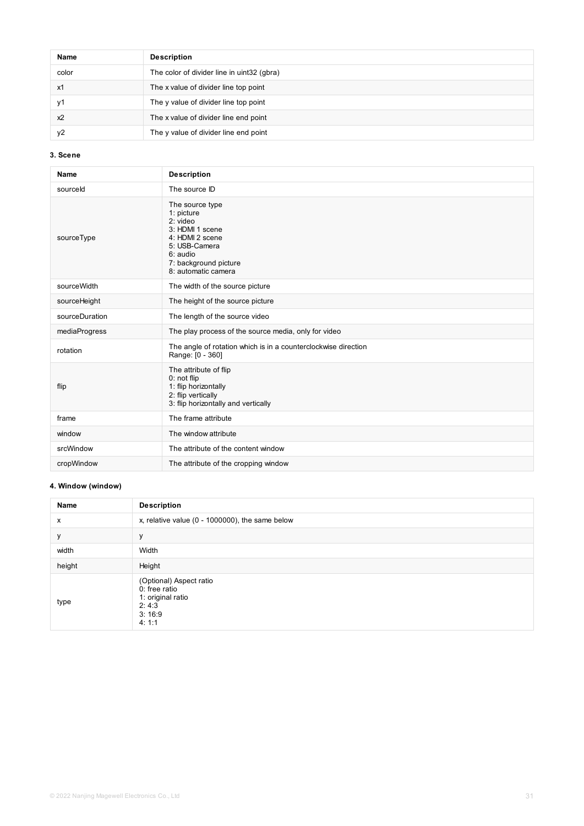| <b>Name</b> | <b>Description</b>                         |
|-------------|--------------------------------------------|
| color       | The color of divider line in uint32 (gbra) |
| X1          | The x value of divider line top point      |
| y1          | The y value of divider line top point      |
| х2          | The x value of divider line end point      |
| ۷2          | The y value of divider line end point      |

#### **3. Scene**

| <b>Name</b>    | <b>Description</b>                                                                                                                                           |
|----------------|--------------------------------------------------------------------------------------------------------------------------------------------------------------|
| sourceld       | The source ID                                                                                                                                                |
| sourceType     | The source type<br>1: picture<br>2: video<br>3: HDMI 1 scene<br>4: HDMI 2 scene<br>5: USB-Camera<br>6: audio<br>7: background picture<br>8: automatic camera |
| sourceWidth    | The width of the source picture                                                                                                                              |
| sourceHeight   | The height of the source picture                                                                                                                             |
| sourceDuration | The length of the source video                                                                                                                               |
| mediaProgress  | The play process of the source media, only for video                                                                                                         |
| rotation       | The angle of rotation which is in a counterclockwise direction<br>Range: [0 - 360]                                                                           |
| flip           | The attribute of flip<br>0: not flip<br>1: flip horizontally<br>2: flip vertically<br>3: flip horizontally and vertically                                    |
| frame          | The frame attribute                                                                                                                                          |
| window         | The window attribute                                                                                                                                         |
| srcWindow      | The attribute of the content window                                                                                                                          |
| cropWindow     | The attribute of the cropping window                                                                                                                         |

### **4. Window (window)**

| <b>Name</b> | <b>Description</b>                                                                        |
|-------------|-------------------------------------------------------------------------------------------|
| X           | x, relative value (0 - 1000000), the same below                                           |
| у           | у                                                                                         |
| width       | Width                                                                                     |
| height      | Height                                                                                    |
| type        | (Optional) Aspect ratio<br>0: free ratio<br>1: original ratio<br>2:4:3<br>3:16:9<br>4:1:1 |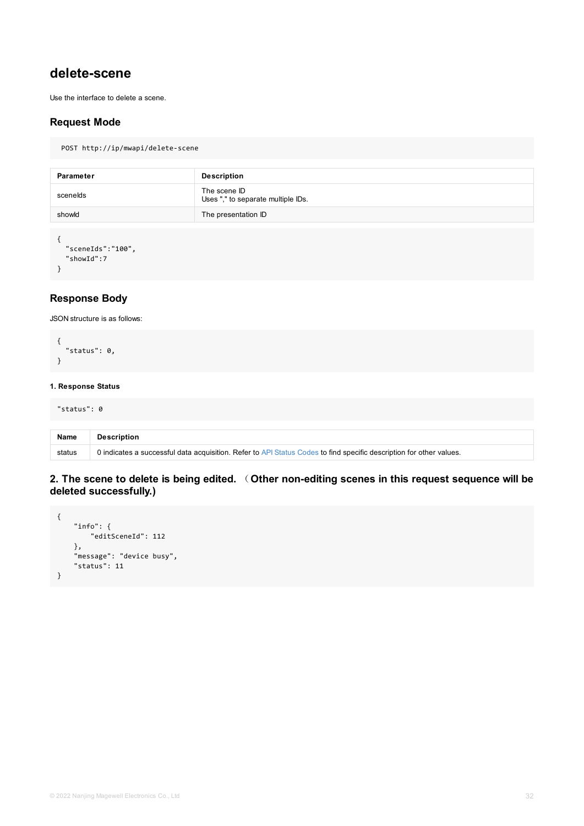# **delete-scene**

Use the interface to delete a scene.

### **Request Mode**

POST http://ip/mwapi/delete-scene

| Parameter         | <b>Description</b>                                 |
|-------------------|----------------------------------------------------|
| scenelds          | The scene ID<br>Uses "," to separate multiple IDs. |
| showld            | The presentation ID                                |
| "sceneIds":"100", |                                                    |

```
"showId":7
}
```
### **Response Body**

JSON structure is as follows:

```
{
 "status": 0,
}
```
#### **1. Response Status**

"status": 0

| <b>Name</b> | <b>Description</b>                                                                                                  |
|-------------|---------------------------------------------------------------------------------------------------------------------|
| status      | 0 indicates a successful data acquisition. Refer to API Status Codes to find specific description for other values. |

**2. The scene to delete is being edited.** (**Other non-editing scenes in this request sequence will be deleted successfully.)**

```
{
   "info": {
       "editSceneId": 112
   },
   "message": "device busy",
   "status": 11
}
```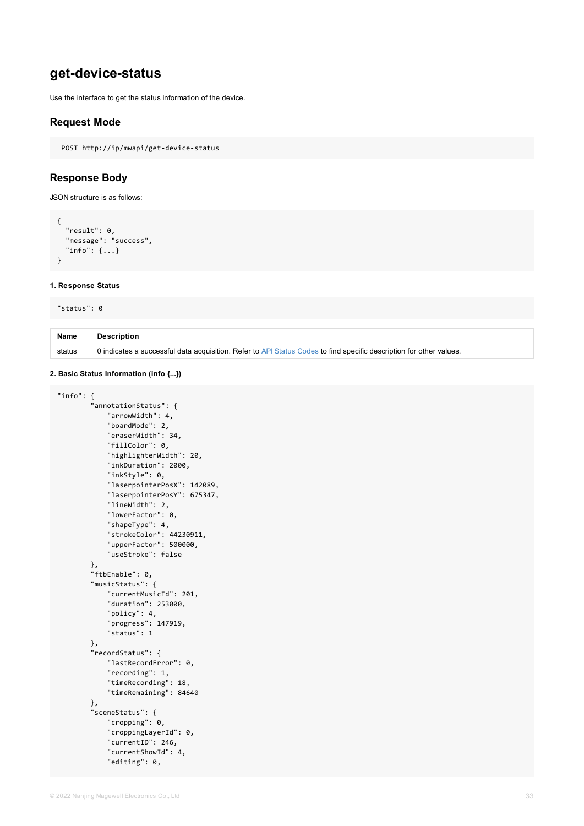# **get-device-status**

Use the interface to get the status information of the device.

### **Request Mode**

POST http://ip/mwapi/get-device-status

### **Response Body**

JSON structure is as follows:

```
{
  "result": 0,
  "message": "success",
  "info": {...}
}
```
#### **1. Response Status**

"status": 0

| <b>Name</b> | Description                                                                                                         |
|-------------|---------------------------------------------------------------------------------------------------------------------|
| status      | 0 indicates a successful data acquisition. Refer to API Status Codes to find specific description for other values. |

#### **2. Basic Status Information (info {...})**

```
"info": {
        "annotationStatus": {
            "arrowWidth": 4,
            "boardMode": 2,
            "eraserWidth": 34,
            "fillColor": 0,
            "highlighterWidth": 20,
            "inkDuration": 2000,
            "inkStyle": 0,
            "laserpointerPosX": 142089,
            "laserpointerPosY": 675347,
            "lineWidth": 2,
            "lowerFactor": 0,
            "shapeType": 4,
            "strokeColor": 44230911,
            "upperFactor": 500000,
            "useStroke": false
        },
        "ftbEnable": 0,
        "musicStatus": {
            "currentMusicId": 201,
            "duration": 253000,
            "policy": 4,
```

```
"progress": 147919,
    "status": 1
},
"recordStatus": {
    "lastRecordError": 0,
    "recording": 1,
    "timeRecording": 18,
    "timeRemaining": 84640
},
"sceneStatus": {
    "cropping": 0,
    "croppingLayerId": 0,
    "currentID": 246,
    "currentShowId": 4,
    "editing": 0,
```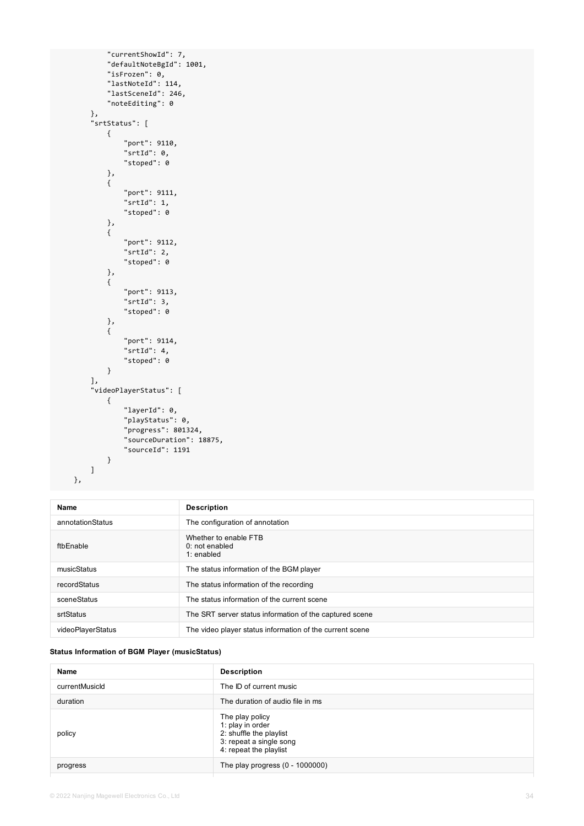```
"currentShowId": 7,
        "defaultNoteBgId": 1001,
        "isFrozen": 0,
        "lastNoteId": 114,
        "lastSceneId": 246,
        "noteEditing": 0
    },
    "srtStatus": [
        {
            "port": 9110,
            "srtId": 0,
            "stoped": 0
        },
        {
            "port": 9111,
            "srtId": 1,
            "stoped": 0
        },
        {
            "port": 9112,
            "srtId": 2,
            "stoped": 0
        },
        {
            "port": 9113,
            "srtId": 3,
            "stoped": 0
        },
        {
            "port": 9114,
            "srtId": 4,
            "stoped": 0
        }
    ],
    "videoPlayerStatus": [
        {
            "layerId": 0,
            "playStatus": 0,
            "progress": 801324,
            "sourceDuration": 18875,
            "sourceId": 1191
        }
    ]
},
```

| <b>Name</b>      | <b>Description</b>                                      |
|------------------|---------------------------------------------------------|
| annotationStatus | The configuration of annotation                         |
| ftbEnable        | Whether to enable FTB<br>0: not enabled<br>1: enabled   |
| musicStatus      | The status information of the BGM player                |
| recordStatus     | The status information of the recording                 |
| sceneStatus      | The status information of the current scene             |
| srtStatus        | The SRT server status information of the captured scene |

#### **Status Information of BGM Player (musicStatus)**

| <b>Name</b>    | <b>Description</b>                                                                                                  |
|----------------|---------------------------------------------------------------------------------------------------------------------|
| currentMusicId | The ID of current music                                                                                             |
| duration       | The duration of audio file in ms                                                                                    |
| policy         | The play policy<br>1: play in order<br>2: shuffle the playlist<br>3: repeat a single song<br>4: repeat the playlist |
| progress       | The play progress (0 - 1000000)                                                                                     |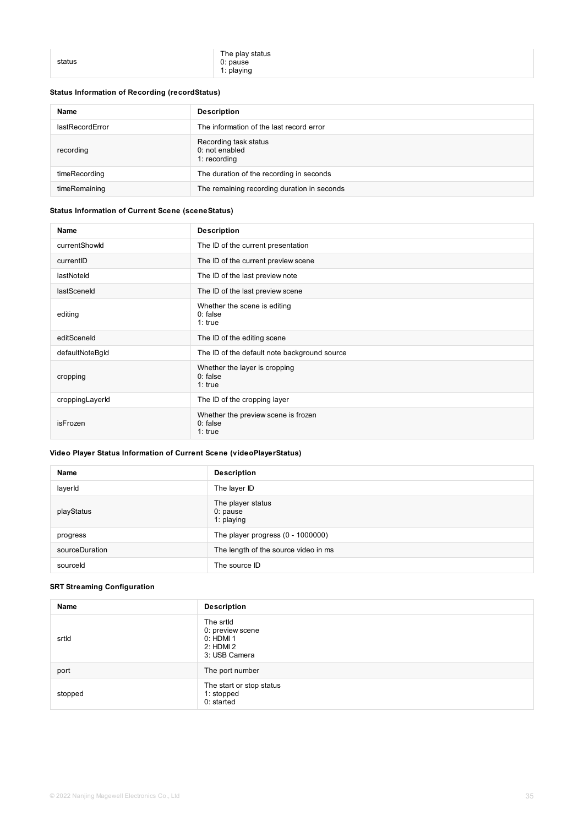| status | The play status<br>$0:$ pause<br>1: playing |
|--------|---------------------------------------------|
|--------|---------------------------------------------|

### **Status Information of Recording (recordStatus)**

| Name            | <b>Description</b>                                      |
|-----------------|---------------------------------------------------------|
| lastRecordError | The information of the last record error                |
| recording       | Recording task status<br>0: not enabled<br>1: recording |
| timeRecording   | The duration of the recording in seconds                |
| timeRemaining   | The remaining recording duration in seconds             |

#### **Status Information of Current Scene (sceneStatus)**

| <b>Name</b>     | <b>Description</b>                                           |
|-----------------|--------------------------------------------------------------|
| currentShowld   | The ID of the current presentation                           |
| currentID       | The ID of the current preview scene                          |
| lastNoteld      | The ID of the last preview note                              |
| lastSceneld     | The ID of the last preview scene                             |
| editing         | Whether the scene is editing<br>$0:$ false<br>1: true        |
| editSceneld     | The ID of the editing scene                                  |
| defaultNoteBgld | The ID of the default note background source                 |
| cropping        | Whether the layer is cropping<br>$0:$ false<br>1: true       |
| croppingLayerId | The ID of the cropping layer                                 |
| isFrozen        | Whether the preview scene is frozen<br>$0:$ false<br>1: true |

### **Video Player Status Information of Current Scene (videoPlayerStatus)**

| <b>Name</b>    | <b>Description</b>                            |
|----------------|-----------------------------------------------|
| layerld        | The layer ID                                  |
| playStatus     | The player status<br>$0:$ pause<br>1: playing |
| progress       | The player progress (0 - 1000000)             |
| sourceDuration | The length of the source video in ms          |
| sourceld       | The source ID                                 |

### **SRT Streaming Configuration**

| <b>Name</b> |     |
|-------------|-----|
|             | tic |

| srtld   | 0: preview scene<br>0: HDMI 1<br>$2:$ HDMI $2$<br>3: USB Camera |
|---------|-----------------------------------------------------------------|
| port    | The port number                                                 |
| stopped | The start or stop status<br>1: stopped<br>0: started            |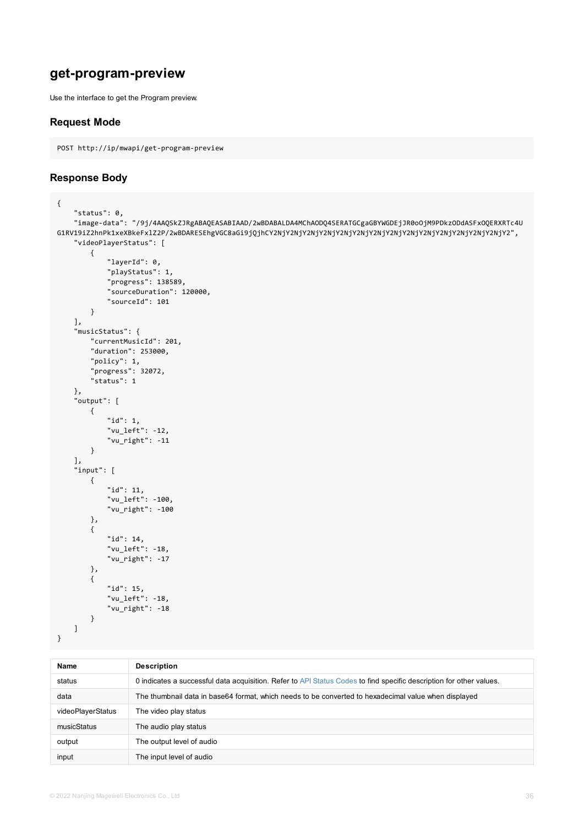## **get-program-preview**

Use the interface to get the Program preview.

### **Request Mode**

POST http://ip/mwapi/get-program-preview

### **Response Body**

```
{
    "status": 0,
    "image-data": "/9j/4AAQSkZJRgABAQEASABIAAD/2wBDABALDA4MChAODQ4SERATGCgaGBYWGDEjJR0oOjM9PDkzODdASFxOQERXRTc4U
G1RV19iZ2hnPk1xeXBkeFxlZ2P/2wBDARESEhgVGC8aGi9jQjhCY2NjY2NjY2NjY2NjY2NjY2NjY2NjY2NjY2NjY2NjY2NjY2NjY2NjY2NjY2",
    "videoPlayerStatus": [
        {
            "layerId": 0,
            "playStatus": 1,
            "progress": 138589,
            "sourceDuration": 120000,
            "sourceId": 101
        }
    ],
    "musicStatus": {
        "currentMusicId": 201,
        "duration": 253000,
        "policy": 1,
        "progress": 32072,
        "status": 1
    },
    "output": [
        {
            "id": 1,
            "vu_left": -12,
            "vu_right": -11
        }
    ],
    "input": [
        {
            "id": 11,
            "vu_left": -100,
            "vu_right": -100
        },
        {
            "id": 14,
            "vu_left": -18,
            "vu_right": -17
        },
        {
            "id": 15,
            "vu_left": -18,
            "vu_right": -18
        }
```
## **Name Description** status 0 indicates a successful data acquisition. Refer to API Status Codes to find specific description for other values. data The thumbnail data in base64 format, which needs to be converted to hexadecimal value when displayed videoPlayerStatus | The video play status musicStatus The audio play status output The output level of audio input **The input level of audio**

]

}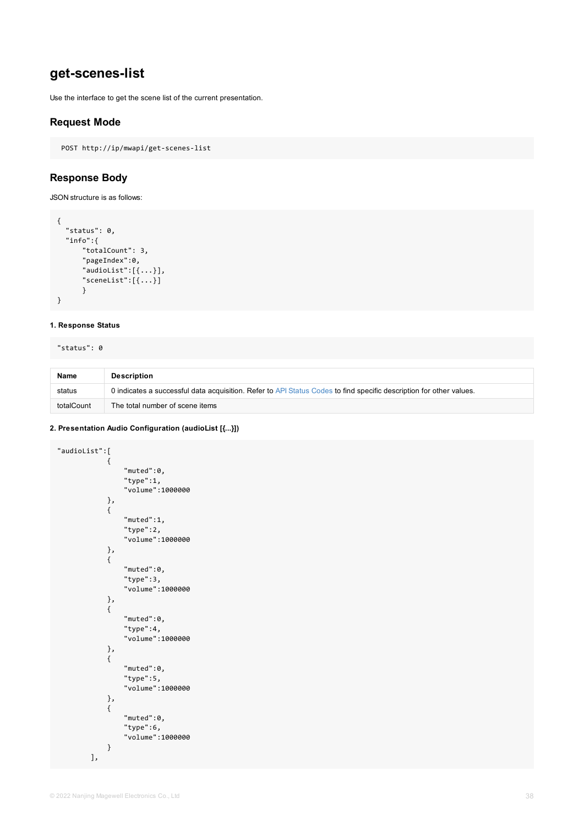## **get-scenes-list**

Use the interface to get the scene list of the current presentation.

### **Request Mode**

POST http://ip/mwapi/get-scenes-list

### **Response Body**

JSON structure is as follows:

```
{
  "status": 0,
  "info":{
      "totalCount": 3,
      "pageIndex":0,
      "audioList":[{...}],
      "sceneList":[{...}]
      }
}
```
#### **1. Response Status**

#### "status": 0

| <b>Name</b> | <b>Description</b>                                                                                                  |
|-------------|---------------------------------------------------------------------------------------------------------------------|
| status      | 0 indicates a successful data acquisition. Refer to API Status Codes to find specific description for other values. |
| totalCount  | The total number of scene items                                                                                     |

#### **2. Presentation Audio Configuration (audioList [{...}])**

```
"audioList":[
            {
                 "muted":0,
                "type":1,
                "volume":1000000
            },
            {
                 "muted":1,
                "type":2,
                "volume":1000000
            },
            {
                 "muted":0,
                "type":3,
                "volume":1000000
            },
            {
                "muted":0,
                "type":4,
                "volume":1000000
            },
            {
                 "muted":0,
                 "type":5,
                "volume":1000000
            },
            {
                "muted":0,
                 "type":6,
                "volume":1000000
            }
        ],
```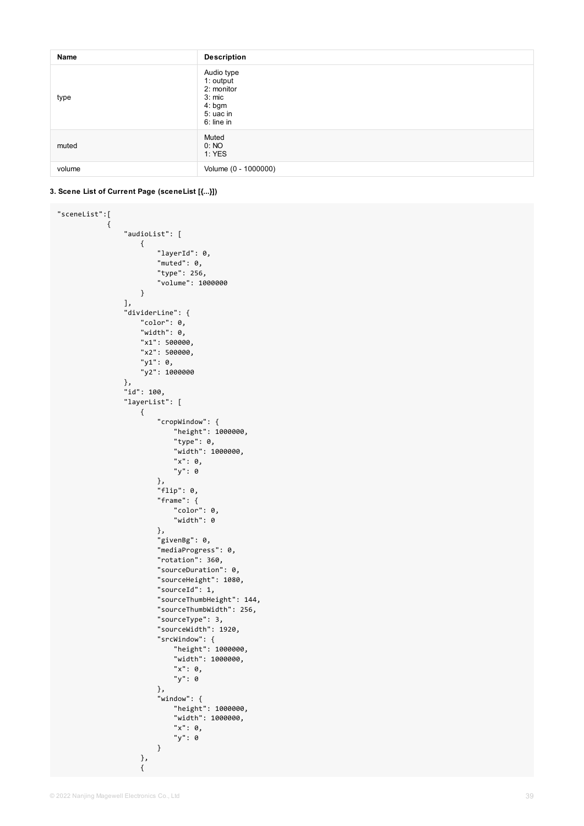| <b>Name</b> | <b>Description</b>                                                                         |
|-------------|--------------------------------------------------------------------------------------------|
| type        | Audio type<br>$1:$ output<br>2: monitor<br>$3:$ mic<br>$4:$ bgm<br>5: uac in<br>6: line in |
| muted       | Muted<br>0:NO<br>1: YES                                                                    |
| volume      | Volume (0 - 1000000)                                                                       |

#### 3. Scene List of Current Page (sceneList [{...}])

```
"sceneList":
            \{"audioList": [
                    {
                         "layerId": 0,
                         "muted": 0,
                         "type": 256,
                         "volume": 1000000
                    }
                 ]
,
                 "dividerLine": {
                     "color": 0,
                     "width": 0,
                     "x1": 500000,
                     "x2": 500000,
                     "y1": 0,
                     "y2": 1000000
                 }
,
                 "id": 100,
                 "layerList": [
                    {
                         "cropWindow": {
                             "height": 1000000,
                             "type": 0,
                             "width": 1000000,
                             "x": 0,
                             "
y
"
:
0
                         }
,
                         "flip": 0,
                         "frame": {
                             "color": 0,
                             "width": 0
                         }
,
                         "givenBg": 0,
                         "mediaProgress": 0,
                         "rotation": 360,
                         "sourceDuration": 0,
                         "sourceHeight": 1080,
                         "sourceId": 1,
                         "sourceThumbHeight": 144,
                         "sourceThumbWidth": 256,
                         "sourceType": 3,
```

```
"sourceWidth": 1920,
    "srcWindow": {
         "height": 1000000,
         "width": 1000000,
         "x": 0,
         "
y
"
:
0
    }
,
    "window": {
         "height": 1000000,
         "width": 1000000,
         "x": 0,
         "
y
"
:
0
    }
}
,
{
```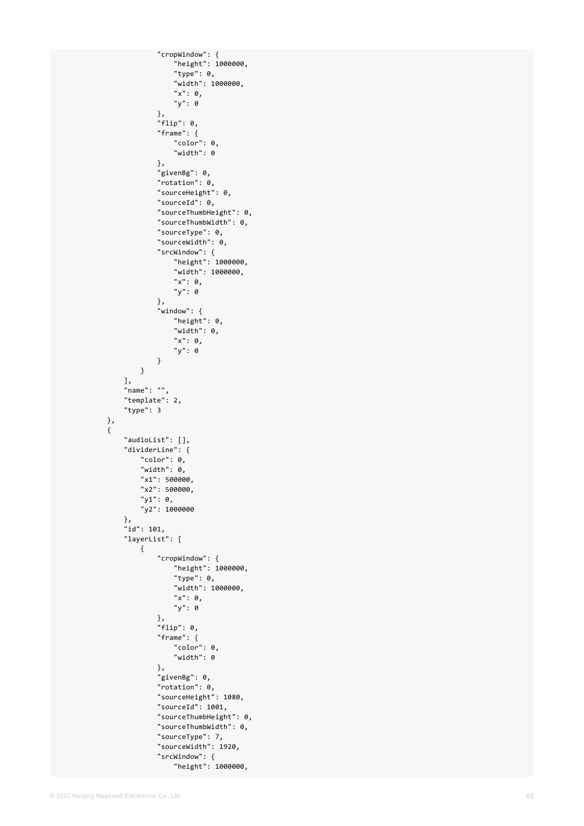```
"cropWindow": {
                  "height": 1000000,
                  "type": 0,
                  "width": 1000000,
                  "x": 0,
                  "
y
"
:
0
             }
,
             "flip": 0,
             "frame": {
                  "color": 0,
                  "width": 0
             }
,
             "givenBg": 0,
             "rotation": 0,
             "sourceHeight": 0,
             "sourceId": 0,
             "sourceThumbHeight": 0,
             "sourceThumbWidth": 0,
             "sourceType": 0,
             "sourceWidth": 0,
             "srcWindow": {
                  "height": 1000000,
                  "width": 1000000,
                  "x": 0,
                  "
y
"
:
0
             }
,
             "window": {
                  "height": 0,
                  "width": 0,
                  "x": 0,
                  "
y
"
:
0
            }
        }
    ]
,
    "name": "",
    "template": 2,
    "
t
y
p
e
"
:
3
}
,
{
    "audioList": [],
    "dividerLine": {
         "color": 0,
         "width": 0,
         "x1": 500000,
         "x2": 500000,
         "y1": 0,
         "y2": 1000000
    }
,
    "id": 101,
    "layerList": [
        {
             "cropWindow": {
                  "height": 1000000,
                  "type": 0,
                  "width": 1000000,
                  "x": 0,
                  "
y
"
:
0
             }
,
```

```
"flip": 0,
"frame": {
    "color": 0,
    "width": 0
}
,
"givenBg": 0,
"rotation": 0,
"sourceHeight": 1080,
"sourceId": 1001,
"sourceThumbHeight": 0,
"sourceThumbWidth": 0,
"sourceType": 7,
"sourceWidth": 1920,
"srcWindow": {
    "height": 1000000,
```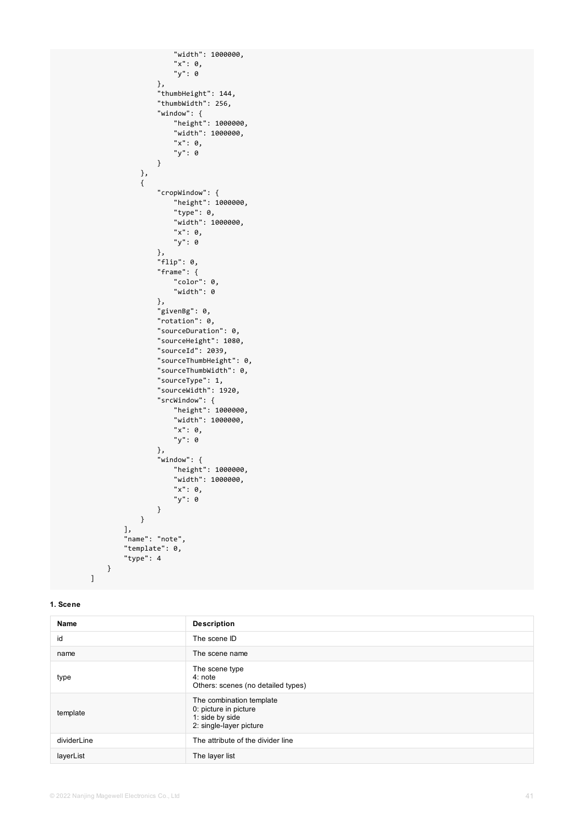```
"width": 1000000,
                      "x": 0,
                      "
y
"
:
0
                  }
,
                  "thumbHeight": 144,
                  "thumbWidth": 256,
                  "window": {
                      "height": 1000000,
                      "width": 1000000,
                      "x": 0,
                      "
y
"
:
0
                 }
             }
,
             {
                  "cropWindow": {
                      "height": 1000000,
                      "type": 0,
                      "width": 1000000,
                      "x": 0,
                      "
y
"
:
0
                  }
,
                  "flip": 0,
                  "frame": {
                      "color": 0,
                      "width": 0
                  }
,
                  "givenBg": 0,
                  "rotation": 0,
                  "sourceDuration": 0,
                  "sourceHeight": 1080,
                  "sourceId": 2039,
                  "sourceThumbHeight": 0,
                  "sourceThumbWidth": 0,
                  "sourceType": 1,
                  "sourceWidth": 1920,
                  "srcWindow": {
                      "height": 1000000,
                      "width": 1000000,
                      "x": 0,
                      "
y
"
:
0
                  }
,
                  "window": {
                      "height": 1000000,
                      "width": 1000000,
                      "x": 0,
                      "
y
"
:
0
                 }
             }
         ]
,
         "name": "note",
         "template": 0,
         "
t
y
p
e
"
:
4
    }
\mathbf{I}
```
## **1 . S c e n e**

| <b>Name</b> | <b>Description</b>                                                                              |
|-------------|-------------------------------------------------------------------------------------------------|
| id          | The scene ID                                                                                    |
| name        | The scene name                                                                                  |
| type        | The scene type<br>4:note<br>Others: scenes (no detailed types)                                  |
| template    | The combination template<br>0: picture in picture<br>1: side by side<br>2: single-layer picture |
| dividerLine | The attribute of the divider line                                                               |
| layerList   | The layer list                                                                                  |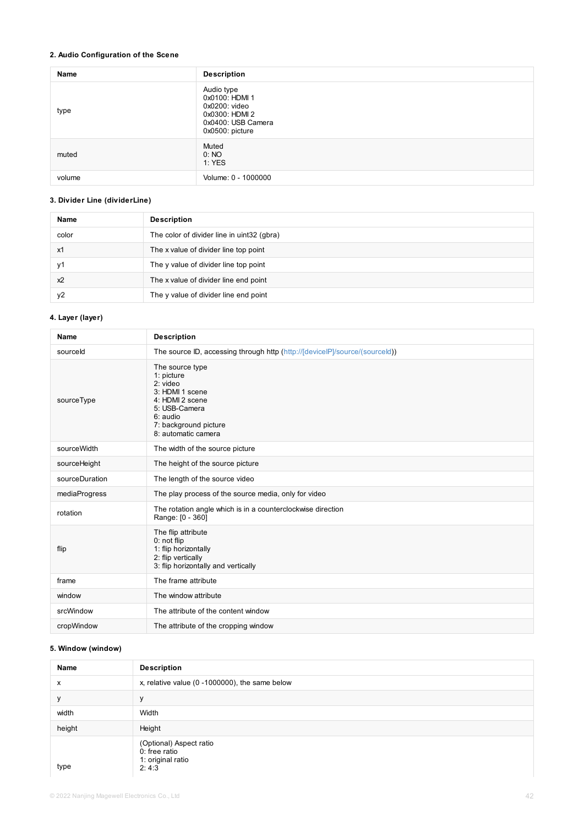| The x value of divider line end point |
|---------------------------------------|
| The y value of divider line end point |

#### **4. Layer (layer)**

| <b>Name</b>    | <b>Description</b>                                                                                                                                           |
|----------------|--------------------------------------------------------------------------------------------------------------------------------------------------------------|
| sourceld       | The source ID, accessing through http (http://[deviceIP]/source/(sourceId))                                                                                  |
| sourceType     | The source type<br>1: picture<br>2: video<br>3: HDMI 1 scene<br>4: HDMI 2 scene<br>5: USB-Camera<br>6: audio<br>7: background picture<br>8: automatic camera |
| sourceWidth    | The width of the source picture                                                                                                                              |
| sourceHeight   | The height of the source picture                                                                                                                             |
| sourceDuration | The length of the source video                                                                                                                               |
| mediaProgress  | The play process of the source media, only for video                                                                                                         |
| rotation       | The rotation angle which is in a counterclockwise direction<br>Range: [0 - 360]                                                                              |
| flip           | The flip attribute<br>0: not flip<br>1: flip horizontally<br>2: flip vertically<br>3: flip horizontally and vertically                                       |
| frame          | The frame attribute                                                                                                                                          |
| window         | The window attribute                                                                                                                                         |
| srcWindow      | The attribute of the content window                                                                                                                          |
| cropWindow     | The attribute of the cropping window                                                                                                                         |

### **5. Window (window)**

| <b>Name</b> | <b>Description</b>                                                     |
|-------------|------------------------------------------------------------------------|
| X           | x, relative value (0 -1000000), the same below                         |
| У           | у                                                                      |
| width       | Width                                                                  |
| height      | Height                                                                 |
| type        | (Optional) Aspect ratio<br>0: free ratio<br>1: original ratio<br>2:4:3 |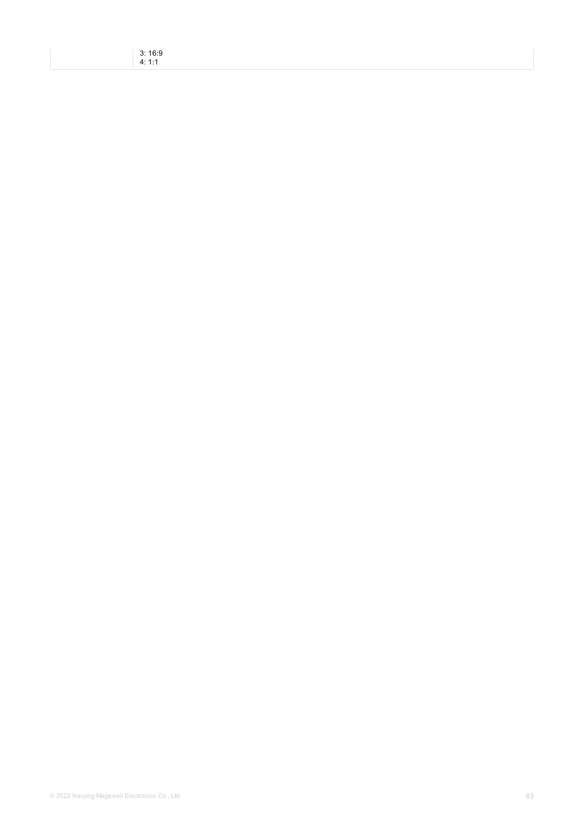| 3:16:9 |  |  |
|--------|--|--|
|        |  |  |
| 4:1:1  |  |  |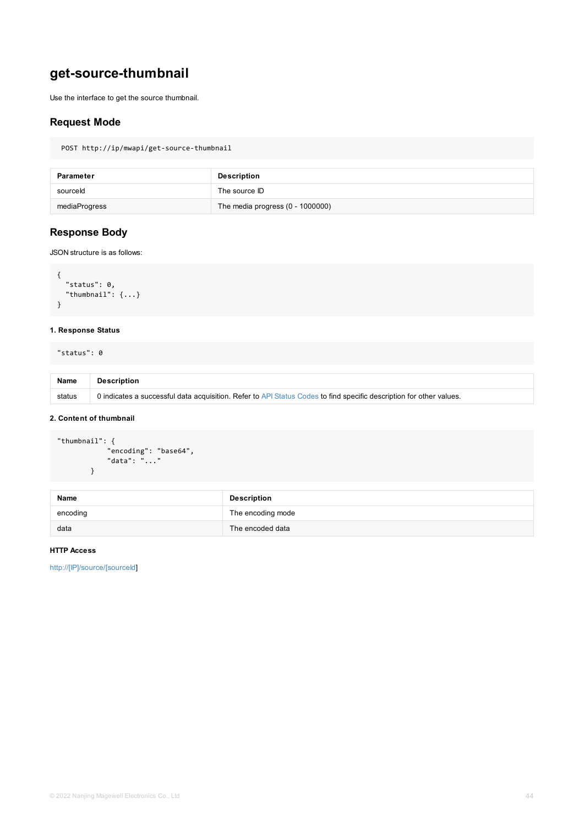```
\mathbf{r}"status": 0,
  "thumbnail": {...}
}
```
#### **1. Response Status**

"status": 0

| <b>Name</b> | <b>Description</b>                                                                                       |
|-------------|----------------------------------------------------------------------------------------------------------|
| status      | 0 indicates a successful data acquisition. Refer to API Status Codes to find specific description for ot |

#### **2. Content of thumbnail**

```
"thumbnail": {
            "encoding": "base64",
            "data": "..."
        }
```

| <b>Name</b> | <b>Description</b> |
|-------------|--------------------|
| encoding    | The encoding mode  |
| data        | The encoded data   |

#### **HTTP Access**

http://[IP]/source/[sourceId]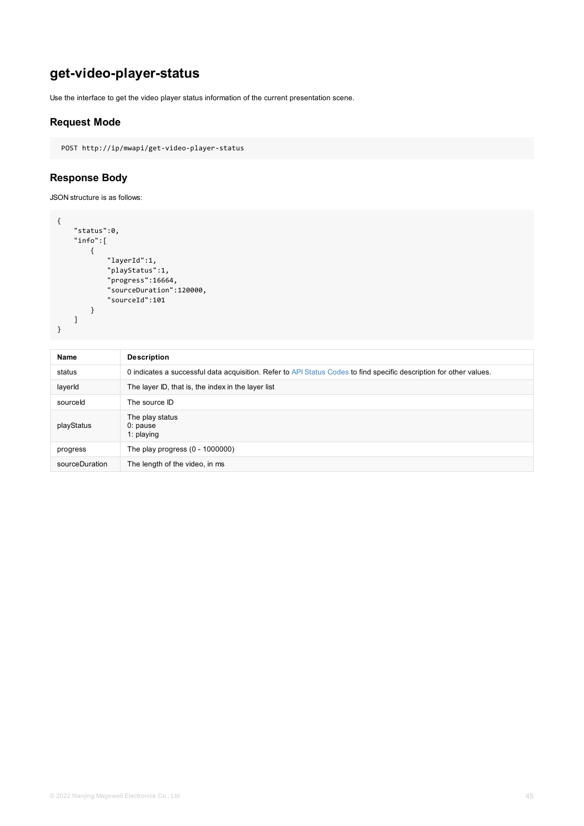# **get-video-player-status**

Use the interface to get the video player status information of the current presentation scene.

### **Request Mode**

POST http://ip/mwapi/get-video-player-status

## **Response Body**

JSON structure is as follows:

```
{
    "status":0,
    "info":[
        {
             "layerId":1,
             "playStatus":1,
             "progress":16664,
             "sourceDuration":120000,
             "sourceId":101
        }
    \, \, \,}
```

| <b>Name</b>    | <b>Description</b>                                                                                                  |
|----------------|---------------------------------------------------------------------------------------------------------------------|
| status         | 0 indicates a successful data acquisition. Refer to API Status Codes to find specific description for other values. |
| layerld        | The layer ID, that is, the index in the layer list                                                                  |
| sourceld       | The source <b>ID</b>                                                                                                |
| playStatus     | The play status<br>$0:$ pause<br>1: playing                                                                         |
| progress       | The play progress $(0 - 1000000)$                                                                                   |
| sourceDuration | The length of the video, in ms                                                                                      |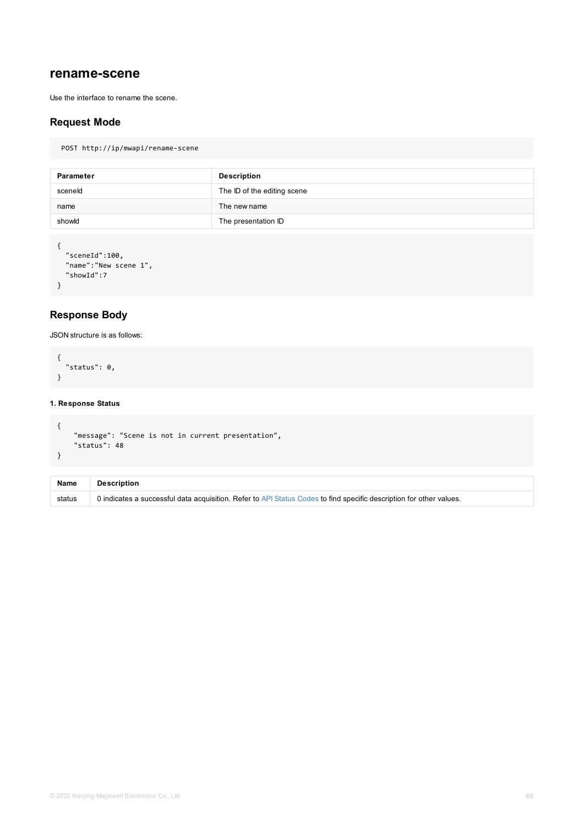### **rename-scene**

Use the interface to rename the scene.

## **Request Mode**

POST http://ip/mwapi/rename-scene

| Parameter | <b>Description</b>          |
|-----------|-----------------------------|
| sceneld   | The ID of the editing scene |
| name      | The new name                |
| showld    | The presentation ID         |

```
\{"status": 0,
}
```

```
{
  "sceneId":100,
  "name":"New scene 1",
  "showId":7
}
```
## **Response Body**

JSON structure is as follows:

#### **1. Response Status**

```
{
    "message": "Scene is not in current presentation",
    "status": 48
}
```

| <b>Name</b> | <b>Description</b>                                                                                                  |
|-------------|---------------------------------------------------------------------------------------------------------------------|
| status      | 0 indicates a successful data acquisition. Refer to API Status Codes to find specific description for other values. |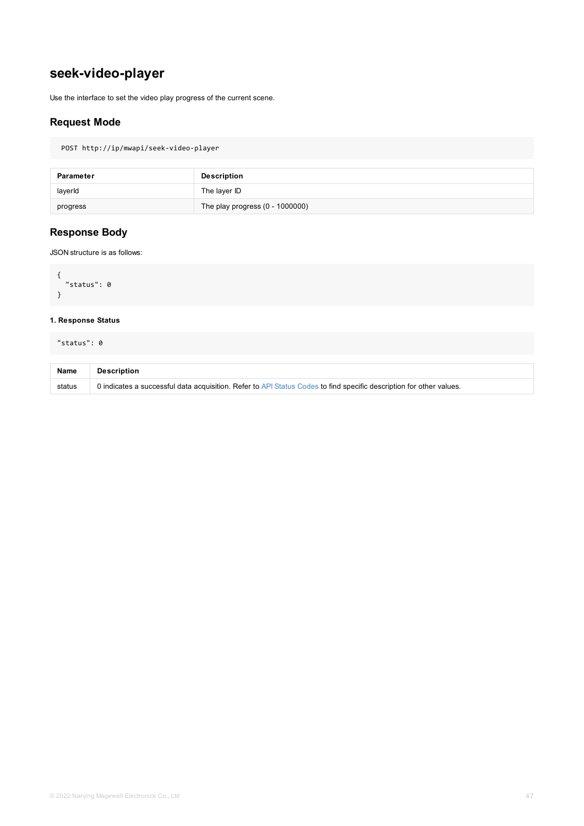# **seek-video-player**

Use the interface to set the video play progress of the current scene.

## **Request Mode**

POST http://ip/mwapi/seek-video-player

| <b>Parameter</b> | <b>Description</b>              |
|------------------|---------------------------------|
| layerld          | The layer ID                    |
| progress         | The play progress (0 - 1000000) |

## **Response Body**

JSON structure is as follows:

```
{
  "status": 0
}
```
### **1. Response Status**

"status": 0

| Name   | <b>Description</b>                                                                                                  |
|--------|---------------------------------------------------------------------------------------------------------------------|
| status | 0 indicates a successful data acquisition. Refer to API Status Codes to find specific description for other values. |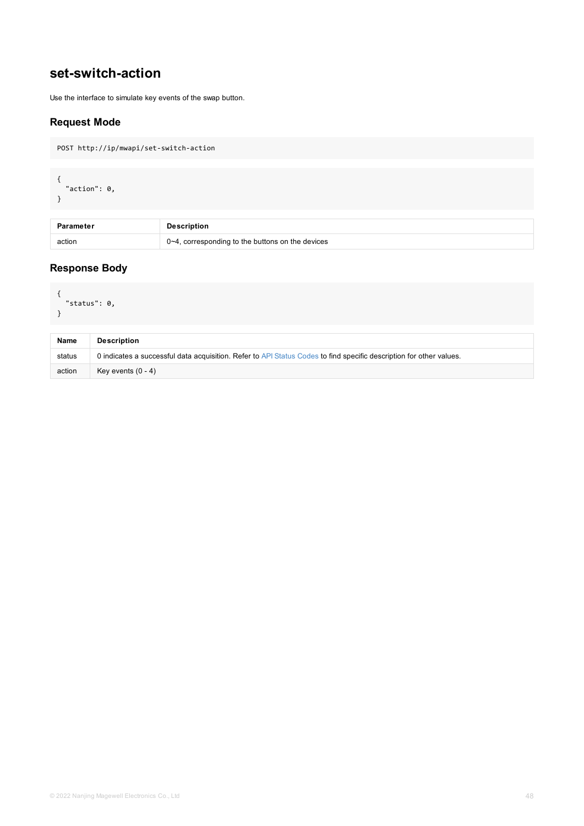## **set-switch-action**

Use the interface to simulate key events of the swap button.

## **Request Mode**

POST http://ip/mwapi/set-switch-action

{ "action": 0, }

| <b>Parameter</b> | <b>Description</b>                               |
|------------------|--------------------------------------------------|
| action           | 0~4, corresponding to the buttons on the devices |

## **Response Body**

```
{
  "status": 0,
}
```

| <b>Name</b> | Description                                                                                                         |
|-------------|---------------------------------------------------------------------------------------------------------------------|
| status      | 0 indicates a successful data acquisition. Refer to API Status Codes to find specific description for other values. |
| action      | Key events $(0 - 4)$                                                                                                |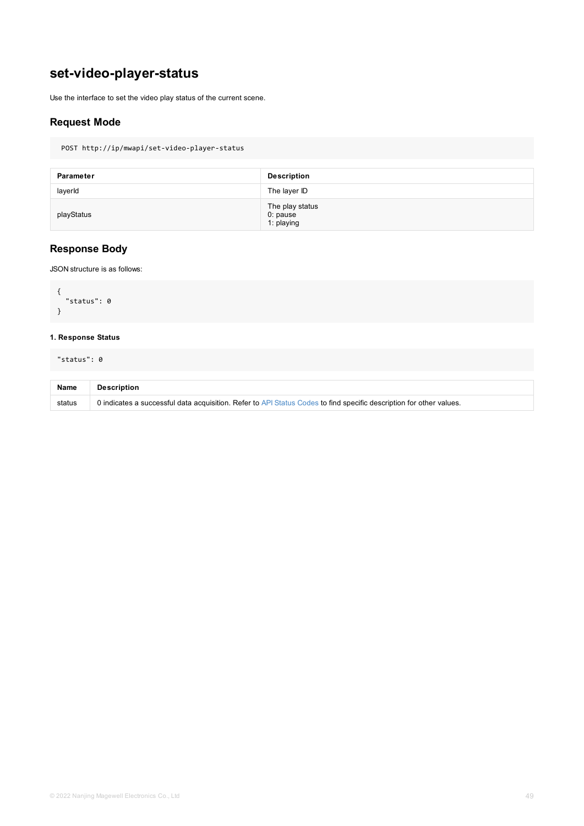# **set-video-player-status**

Use the interface to set the video play status of the current scene.

## **Request Mode**

POST http://ip/mwapi/set-video-player-status

| Parameter  | <b>Description</b>                        |
|------------|-------------------------------------------|
| layerld    | The layer ID                              |
| playStatus | The play status<br>0: pause<br>1: playing |

## **Response Body**

JSON structure is as follows:

```
{
  "status": 0
}
```
### **1. Response Status**

"status": 0

| <b>Name</b> | Description                                                                                                         |
|-------------|---------------------------------------------------------------------------------------------------------------------|
| status      | 0 indicates a successful data acquisition. Refer to API Status Codes to find specific description for other values. |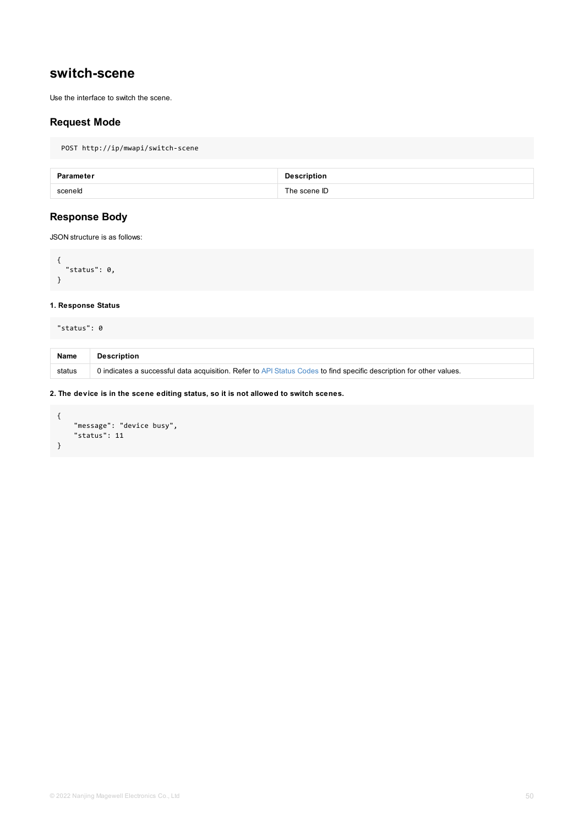## **switch-scene**

Use the interface to switch the scene.

## **Request Mode**

POST http://ip/mwapi/switch-scene

| <b>Parameter</b> | <b>Description</b> |
|------------------|--------------------|
| sceneld          | The scene ID       |

## **Response Body**

JSON structure is as follows:

```
{
  "status": 0,
}
```
### **1. Response Status**

"status": 0

| <b>Name</b> | <b>Description</b>                                                                                                  |
|-------------|---------------------------------------------------------------------------------------------------------------------|
| status      | 0 indicates a successful data acquisition. Refer to API Status Codes to find specific description for other values. |

**2. The device is in the scene editing status, so it is not allowed to switch scenes.**

```
{
    "message": "device busy",
    "status": 11
}
```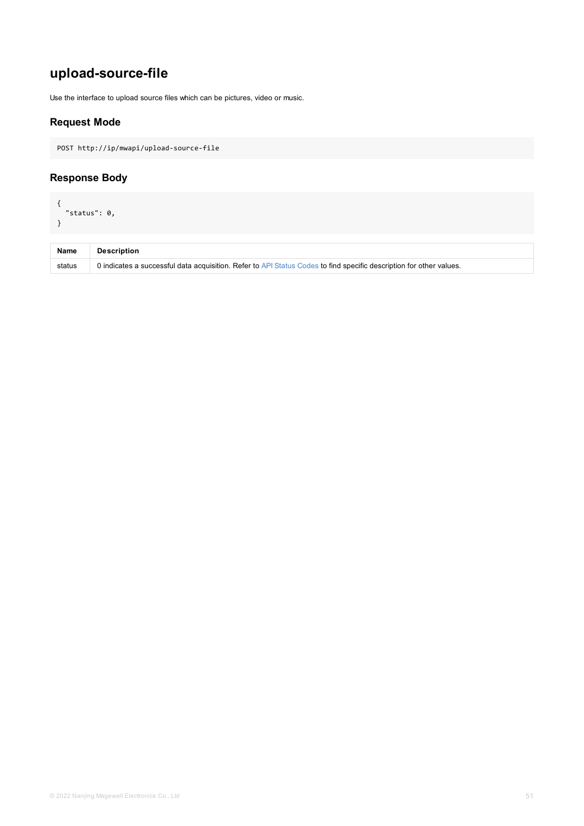# **upload-source-file**

Use the interface to upload source files which can be pictures, video or music.

## **Request Mode**

POST http://ip/mwapi/upload-source-file

## **Response Body**

| "status": $0,$ |  |  |  |
|----------------|--|--|--|
|                |  |  |  |
|                |  |  |  |

| <b>Name</b> | Description                                                                                                         |
|-------------|---------------------------------------------------------------------------------------------------------------------|
| status      | 0 indicates a successful data acquisition. Refer to API Status Codes to find specific description for other values. |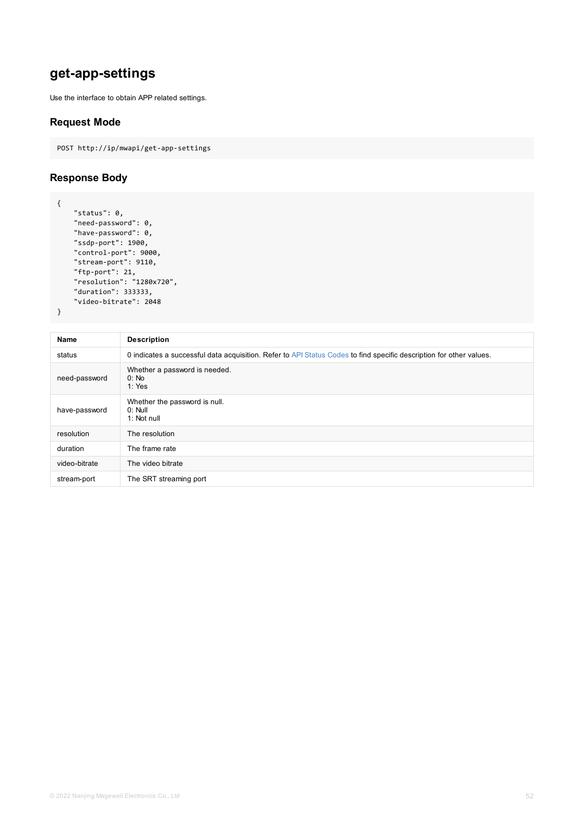```
"resolution": "1280x720",
"duration": 333333,
"video-bitrate": 2048
```
}

**Name Description** status **0** indicates a successful data acquisition. Refer to API Status Codes to find specific description for other values. need-password Whether a password is needed. 0: No 1: Yes have-password Whether the password is null. 0: Null 1: Not null resolution The resolution duration The frame rate video-bitrate The video bitrate stream-port The SRT streaming port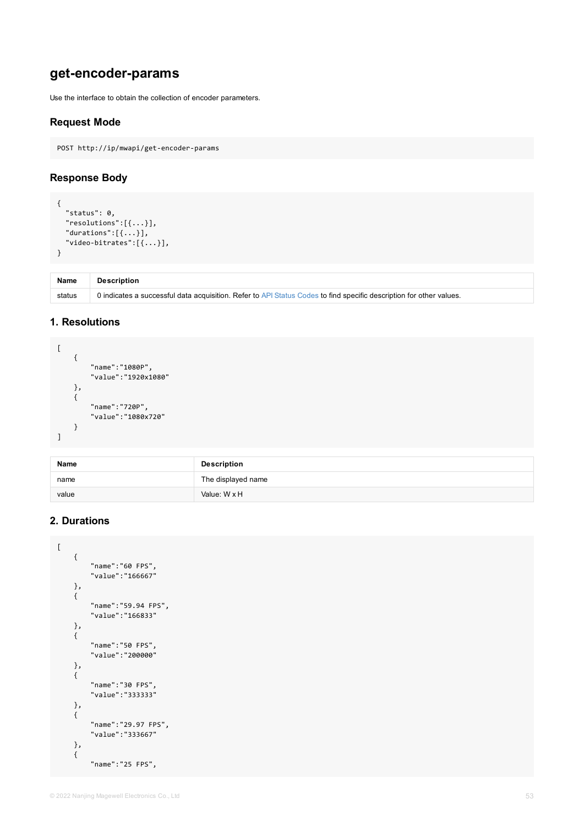| <b>Name</b> | <b>Description</b>                                                                                       |
|-------------|----------------------------------------------------------------------------------------------------------|
| status      | 0 indicates a successful data acquisition. Refer to API Status Codes to find specific description for ot |

### **1. Resolutions**

```
\lceil{
        "name":"1080P",
        "value":"1920x1080"
    },
    {
        "name":"720P",
        "value":"1080x720"
    }
]
```

| <b>Name</b> | <b>Description</b> |
|-------------|--------------------|
| name        | The displayed name |
| value       | Value: W x H       |

## **2. Durations**

```
\lceil{
        "name":"60 FPS",
        "value":"166667"
    },
    {
        "name":"59.94 FPS",
        "value":"166833"
    },
    {
        "name":"50 FPS",
        "value":"200000"
    },
    {
        "name":"30 FPS",
        "value":"333333"
    },
    {
        "name":"29.97 FPS",
        "value":"333667"
    },
    {
        "name":"25 FPS",
```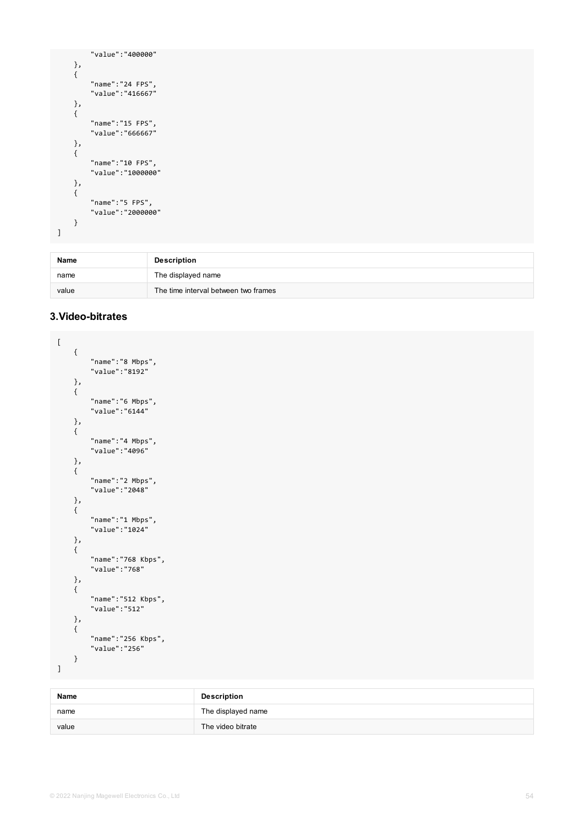```
"value":"400000"
      }
,
     {
           "
n
a
m
e
"
:
"
2
4
F
P
S
"
,
           "value":"416667"
      }
,
     {
           "
n
a
m
e
"
:
"
1
5
F
P
S
"
,
           "value":"666667"
      }
,
     {
           "
n
a
m
e
"
:
"
1
0
F
P
S
"
,
           "value":"1000000"
      }
,
     {
           "
n
a
m
e
"
:
"
5
F
P
S
"
,
           "value":"2000000"
     }
]
```

| <b>Name</b> | <b>Description</b>                   |
|-------------|--------------------------------------|
| name        | The displayed name                   |
| value       | The time interval between two frames |

### **3 . V i d e o - b i t r a t e s**

```
\Gamma{
         "name":"8 Mbps",
         "value":"8192"
    }
,
    {
         "name":"6 Mbps",
         "value":"6144"
    }
,
    {
         "name":"4 Mbps",
         "value":"4096"
    }
,
    {
         "name":"2 Mbps",
         "value":"2048"
    }
,
    {
         "name":"1 Mbps",
         "value":"1024"
    }
,
    {
         "name":"768 Kbps",
         "value":"768"
    }
,
    {
         "name":"512 Kbps",
         "value":"512"
    }
,
```
{ "name":"256 Kbps"**,** "value":"256" }

]

| <b>Name</b> | <b>Description</b> |
|-------------|--------------------|
| name        | The displayed name |
| value       | The video bitrate  |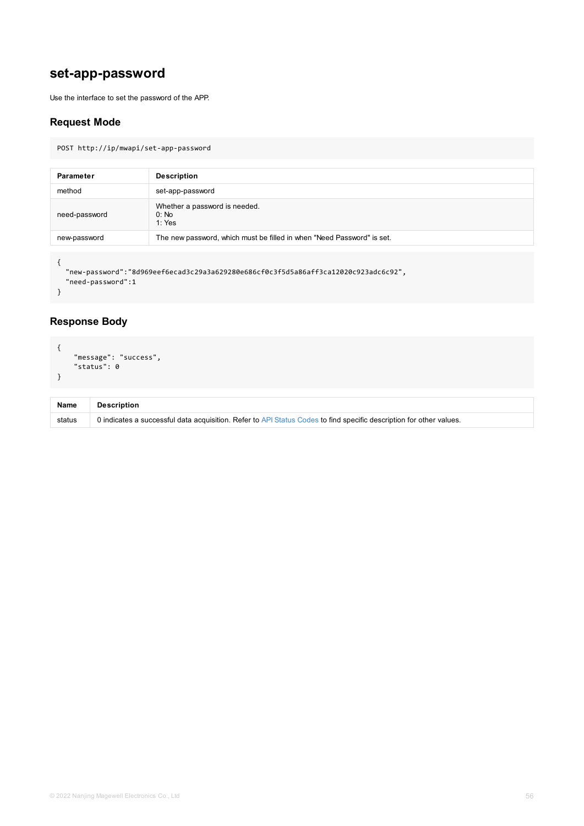```
"need-password":1
}
```
## **Response Body**

```
{
    "message": "success",
   "status": 0
}
```

| <b>Name</b> | <b>Description</b>                                                                                       |
|-------------|----------------------------------------------------------------------------------------------------------|
| status      | 0 indicates a successful data acquisition. Refer to API Status Codes to find specific description for ot |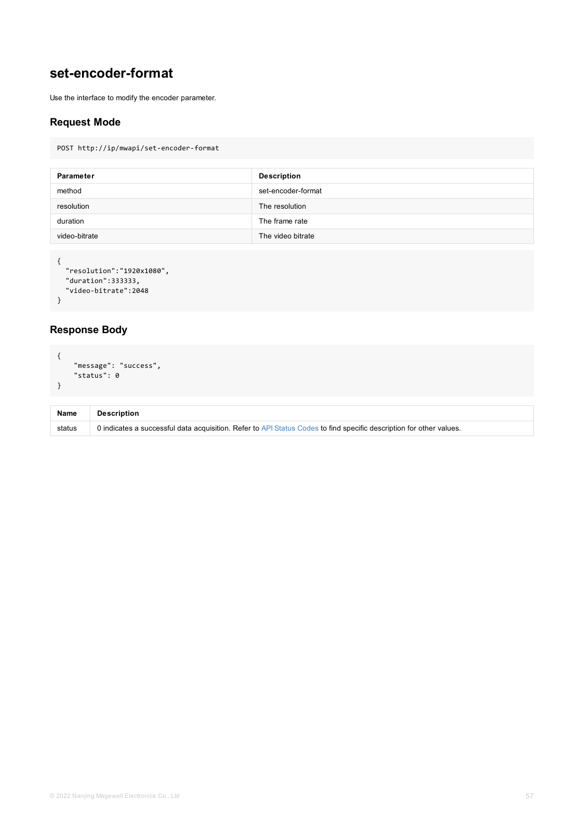```
"duration":333333,
  "video-bitrate":2048
}
```
## **Response Body**

```
{
    "message": "success",
    "status": 0
}
```

| <b>Name</b> | <b>Description</b>                                                                                       |
|-------------|----------------------------------------------------------------------------------------------------------|
| status      | 0 indicates a successful data acquisition. Refer to API Status Codes to find specific description for ot |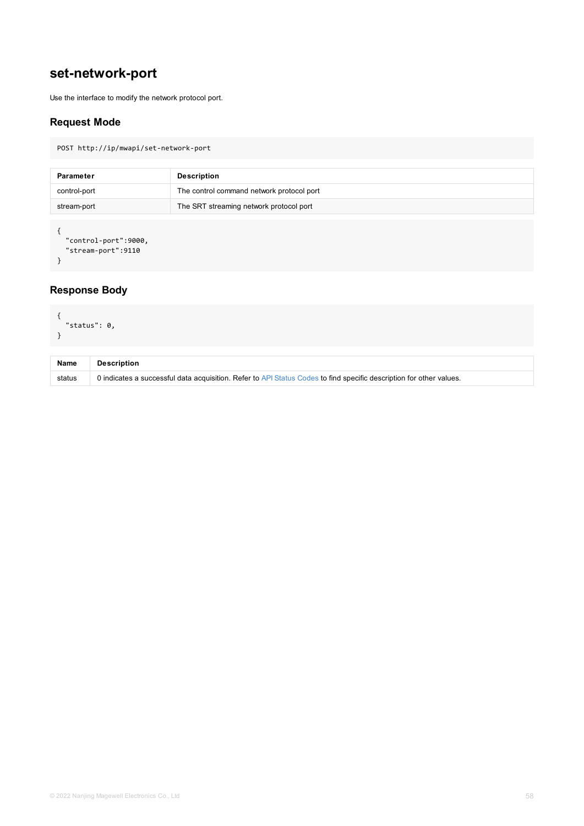## **Response Body**

```
{
 "status": 0,
}
```

| <b>Name</b> | Description                                                                                              |
|-------------|----------------------------------------------------------------------------------------------------------|
| status      | 0 indicates a successful data acquisition. Refer to API Status Codes to find specific description for ot |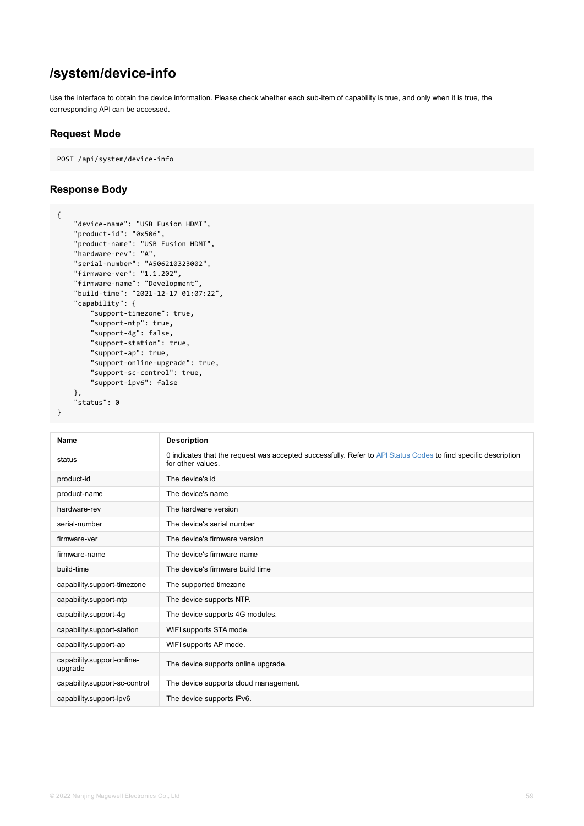```
firmware-vertice \mathcal{I}"firmware-name": "Development",
    "build-time": "2021-12-17 01:07:22",
    "capability": {
        "support-timezone": true,
        "support-ntp": true,
        "support-4g": false,
        "support-station": true,
        "support-ap": true,
        "support-online-upgrade": true,
        "support-sc-control": true,
        "support-ipv6": false
    },
    "status": 0
}
```

| <b>Name</b>                           | <b>Description</b>                                                                                   |
|---------------------------------------|------------------------------------------------------------------------------------------------------|
| status                                | 0 indicates that the request was accepted successfully. Refer to API Status Cod<br>for other values. |
| product-id                            | The device's id                                                                                      |
| product-name                          | The device's name                                                                                    |
| hardware-rev                          | The hardware version                                                                                 |
| serial-number                         | The device's serial number                                                                           |
| firmware-ver                          | The device's firmware version                                                                        |
| firmware-name                         | The device's firmware name                                                                           |
| build-time                            | The device's firmware build time                                                                     |
| capability.support-timezone           | The supported timezone                                                                               |
| capability.support-ntp                | The device supports NTP.                                                                             |
| capability.support-4g                 | The device supports 4G modules.                                                                      |
| capability.support-station            | WIFI supports STA mode.                                                                              |
| capability.support-ap                 | WIFI supports AP mode.                                                                               |
| capability.support-online-<br>upgrade | The device supports online upgrade.                                                                  |
| capability.support-sc-control         | The device supports cloud management.                                                                |
| capability.support-ipv6               | The device supports IPv6.                                                                            |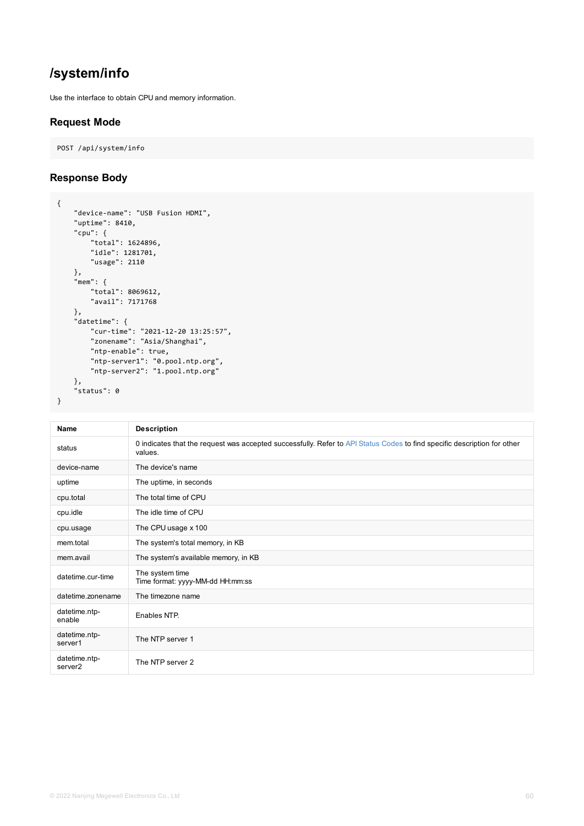```
"mem": {
        "total": 8069612,
        "avail": 7171768
   },
    "datetime": {
        "cur-time": "2021-12-20 13:25:57",
        "zonename": "Asia/Shanghai",
        "ntp-enable": true,
        "ntp-server1": "0.pool.ntp.org",
        "ntp-server2": "1.pool.ntp.org"
    },
    "status": 0
}
```

| <b>Name</b>                          | <b>Description</b>                                                                                   |
|--------------------------------------|------------------------------------------------------------------------------------------------------|
| status                               | 0 indicates that the request was accepted successfully. Refer to API Status Codes to find<br>values. |
| device-name                          | The device's name                                                                                    |
| uptime                               | The uptime, in seconds                                                                               |
| cpu.total                            | The total time of CPU                                                                                |
| cpu.idle                             | The idle time of CPU                                                                                 |
| cpu.usage                            | The CPU usage x 100                                                                                  |
| mem.total                            | The system's total memory, in KB                                                                     |
| mem.avail                            | The system's available memory, in KB                                                                 |
| datetime.cur-time                    | The system time<br>Time format: yyyy-MM-dd HH:mm:ss                                                  |
| datetime.zonename                    | The timezone name                                                                                    |
| datetime.ntp-<br>enable              | Enables NTP.                                                                                         |
| datetime.ntp-<br>server1             | The NTP server 1                                                                                     |
| datetime.ntp-<br>server <sub>2</sub> | The NTP server 2                                                                                     |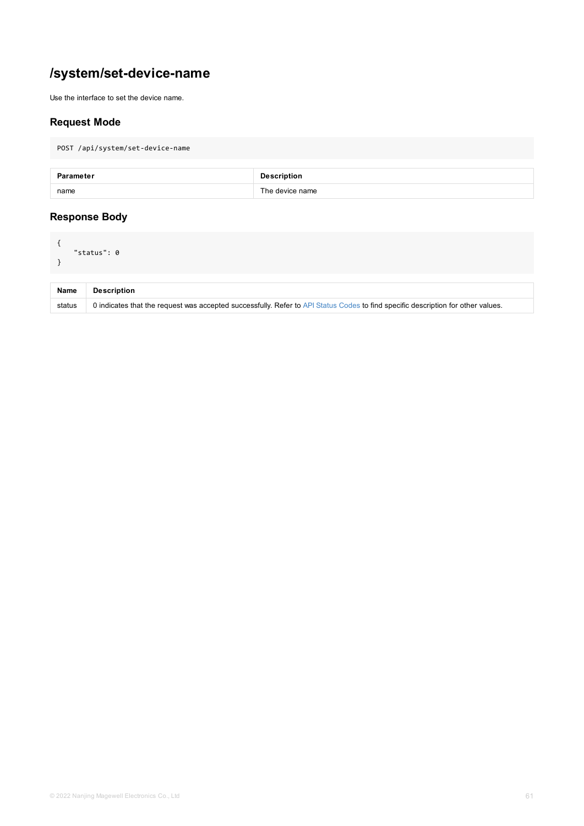| <b>Name</b> | <b>Description</b>                                                                                      |
|-------------|---------------------------------------------------------------------------------------------------------|
| status      | 0 indicates that the request was accepted successfully. Refer to API Status Codes to find specific desc |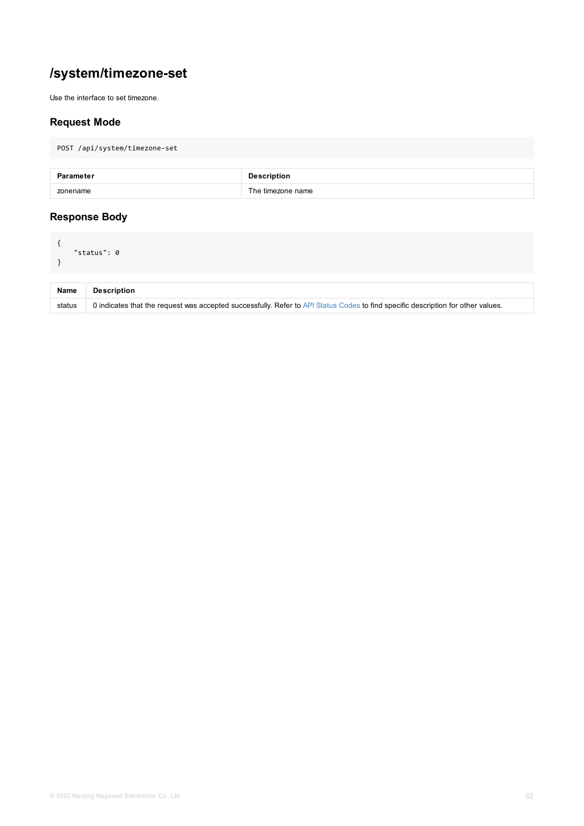| <b>Name</b> | <b>Description</b>                                                                                      |
|-------------|---------------------------------------------------------------------------------------------------------|
| status      | 0 indicates that the request was accepted successfully. Refer to API Status Codes to find specific desc |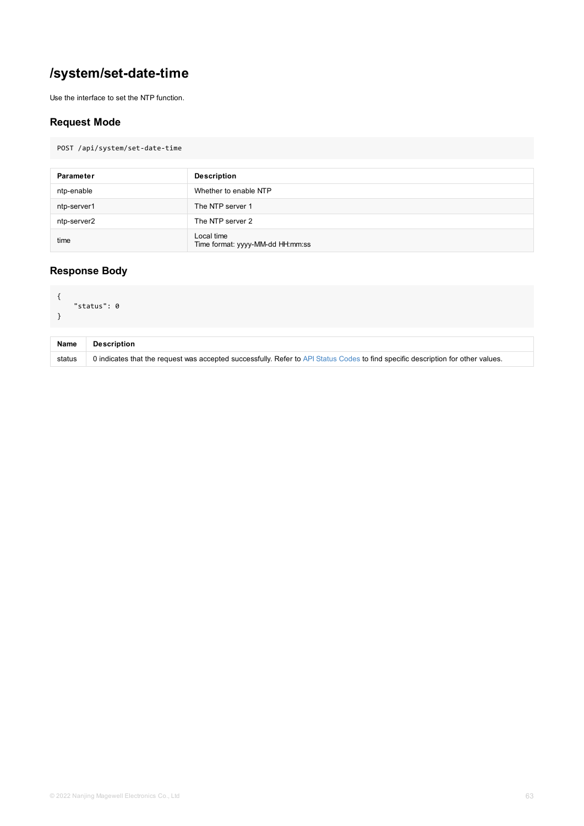```
{
    "status": 0
}
```

| <b>Name</b> | <b>Description</b>                                                                                      |
|-------------|---------------------------------------------------------------------------------------------------------|
| status      | 0 indicates that the request was accepted successfully. Refer to API Status Codes to find specific desc |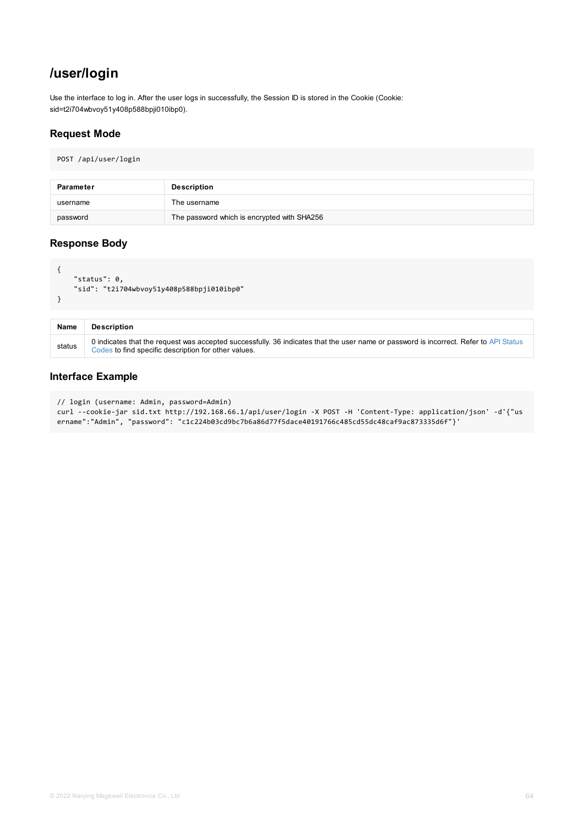# **/user/login**

Use the interface to log in. After the user logs in successfully, the Session ID is stored in the Cookie (Cookie: sid=t2i704wbvoy51y408p588bpji010ibp0).

### **Request Mode**

POST /api/user/login

| <b>Parameter</b> | <b>Description</b>                          |
|------------------|---------------------------------------------|
| username         | The username                                |
| password         | The password which is encrypted with SHA256 |

### **Response Body**

```
{
    "status": 0,
    "sid": "t2i704wbvoy51y408p588bpji010ibp0"
}
```

| <b>Name</b> | Description                                                                                                                                                                                   |
|-------------|-----------------------------------------------------------------------------------------------------------------------------------------------------------------------------------------------|
| status      | 0 indicates that the request was accepted successfully. 36 indicates that the user name or password is incorrect. Refer to API Status<br>Codes to find specific description for other values. |

## **Interface Example**

```
// login (username: Admin, password=Admin)
```

```
curl --cookie-jar sid.txt http://192.168.66.1/api/user/login -X POST -H 'Content-Type: application/json' -d'{"us
ername":"Admin", "password": "c1c224b03cd9bc7b6a86d77f5dace40191766c485cd55dc48caf9ac873335d6f"}'
```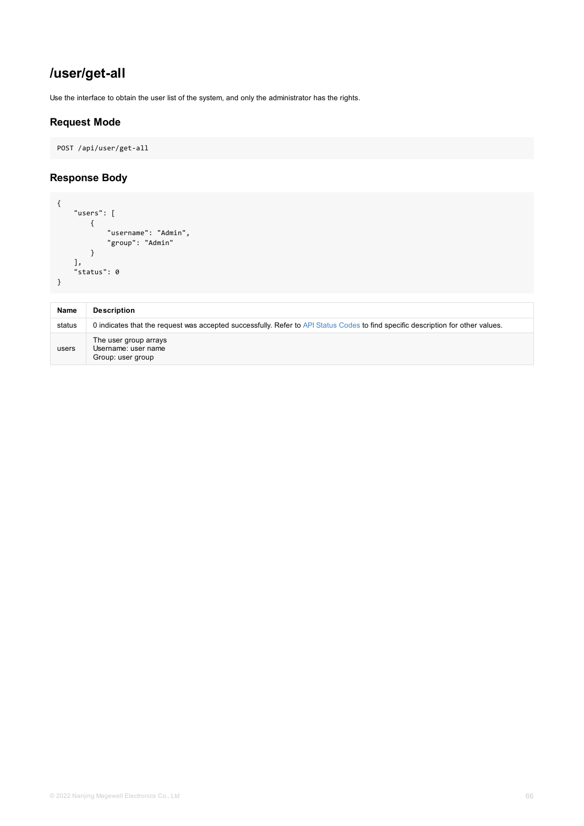}

| <b>Name</b> | <b>Description</b>                                                                                      |
|-------------|---------------------------------------------------------------------------------------------------------|
| status      | 0 indicates that the request was accepted successfully. Refer to API Status Codes to find specific desc |
| users       | The user group arrays<br>Username: user name<br>Group: user group                                       |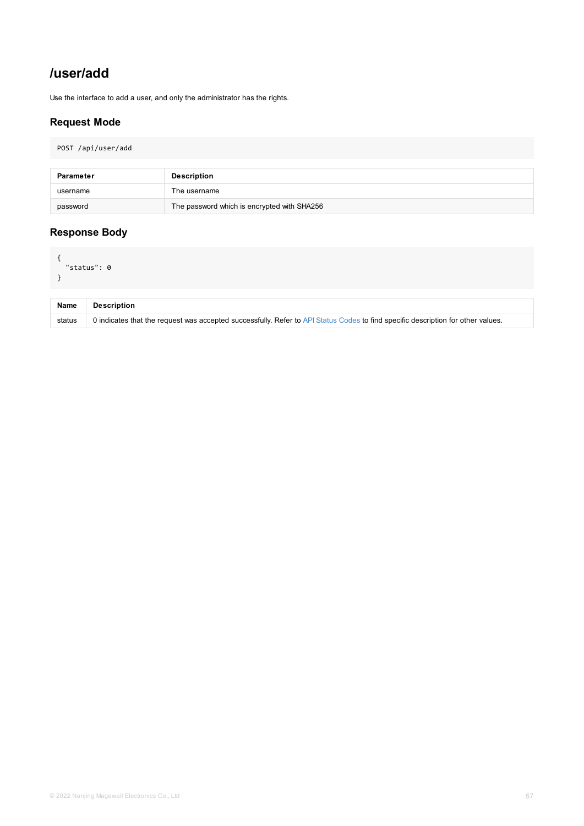| <b>Name</b> | <b>Description</b>                                                                                      |
|-------------|---------------------------------------------------------------------------------------------------------|
| status      | 0 indicates that the request was accepted successfully. Refer to API Status Codes to find specific desc |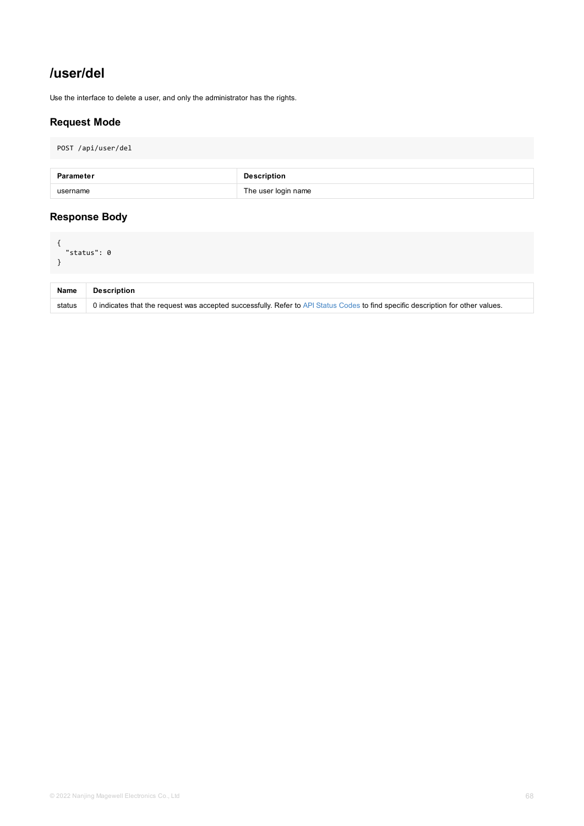| <b>Name</b> | <b>Description</b>                                                                                      |
|-------------|---------------------------------------------------------------------------------------------------------|
| status      | 0 indicates that the request was accepted successfully. Refer to API Status Codes to find specific desc |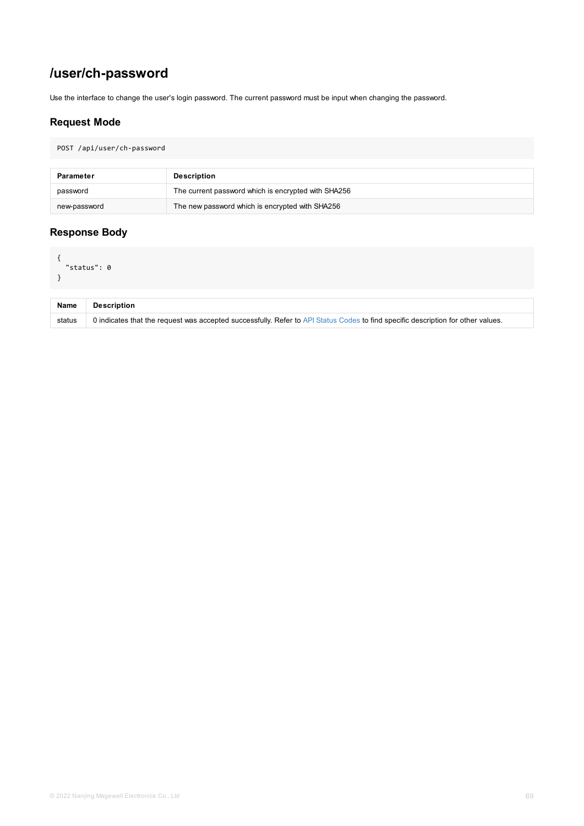| <b>Name</b> | <b>Description</b>                                                                                      |
|-------------|---------------------------------------------------------------------------------------------------------|
| status      | 0 indicates that the request was accepted successfully. Refer to API Status Codes to find specific desc |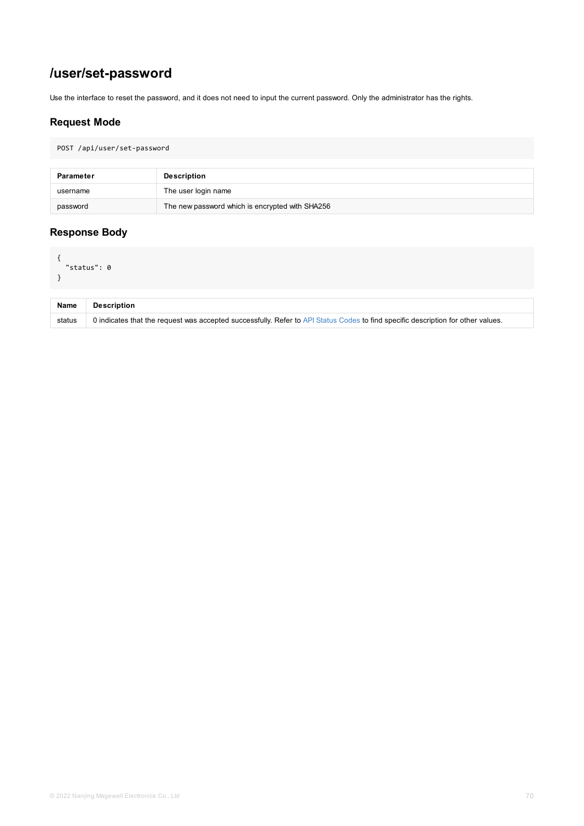| <b>Name</b> | <b>Description</b>                                                                                      |
|-------------|---------------------------------------------------------------------------------------------------------|
| status      | 0 indicates that the request was accepted successfully. Refer to API Status Codes to find specific desc |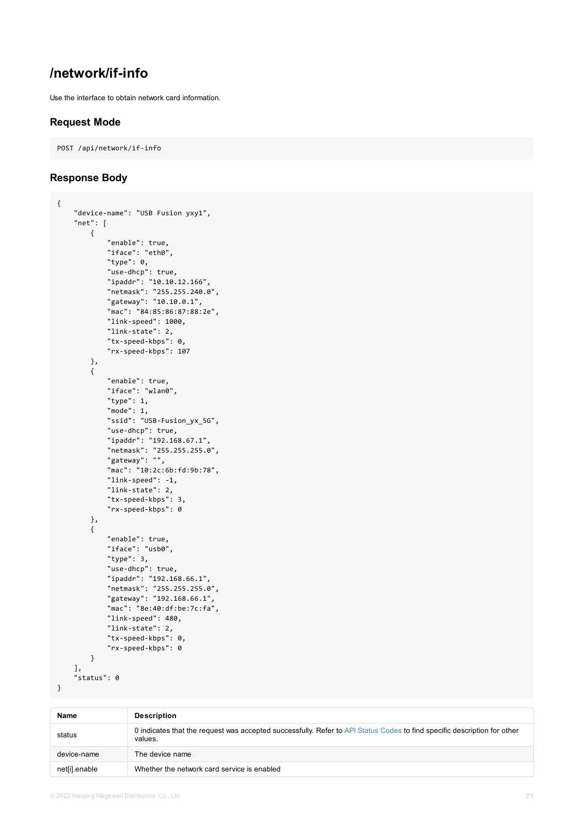```
"ipaddr": "10.10.12.166",
            "netmask": "255.255.240.0",
            "gateway": "10.10.0.1",
            "mac": "84:85:86:87:88:2e",
            "link-speed": 1000,
            "link-state": 2,
            "tx-speed-kbps": 0,
            "rx-speed-kbps": 107
        },
        {
            "enable": true,
            "iface": "wlan0",
            "type": 1,
            "mode": 1,
            "ssid": "USB-Fusion_yx_5G",
            "use-dhcp": true,
            "ipaddr": "192.168.67.1",
            "netmask": "255.255.255.0",
            "gateway": "",
            "mac": "10:2c:6b:fd:9b:78",
            "link-speed": -1,
            "link-state": 2,
            "tx-speed-kbps": 3,
            "rx-speed-kbps": 0
        },
        {
            "enable": true,
            "iface": "usb0",
            "type": 3,
            "use-dhcp": true,
            "ipaddr": "192.168.66.1",
            "netmask": "255.255.255.0",
            "gateway": "192.168.66.1",
            "mac": "8e:40:df:be:7c:fa",
            "link-speed": 480,
            "link-state": 2,
            "tx-speed-kbps": 0,
            "rx-speed-kbps": 0
        }
    ],
    "status": 0
}
```

| <b>Name</b>   | <b>Description</b>                                                                                   |
|---------------|------------------------------------------------------------------------------------------------------|
| status        | 0 indicates that the request was accepted successfully. Refer to API Status Codes to find<br>values. |
| device-name   | The device name                                                                                      |
| net[i].enable | Whether the network card service is enabled                                                          |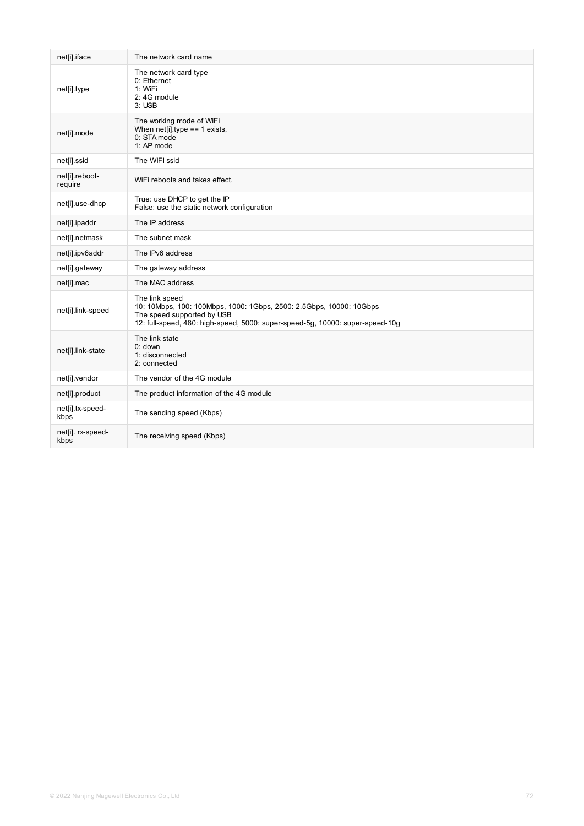| net[i].iface              | The network card name                                                                                                                                                                                |
|---------------------------|------------------------------------------------------------------------------------------------------------------------------------------------------------------------------------------------------|
| net[i].type               | The network card type<br>0: Ethernet<br>1: WiFi<br>2:4G module<br>3: USB                                                                                                                             |
| net[i].mode               | The working mode of WiFi<br>When $net[i].type == 1 exists,$<br>0: STA mode<br>1: AP mode                                                                                                             |
| net[i].ssid               | The WIFI ssid                                                                                                                                                                                        |
| net[i].reboot-<br>require | WiFi reboots and takes effect.                                                                                                                                                                       |
| net[i].use-dhcp           | True: use DHCP to get the IP<br>False: use the static network configuration                                                                                                                          |
| net[i].ipaddr             | The IP address                                                                                                                                                                                       |
| net[i].netmask            | The subnet mask                                                                                                                                                                                      |
| net[i].ipv6addr           | The IPv6 address                                                                                                                                                                                     |
| net[i].gateway            | The gateway address                                                                                                                                                                                  |
| net[i].mac                | The MAC address                                                                                                                                                                                      |
| net[i].link-speed         | The link speed<br>10: 10Mbps, 100: 100Mbps, 1000: 1Gbps, 2500: 2.5Gbps, 10000: 10Gbps<br>The speed supported by USB<br>12: full-speed, 480: high-speed, 5000: super-speed-5g, 10000: super-speed-10g |
| net[i].link-state         | The link state<br>$0:$ down<br>1: disconnected<br>2: connected                                                                                                                                       |
| net[i].vendor             | The vendor of the 4G module                                                                                                                                                                          |
| net[i].product            | The product information of the 4G module                                                                                                                                                             |
| net[i].tx-speed-<br>kbps  | The sending speed (Kbps)                                                                                                                                                                             |
| net[i]. rx-speed-<br>kbps | The receiving speed (Kbps)                                                                                                                                                                           |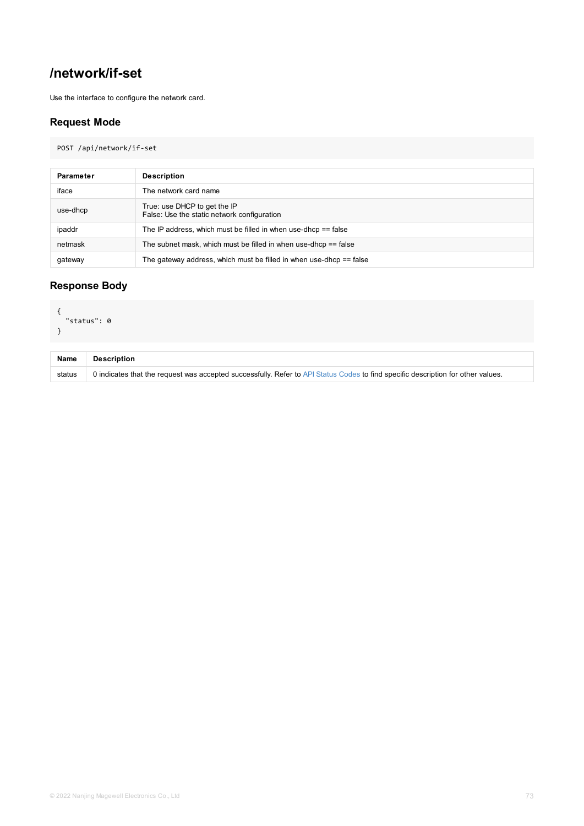```
{
  "status": 0
}
```

| <b>Name</b> | Description                                                                                             |
|-------------|---------------------------------------------------------------------------------------------------------|
| status      | 0 indicates that the request was accepted successfully. Refer to API Status Codes to find specific desc |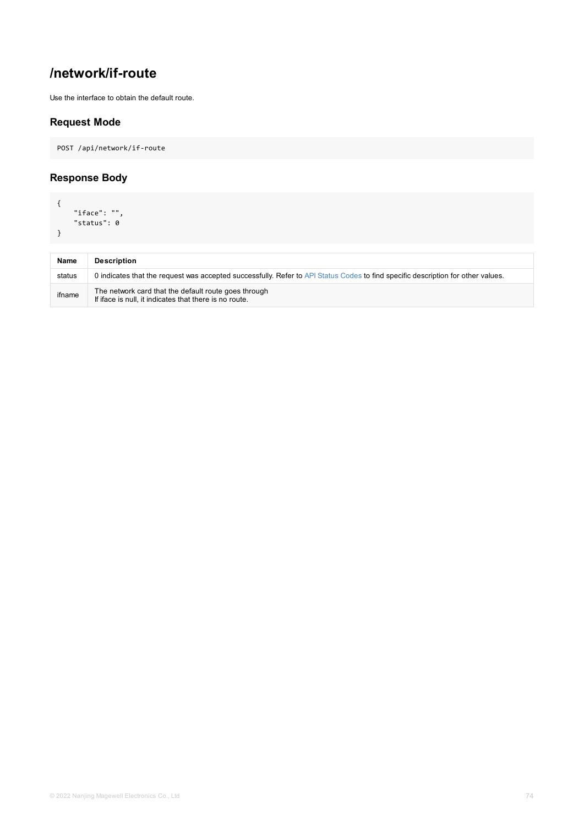| <del>उत्ततपउ</del> | <u>v indicates that the request was accepted successfully. Nefer to Al Totatus Ocues to find specific use</u>  |
|--------------------|----------------------------------------------------------------------------------------------------------------|
| ifname             | The network card that the default route goes through<br>If iface is null, it indicates that there is no route. |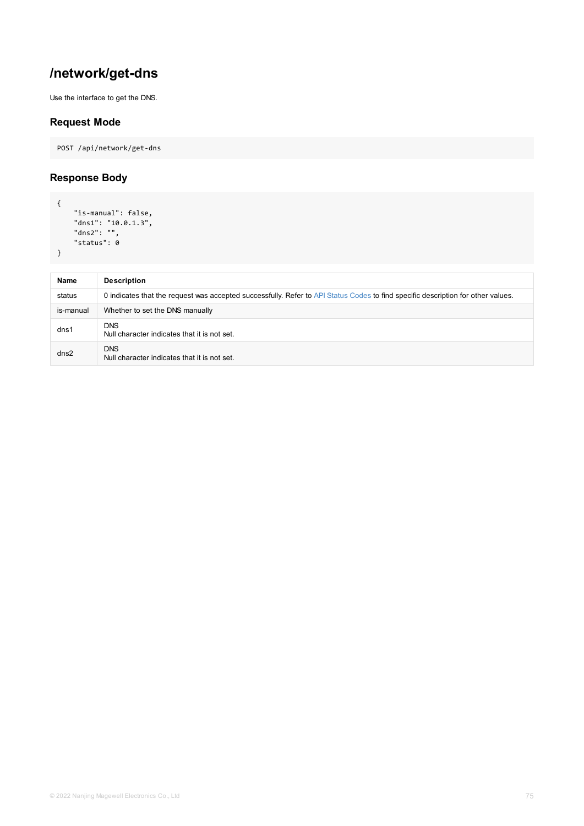| <b>Name</b> | <b>Description</b>                                                                                   |  |
|-------------|------------------------------------------------------------------------------------------------------|--|
| status      | 0 indicates that the request was accepted successfully. Refer to API Status Codes to find specific d |  |
| is-manual   | Whether to set the DNS manually                                                                      |  |
| dns1        | <b>DNS</b><br>Null character indicates that it is not set.                                           |  |
| dns2        | <b>DNS</b><br>Null character indicates that it is not set.                                           |  |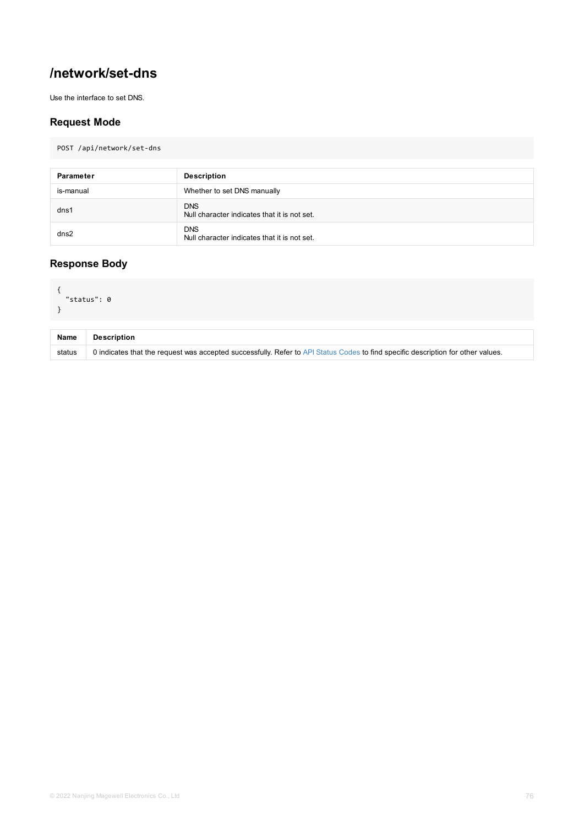```
{
 "status": 0
}
```

| <b>Name</b> | <b>Description</b>                                                                                      |
|-------------|---------------------------------------------------------------------------------------------------------|
| status      | 0 indicates that the request was accepted successfully. Refer to API Status Codes to find specific desc |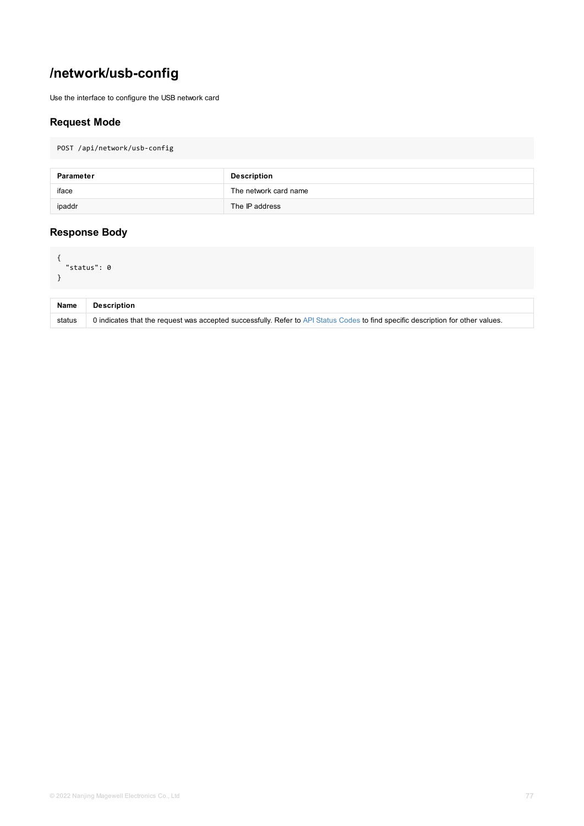| <b>Name</b> | <b>Description</b>                                                                                      |
|-------------|---------------------------------------------------------------------------------------------------------|
| status      | 0 indicates that the request was accepted successfully. Refer to API Status Codes to find specific desc |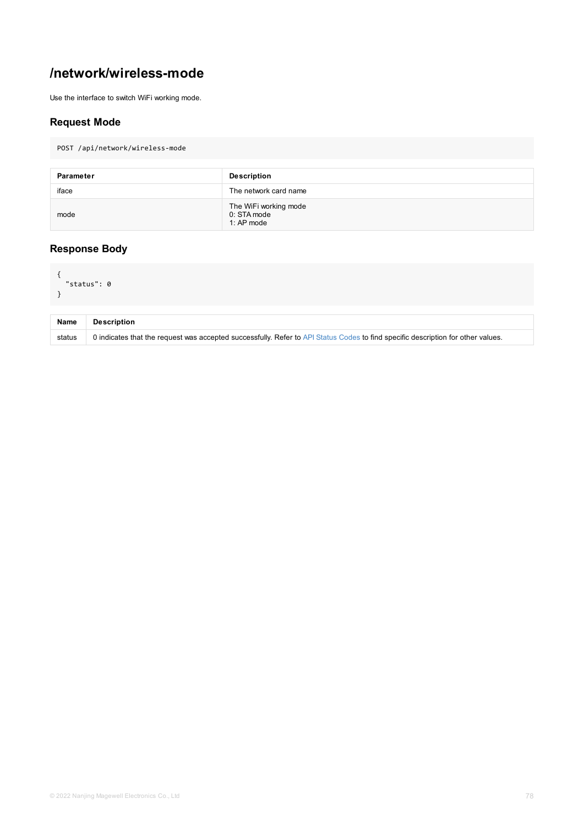```
\epsilon"status": 0
}
```

| <b>Name</b> | <b>Description</b>                                                                                      |
|-------------|---------------------------------------------------------------------------------------------------------|
| status      | 0 indicates that the request was accepted successfully. Refer to API Status Codes to find specific desc |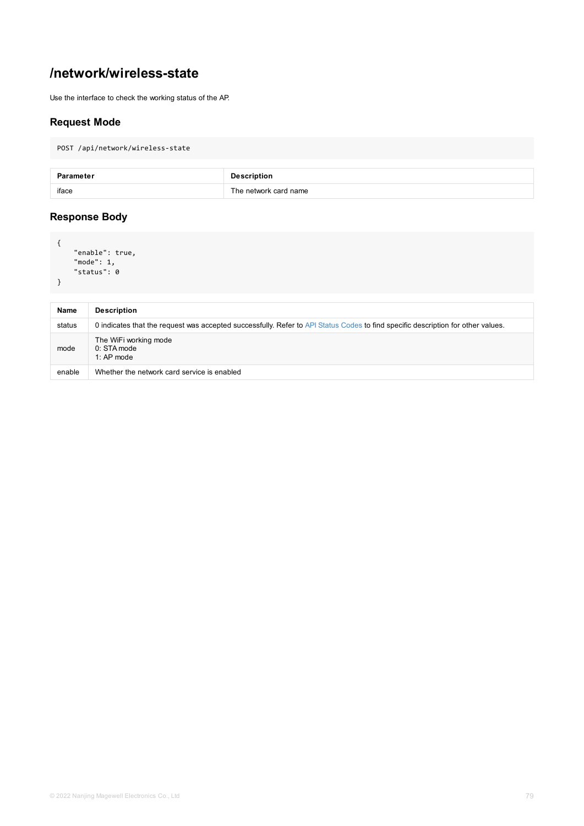}

| <b>Name</b> | <b>Description</b>                                                                                     |
|-------------|--------------------------------------------------------------------------------------------------------|
| status      | 0 indicates that the request was accepted successfully. Refer to API Status Codes to find specific des |
| mode        | The WiFi working mode<br>0: STA mode<br>1: $AP$ mode                                                   |
| enable      | Whether the network card service is enabled                                                            |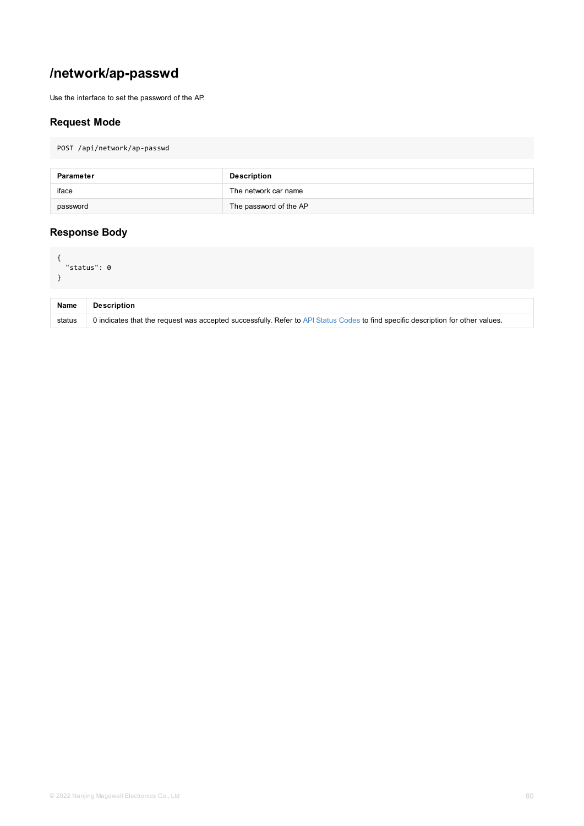| <b>Name</b> | <b>Description</b>                                                                                      |
|-------------|---------------------------------------------------------------------------------------------------------|
| status      | 0 indicates that the request was accepted successfully. Refer to API Status Codes to find specific desc |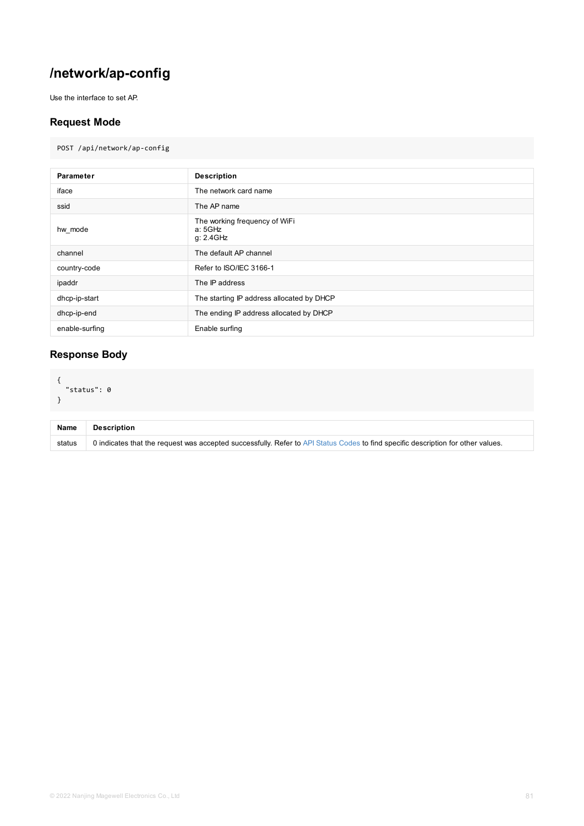| ipaddr         | The IP address                            |
|----------------|-------------------------------------------|
| dhcp-ip-start  | The starting IP address allocated by DHCP |
| dhcp-ip-end    | The ending IP address allocated by DHCP   |
| enable-surfing | Enable surfing                            |

```
{
 "status": 0
}
```

| <b>Name</b> | Description                                                                                             |
|-------------|---------------------------------------------------------------------------------------------------------|
| status      | 0 indicates that the request was accepted successfully. Refer to API Status Codes to find specific desc |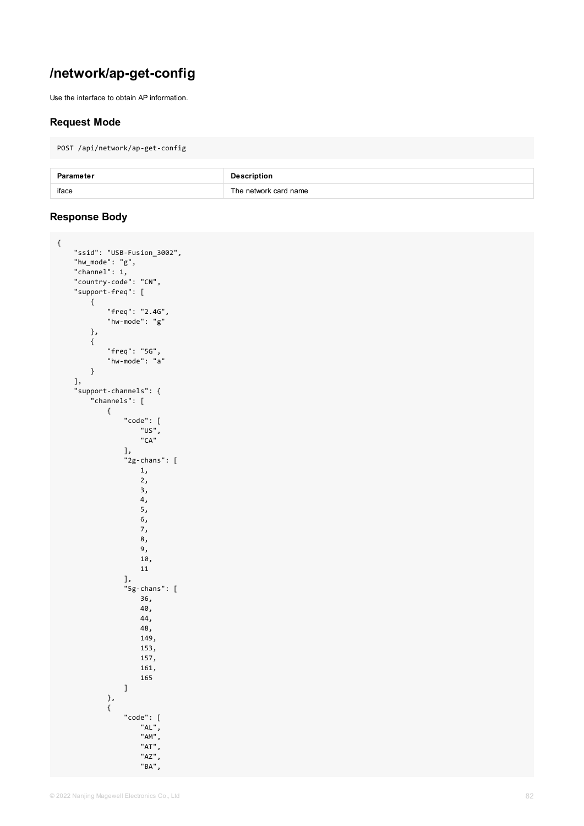# /network/ap-get-config

Use the interface to obtain AP information.

### **Request Mode**

POST /api/network/ap-get-config

| <b>Parameter</b> | <b>Description</b>    |
|------------------|-----------------------|
| iface            | The network card name |

```
{
     "ssid": "USB-Fusion_3002",
     "hw_mode": "g",
     "channel": 1,
     "country-code": "CN",
     "support-freq": [
         {
              "freq": "2.4G",
              "hw-mode": "g"
          }
,
         {
              "freq": "5G",
              "hw-mode": "a"
         }
     ]
,
     "support-channels": {
          "channels": [
              {
                   "code": [
                        "
U
S
"
,
                        "CA"
                   ]
,
                   "2g-chans": [
                        1
,
                        2
,
                        3
,
                        4
,
                        5
,
                        6
,
                        7
,
                        8
,
                        9
,
                        1
0
,
                        1
1
                   ]
,
                   "5g-chans": [
                        3
6
,
                        4
0
,
                        4
4
,
```
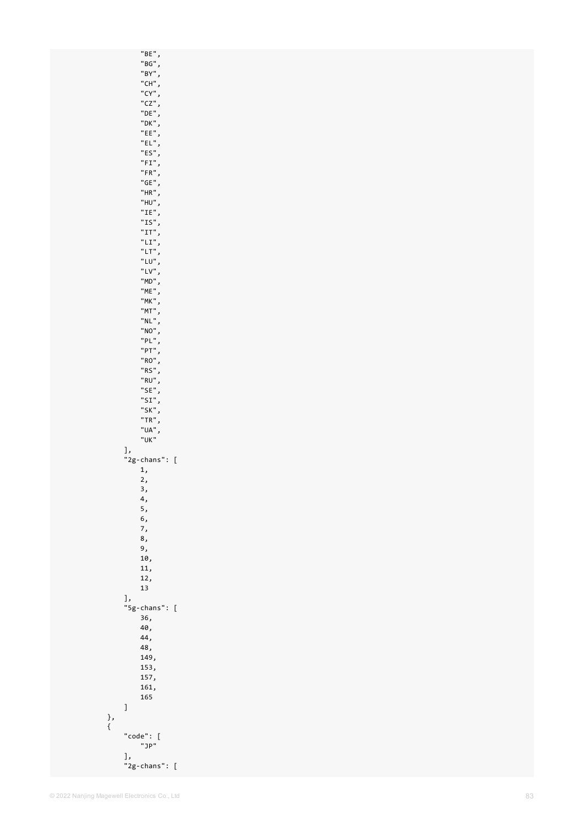" B E " , " B G " , " B Y " , " C H " , " C Y " , " C Z " , " D E " , " D K " , "EE", " E L " , " E S " , " F I " , " F R " , " G E " , " H R " , " H U " , " I E " , " I S " , "IT", " L I " , "LT", " L U " , " L V " , " M D " , " M E " , " M K " , "MT", " N L " , " N O " , " P L " , "PT", " R O " , " R S " , " R U " , " S E " , " S I " , " S K " , " T R " , " U A " , " U K " ] , " $2g$ -chans": [ 1 , 2 , 3 , 4 , 5 , 6 , 7 , 8 , 9 , 1 0 , 1 1 , 1 2 , 1 3 ] , "5g-chans": [

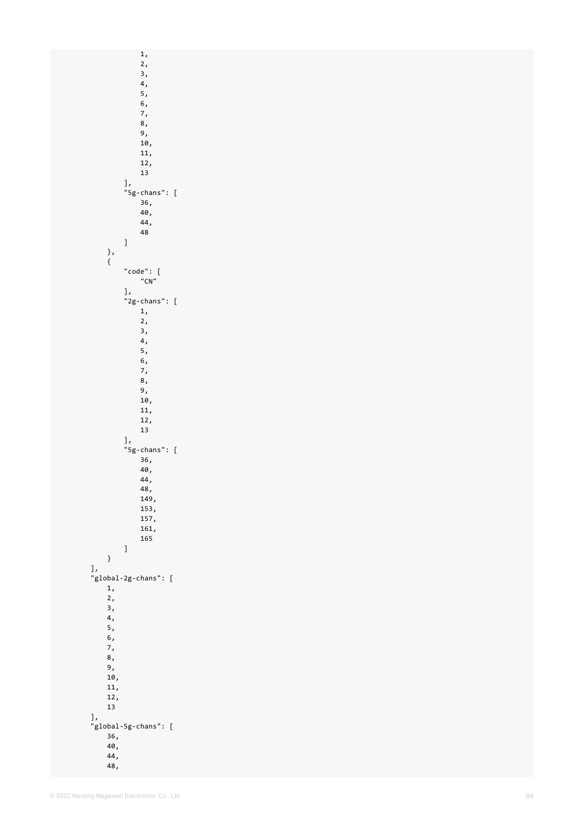, , , , , , , , , 0 , 1 , 2 , 3 ] , "5g-chans": [ 6 , 0 , 4 , 8 ] } , { "code": [ " C N " ] , " $2g$ -chans": [ , , , , , , , , , 0 , 1 , 2 , 3 ] , "5g-chans": [ 6 , 0 , 4 , 8 , 4 9 , 5 3 , 5 7 , 6 1 , 6 5 ] } ] , "global-2g-chans": [ , , ,

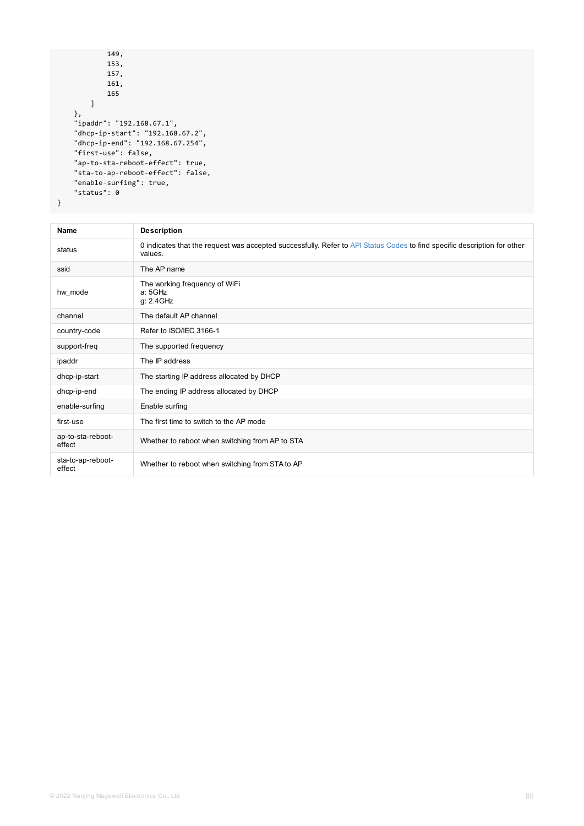| hw mode                     | The working frequency of WiFi<br>a: 5GHz<br>g: 2.4GHz |
|-----------------------------|-------------------------------------------------------|
| channel                     | The default AP channel                                |
| country-code                | Refer to ISO/IEC 3166-1                               |
| support-freq                | The supported frequency                               |
| ipaddr                      | The IP address                                        |
| dhcp-ip-start               | The starting IP address allocated by DHCP             |
| dhcp-ip-end                 | The ending IP address allocated by DHCP               |
| enable-surfing              | Enable surfing                                        |
| first-use                   | The first time to switch to the AP mode               |
| ap-to-sta-reboot-<br>effect | Whether to reboot when switching from AP to STA       |
| sta-to-ap-reboot-<br>effect | Whether to reboot when switching from STA to AP       |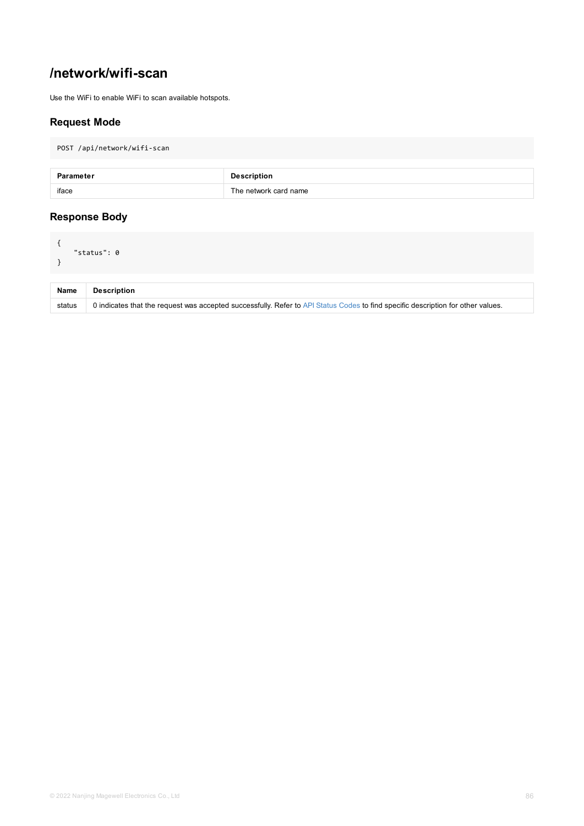| <b>Name</b> | <b>Description</b>                                                                                      |
|-------------|---------------------------------------------------------------------------------------------------------|
| status      | 0 indicates that the request was accepted successfully. Refer to API Status Codes to find specific desc |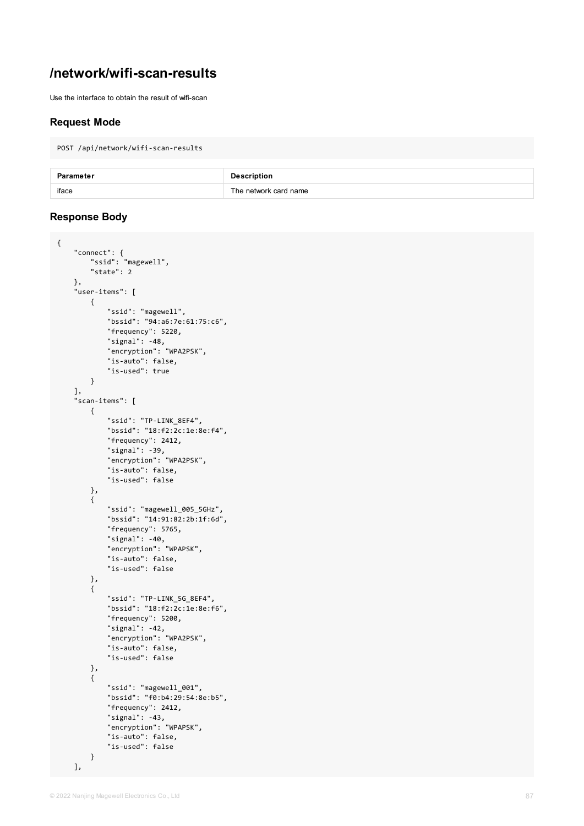# /network/wifi-scan-results

Use the interface to obtain the result of wifi-scan

### **Request Mode**

POST /api/network/wifi-scan-results

| Parameter | <b>Description</b>    |
|-----------|-----------------------|
| iface     | The network card name |

```
{
    "connect": {
        "ssid": "magewell",
        "state": 2
    }
,
    "user-items": [
        {
             "ssid": "magewell",
             "bssid": "94:a6:7e:61:75:c6",
             "frequency": 5220,
             "signal": -48,
             "encryption": "WPA2PSK",
             "is-auto": false,
             "is-used": true
        }
    ]
,
    "scan-items": [
        {
             "ssid": "TP-LINK_8EF4",
             "bssid": "18:f2:2c:1e:8e:f4",
             "frequency": 2412,
             "signal": -39,
             "encryption": "WPA2PSK",
             "is-auto": false,
             "is-used": false
        }
,
        {
             "ssid": "magewell_005_5GHz",
             "bssid": "14:91:82:2b:1f:6d",
             "frequency": 5765,
             "signal": -40,
             "encryption": "WPAPSK",
             "is-auto": false,
             "is-used": false
        }
,
        {
             "ssid": "TP-LINK_5G_8EF4",
             "bssid": "18:f2:2c:1e:8e:f6",
             "frequency": 5200,
             "signal": -42,
             "encryption": "WPA2PSK",
             "is-auto": false,
             "is-used": false
        }
,
        {
             "ssid": "magewell_001",
             "bssid": "f0:b4:29:54:8e:b5",
             "frequency": 2412,
             "signal": -43,
             "encryption": "WPAPSK",
             "is-auto": false,
             "is-used": false
        }
    ]
,
```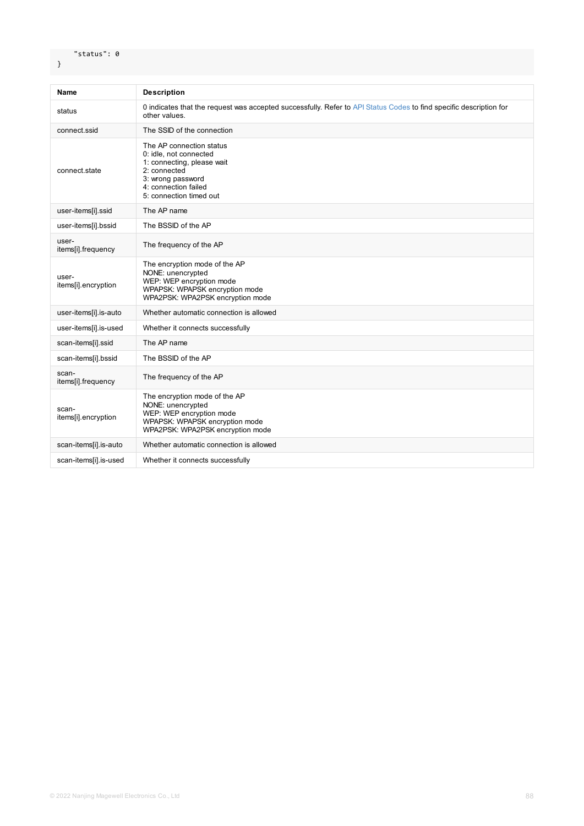| user-<br>items[i].encryption | WEP: WEP encryption mode<br>WPAPSK: WPAPSK encryption mode<br>WPA2PSK: WPA2PSK encryption mode                                                       |
|------------------------------|------------------------------------------------------------------------------------------------------------------------------------------------------|
| user-items[i].is-auto        | Whether automatic connection is allowed                                                                                                              |
| user-items[i].is-used        | Whether it connects successfully                                                                                                                     |
| scan-items[i].ssid           | The AP name                                                                                                                                          |
| scan-items[i].bssid          | The BSSID of the AP                                                                                                                                  |
| scan-<br>items[i].frequency  | The frequency of the AP                                                                                                                              |
|                              |                                                                                                                                                      |
| scan-<br>items[i].encryption | The encryption mode of the AP<br>NONE: unencrypted<br>WEP: WEP encryption mode<br>WPAPSK: WPAPSK encryption mode<br>WPA2PSK: WPA2PSK encryption mode |
| scan-items[i].is-auto        | Whether automatic connection is allowed                                                                                                              |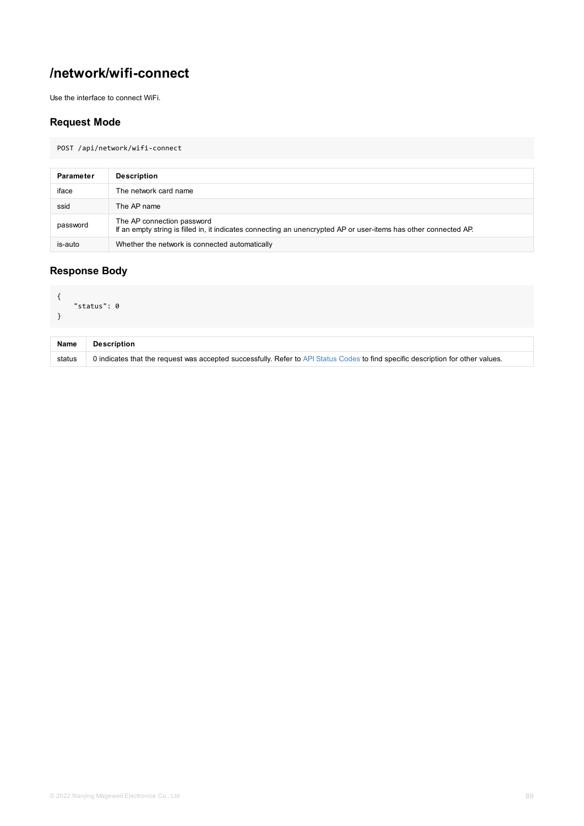```
{
    "status": 0
}
```

| <b>Name</b> | <b>Description</b>                                                                                      |
|-------------|---------------------------------------------------------------------------------------------------------|
| status      | 0 indicates that the request was accepted successfully. Refer to API Status Codes to find specific desc |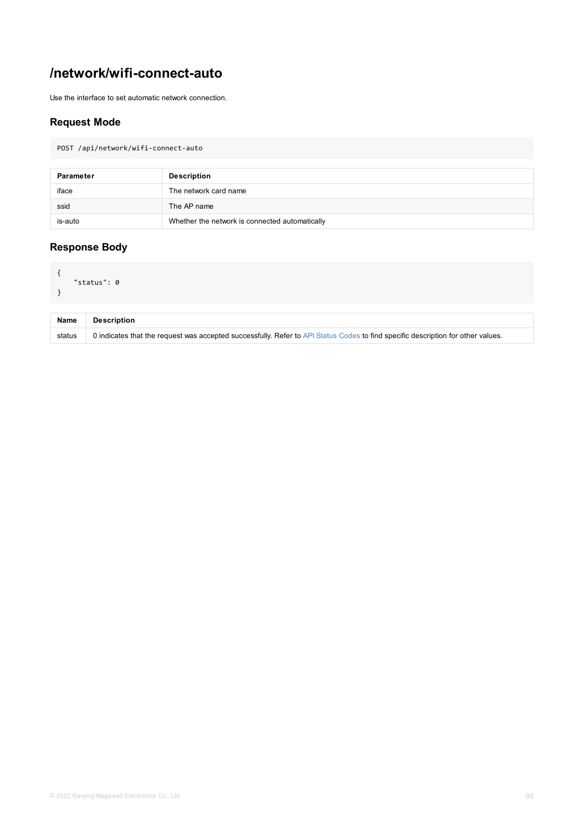```
\sim"status": 0
}
```

| <b>Name</b> | Description                                                                                             |
|-------------|---------------------------------------------------------------------------------------------------------|
| status      | 0 indicates that the request was accepted successfully. Refer to API Status Codes to find specific desc |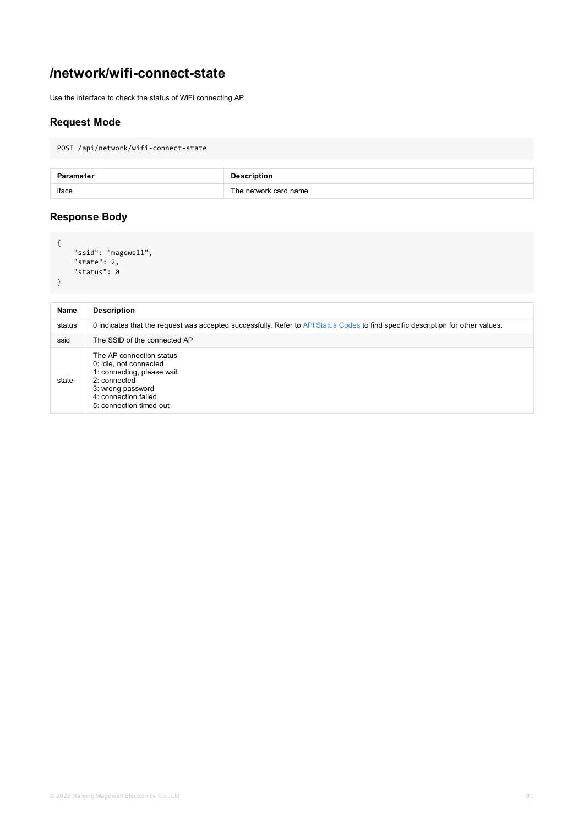}

| Name   | <b>Description</b>                                                                                                                                                       |
|--------|--------------------------------------------------------------------------------------------------------------------------------------------------------------------------|
| status | 0 indicates that the request was accepted successfully. Refer to API Status Codes to find specific desc                                                                  |
| ssid   | The SSID of the connected AP                                                                                                                                             |
| state  | The AP connection status<br>0: idle, not connected<br>1: connecting, please wait<br>2: connected<br>3: wrong password<br>4: connection failed<br>5: connection timed out |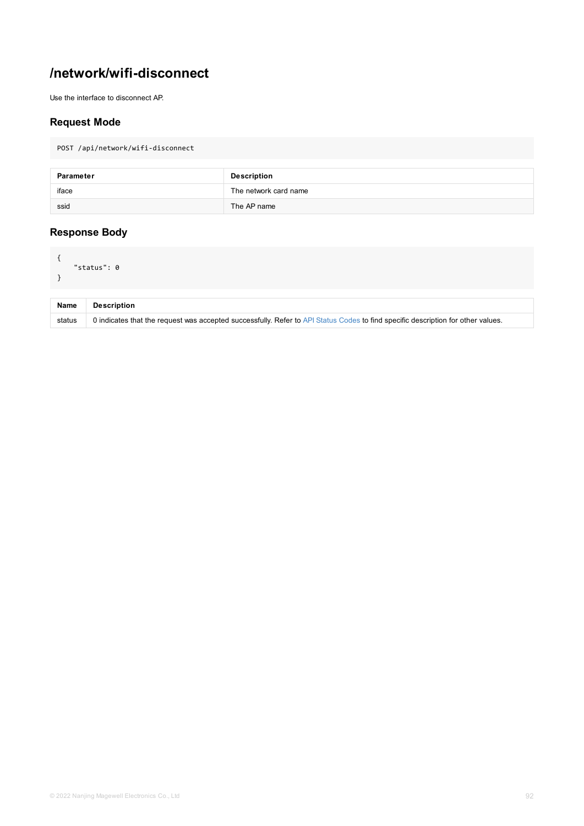| <b>Name</b> | <b>Description</b>                                                                                      |
|-------------|---------------------------------------------------------------------------------------------------------|
| status      | 0 indicates that the request was accepted successfully. Refer to API Status Codes to find specific desc |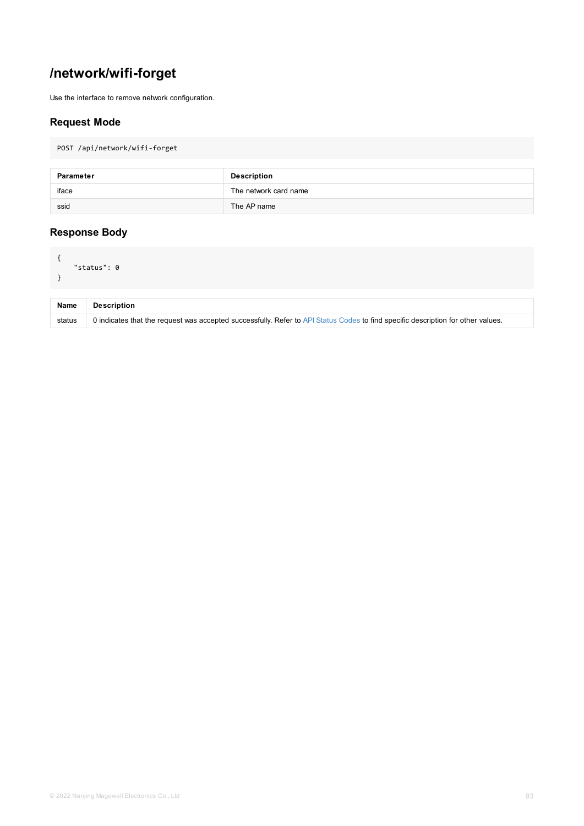| <b>Name</b> | <b>Description</b>                                                                                      |
|-------------|---------------------------------------------------------------------------------------------------------|
| status      | 0 indicates that the request was accepted successfully. Refer to API Status Codes to find specific desc |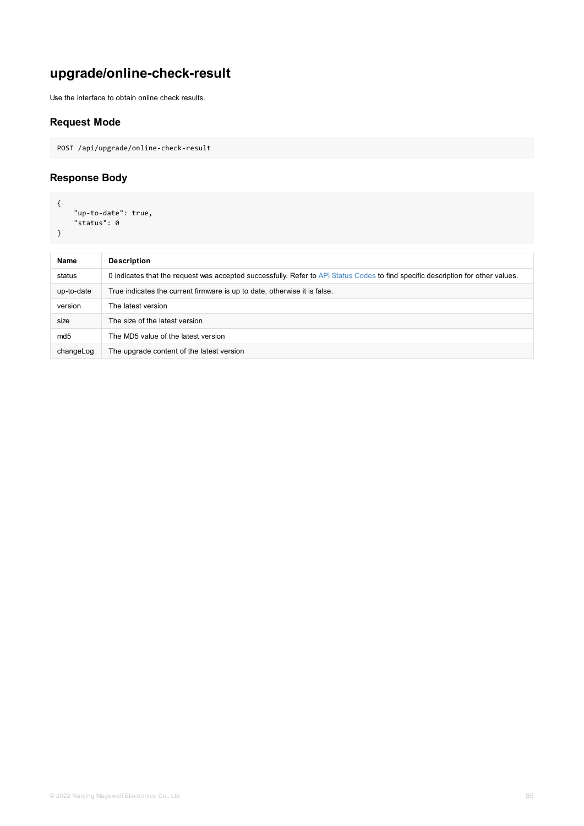| ञावापठ          | <u>o indicates that the request was accepted successidity. Here to All Lotatus Coucs to find specific</u> |
|-----------------|-----------------------------------------------------------------------------------------------------------|
| up-to-date      | True indicates the current firmware is up to date, otherwise it is false.                                 |
| version         | The latest version                                                                                        |
| size            | The size of the latest version                                                                            |
| md <sub>5</sub> | The MD5 value of the latest version                                                                       |
| changeLog       | The upgrade content of the latest version                                                                 |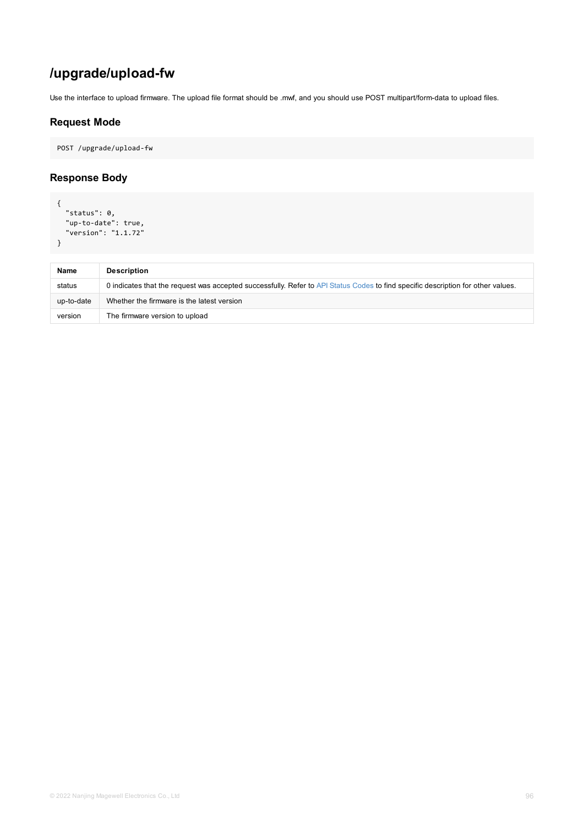| status     | 0 indicates that the request was accepted successfully. Refer to API Status Codes to find specific |
|------------|----------------------------------------------------------------------------------------------------|
| up-to-date | Whether the firmware is the latest version                                                         |
| version    | The firmware version to upload                                                                     |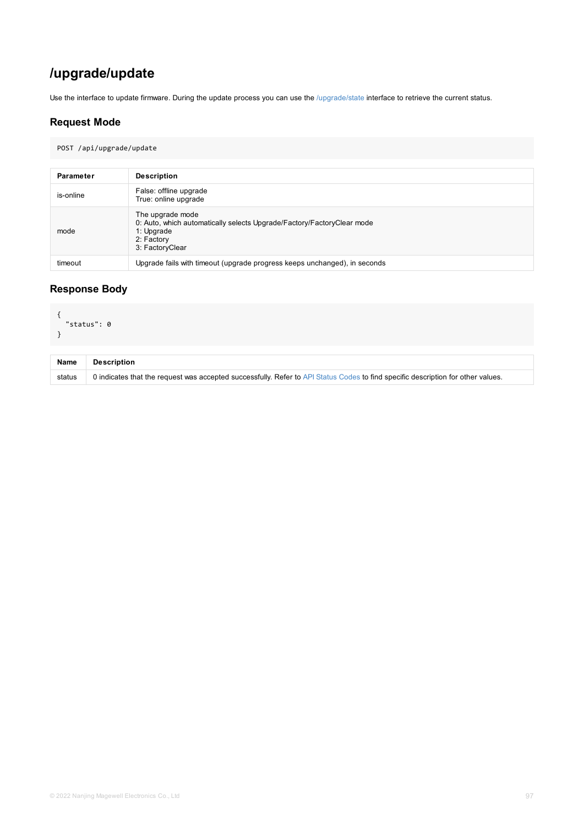```
{
 "status": 0
}
```

| <b>Name</b> | <b>Description</b>                                                                                      |
|-------------|---------------------------------------------------------------------------------------------------------|
| status      | 0 indicates that the request was accepted successfully. Refer to API Status Codes to find specific desc |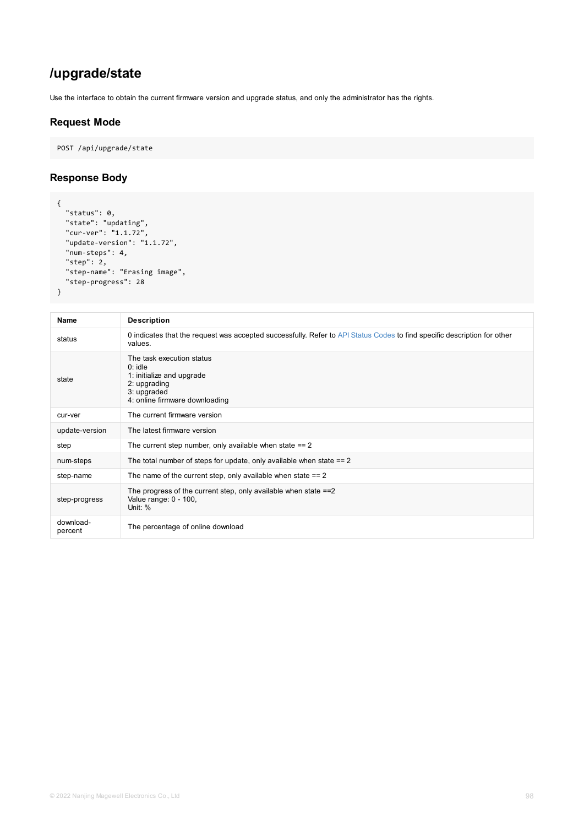```
"step-progress": 28
}
```

|  | <b>Name</b>          | <b>Description</b>                                                                                                                   |
|--|----------------------|--------------------------------------------------------------------------------------------------------------------------------------|
|  | status               | 0 indicates that the request was accepted successfully. Refer to API Status Codes to find sp<br>values.                              |
|  | state                | The task execution status<br>$0:$ idle<br>1: initialize and upgrade<br>2: upgrading<br>3: upgraded<br>4: online firmware downloading |
|  | cur-ver              | The current firmware version                                                                                                         |
|  | update-version       | The latest firmware version                                                                                                          |
|  | step                 | The current step number, only available when state $== 2$                                                                            |
|  | num-steps            | The total number of steps for update, only available when state $== 2$                                                               |
|  | step-name            | The name of the current step, only available when state $== 2$                                                                       |
|  | step-progress        | The progress of the current step, only available when state $==2$<br>Value range: 0 - 100,<br>Unit: %                                |
|  | download-<br>percent | The percentage of online download                                                                                                    |
|  |                      |                                                                                                                                      |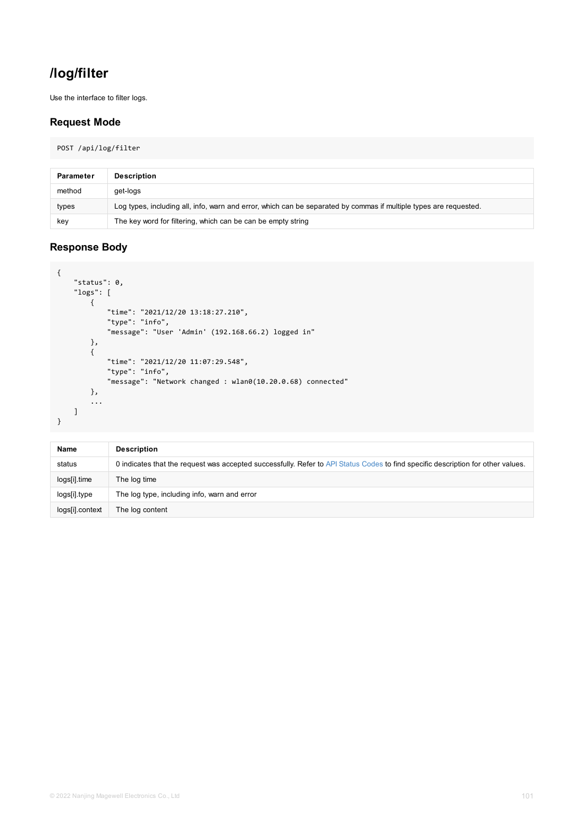```
"status": 0,
    "logs": [
        {
            "time": "2021/12/20 13:18:27.210",
            "type": "info",
            "message": "User 'Admin' (192.168.66.2) logged in"
        },
        {
            "time": "2021/12/20 11:07:29.548",
            "type": "info",
            "message": "Network changed : wlan0(10.20.0.68) connected"
        },
        ...
    ]
}
```
 $\sim$ 

| <b>Name</b>     | <b>Description</b>                                                                              |
|-----------------|-------------------------------------------------------------------------------------------------|
| status          | 0 indicates that the request was accepted successfully. Refer to API Status Codes to find speci |
| logs[i].time    | The log time                                                                                    |
| logs[i].type    | The log type, including info, warn and error                                                    |
| logs[i].context | The log content                                                                                 |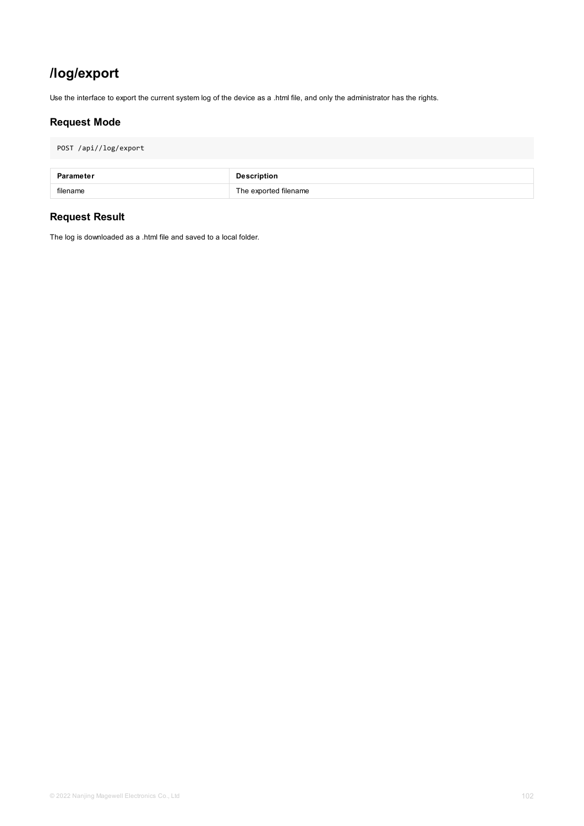# **/log/export**

Use the interface to export the current system log of the device as a .html file, and only the administrator has the rights.

## **Request Mode**

POST /api//log/export

| <b>Parameter</b> | <b>Description</b>    |
|------------------|-----------------------|
| filename         | The exported filename |

## **Request Result**

The log is downloaded as a .html file and saved to a local folder.

© 2022 Nanjing Magewell Electronics Co., Ltd 102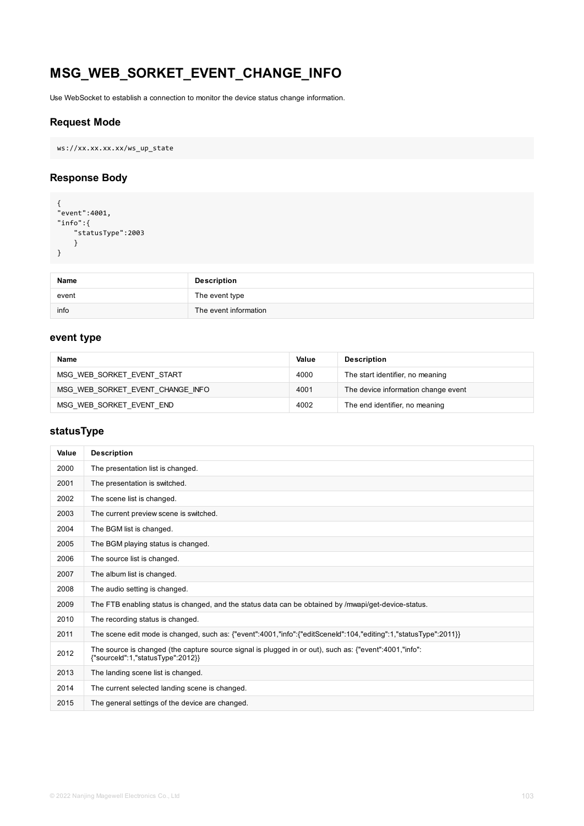# **MSG\_WEB\_SORKET\_EVENT\_CHANGE\_INFO**

Use WebSocket to establish a connection to monitor the device status change information.

## **Request Mode**

ws://xx.xx.xx.xx/ws\_up\_state

## **Response Body**

```
{
"event":4001,
"info":{
    "statusType":2003
   }
}
```

| <b>Name</b> | <b>Description</b>    |
|-------------|-----------------------|
| event       | The event type        |
| info        | The event information |

### **event type**

| <b>Name</b>                      | <b>Value</b> | <b>Description</b>                  |
|----------------------------------|--------------|-------------------------------------|
| MSG WEB SORKET EVENT START       | 4000         | The start identifier, no meaning    |
| MSG WEB SORKET EVENT CHANGE INFO | 4001         | The device information change event |
| MSG WEB SORKET EVENT END         | 4002         | The end identifier, no meaning      |

## **statusType**

| Value | <b>Description</b>                                                                                                                          |
|-------|---------------------------------------------------------------------------------------------------------------------------------------------|
| 2000  | The presentation list is changed.                                                                                                           |
| 2001  | The presentation is switched.                                                                                                               |
| 2002  | The scene list is changed.                                                                                                                  |
| 2003  | The current preview scene is switched.                                                                                                      |
| 2004  | The BGM list is changed.                                                                                                                    |
| 2005  | The BGM playing status is changed.                                                                                                          |
| 2006  | The source list is changed.                                                                                                                 |
| 2007  | The album list is changed.                                                                                                                  |
| 2008  | The audio setting is changed.                                                                                                               |
| 2009  | The FTB enabling status is changed, and the status data can be obtained by /mwapi/get-device-status.                                        |
| 2010  | The recording status is changed.                                                                                                            |
| 2011  | The scene edit mode is changed, such as: {"event":4001,"info":{"editSceneld":104,"editing":1,"statusType":2011}}                            |
| 2012  | The source is changed (the capture source signal is plugged in or out), such as: {"event":4001,"info":<br>{"sourceId":1,"statusType":2012}} |
| 2013  | The landing scene list is changed.                                                                                                          |
| 2014  | The current selected landing scene is changed.                                                                                              |
| 2015  | The general settings of the device are changed.                                                                                             |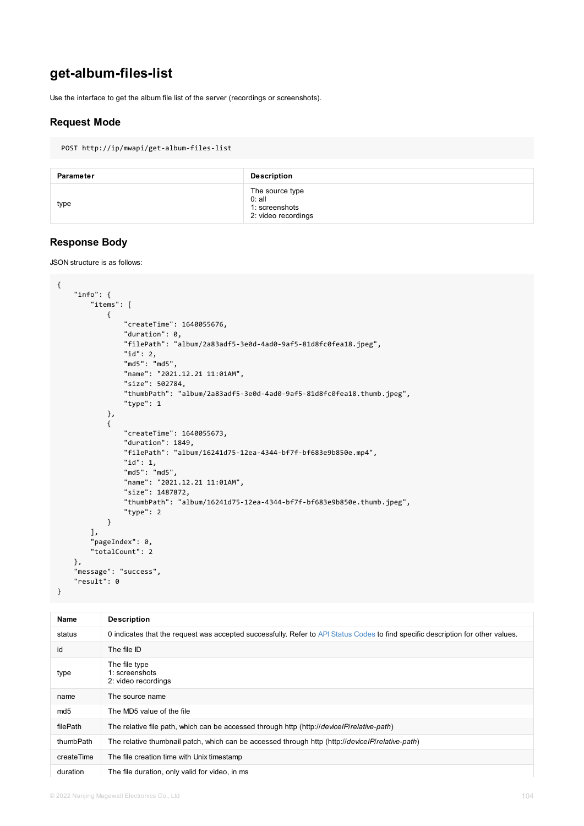```
{
    "info": {
        "items": [
            {
                "createTime": 1640055676,
                "duration": 0,
                "filePath": "album/2a83adf5-3e0d-4ad0-9af5-81d8fc0fea18.jpeg",
                "id": 2,
                "md5": "md5",
                "name": "2021.12.21 11:01AM",
                "size": 502784,
                "thumbPath": "album/2a83adf5-3e0d-4ad0-9af5-81d8fc0fea18.thumb.jpeg",
                "type": 1
            },
            {
                "createTime": 1640055673,
                "duration": 1849,
                "filePath": "album/16241d75-12ea-4344-bf7f-bf683e9b850e.mp4",
                "id": 1,
                "md5": "md5",
                "name": "2021.12.21 11:01AM",
                "size": 1487872,
                "thumbPath": "album/16241d75-12ea-4344-bf7f-bf683e9b850e.thumb.jpeg",
                "type": 2
            }
        ],
        "pageIndex": 0,
        "totalCount": 2
    },
    "message": "success",
    "result": 0
}
```

| <b>Name</b>     | <b>Description</b>                                                                                 |
|-----------------|----------------------------------------------------------------------------------------------------|
| status          | 0 indicates that the request was accepted successfully. Refer to API Status Codes to find specific |
| id              | The file ID                                                                                        |
| type            | The file type<br>1: screenshots<br>2: video recordings                                             |
| name            | The source name                                                                                    |
| md <sub>5</sub> | The MD5 value of the file                                                                          |
| filePath        | The relative file path, which can be accessed through http (http://devicelP/relative-path)         |
| thumbPath       | The relative thumbnail patch, which can be accessed through http (http://devicelP/relative-path)   |
| createTime      | The file creation time with Unix timestamp                                                         |
| duration        | The file duration, only valid for video, in ms                                                     |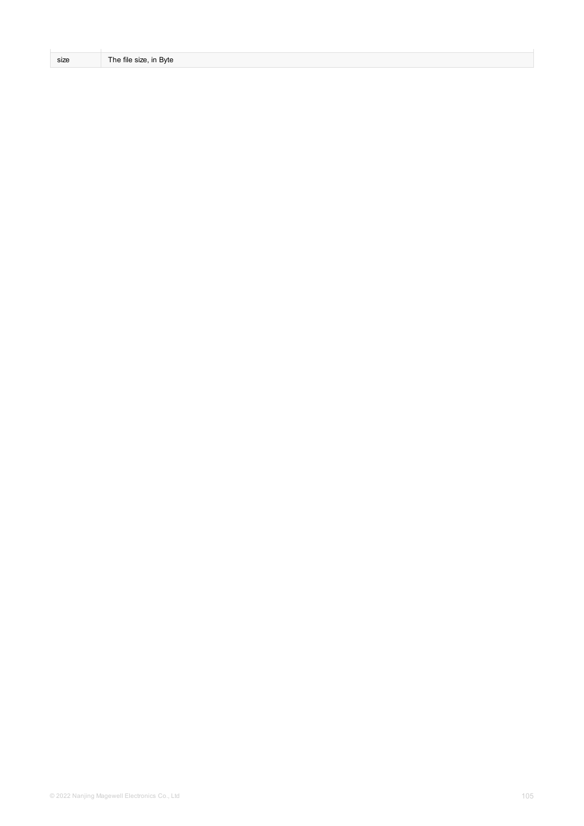| The file size, in Byte |
|------------------------|
|------------------------|

© 2022 Nanjing Magewell Electronics Co., Ltd 105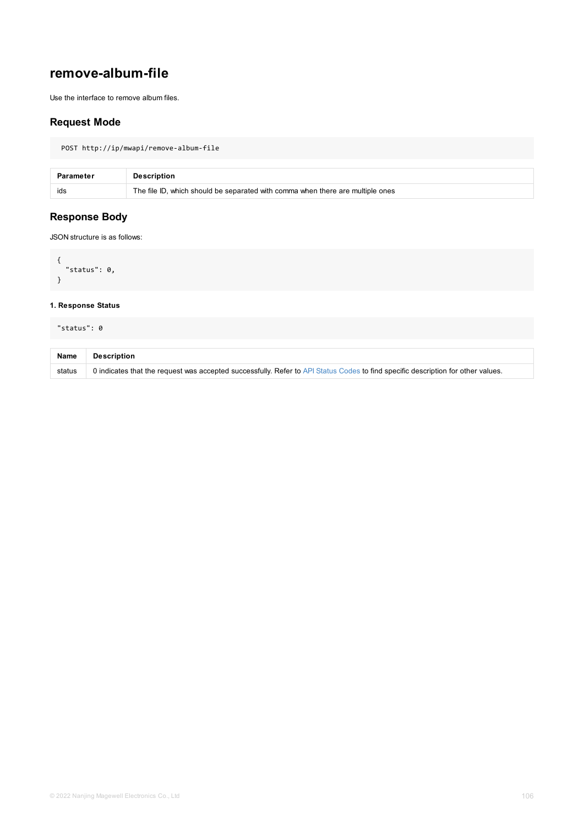}

#### **1. Response Status**

"status": 0

| <b>Name</b> | Description                                                                                             |
|-------------|---------------------------------------------------------------------------------------------------------|
| status      | 0 indicates that the request was accepted successfully. Refer to API Status Codes to find specific desc |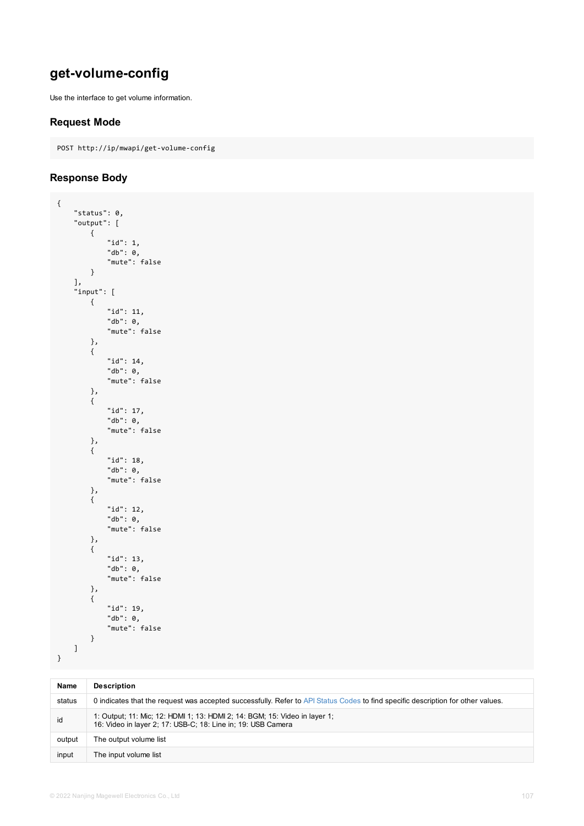```
],
    "input": [
        {
            "id": 11,
            "db": 0,
            "mute": false
        },
        {
            "id": 14,
            "db": 0,
            "mute": false
        },
        {
            "id": 17,
            "db": 0,
            "mute": false
        },
        {
            "id": 18,
            "db": 0,
            "mute": false
        },
        {
            "id": 12,
            "db": 0,
            "mute": false
        },
        {
            "id": 13,
            "db": 0,
            "mute": false
        },
        {
            "id": 19,
            "db": 0,
            "mute": false
        }
   ]
}
```

| <b>Name</b> | <b>Description</b>                                                                                                                         |
|-------------|--------------------------------------------------------------------------------------------------------------------------------------------|
| status      | 0 indicates that the request was accepted successfully. Refer to API Status Codes to find specific des                                     |
| id          | 1: Output; 11: Mic; 12: HDMI 1; 13: HDMI 2; 14: BGM; 15: Video in layer 1;<br>16: Video in layer 2; 17: USB-C; 18: Line in; 19: USB Camera |
| output      | The output volume list                                                                                                                     |
| input       | The input volume list                                                                                                                      |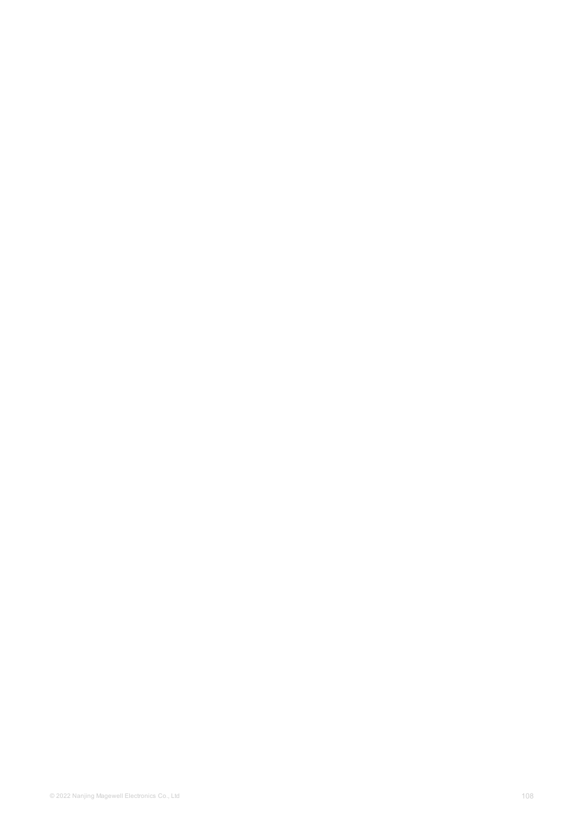© 2022 Nanjing Magewell Electronics Co., Ltd 108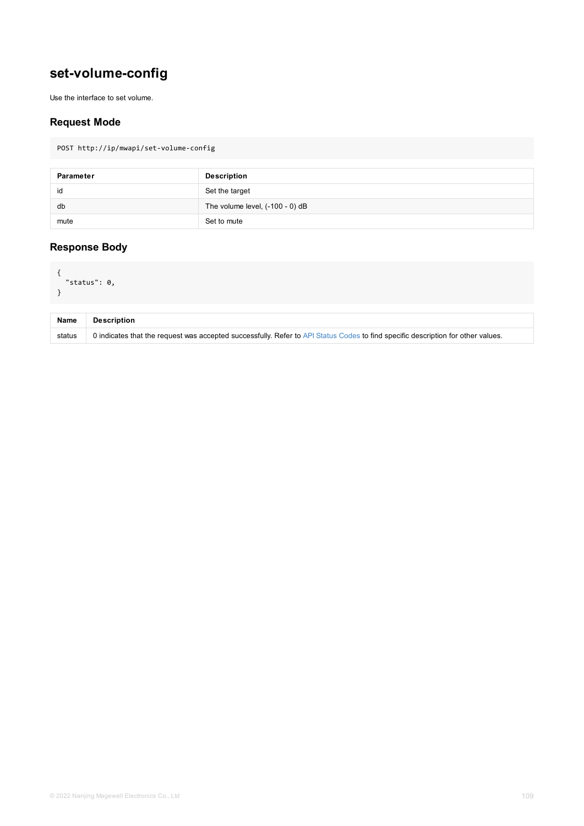```
\sim"status": 0,
}
```

| <b>Name</b> | <b>Description</b>                                                                                      |
|-------------|---------------------------------------------------------------------------------------------------------|
| status      | 0 indicates that the request was accepted successfully. Refer to API Status Codes to find specific desc |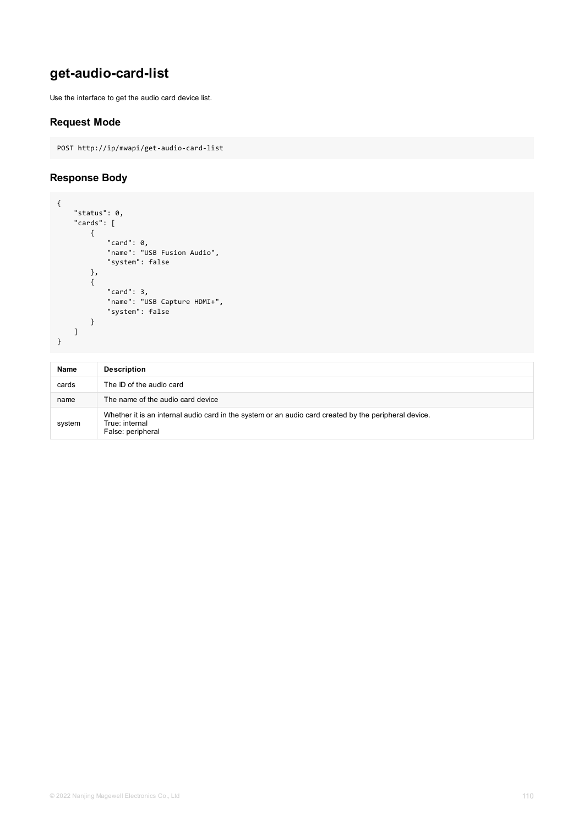# **get-audio-card-list**

Use the interface to get the audio card device list.

### **Request Mode**

POST http://ip/mwapi/get-audio-card-list

## **Response Body**

```
{
    "status": 0,
    "cards": [
        {
            "card": 0,
            "name": "USB Fusion Audio",
            "system": false
        },
        {
            "card": 3,
            "name": "USB Capture HDMI+",
            "system": false
        }
    ]
}
```

| Name   | <b>Description</b>                                                                                                                           |
|--------|----------------------------------------------------------------------------------------------------------------------------------------------|
| cards  | The ID of the audio card                                                                                                                     |
| name   | The name of the audio card device                                                                                                            |
| system | Whether it is an internal audio card in the system or an audio card created by the peripheral device.<br>True: internal<br>False: peripheral |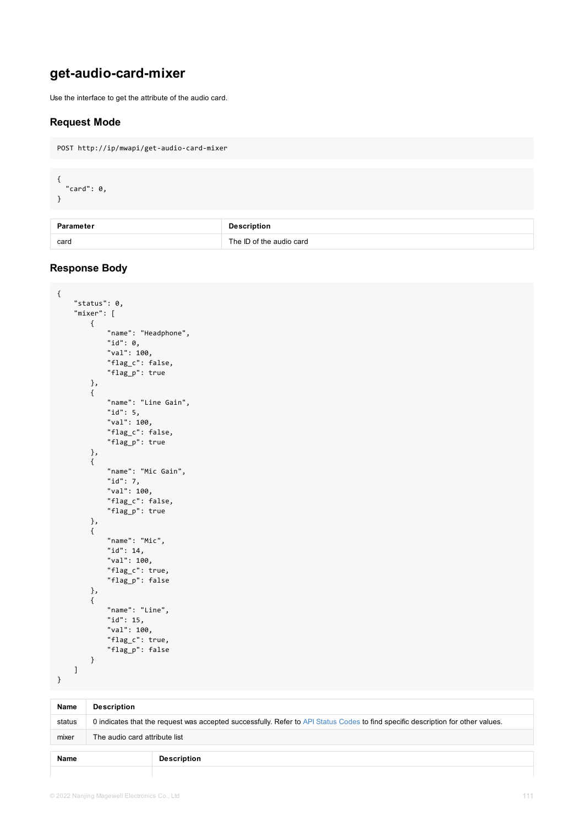```
{
    "status": 0,
    "mixer": [
        {
            "name": "Headphone",
            "id": 0,
            "val": 100,
            "flag_c": false,
            "flag_p": true
        },
        {
            "name": "Line Gain",
            "id": 5,
            "val": 100,
            "flag_c": false,
            "flag_p": true
        },
        {
            "name": "Mic Gain",
            "id": 7,
            "val": 100,
            "flag_c": false,
            "flag_p": true
        },
        {
            "name": "Mic",
            "id": 14,
            "val": 100,
            "flag_c": true,
            "flag_p": false
        },
        {
            "name": "Line",
            "id": 15,
            "val": 100,
            "flag_c": true,
            "flag_p": false
        }
   ]
}
```

| <b>Name</b> | <b>Description</b>                                                                                      |
|-------------|---------------------------------------------------------------------------------------------------------|
| status      | 0 indicates that the request was accepted successfully. Refer to API Status Codes to find specific desc |
| mixer       | The audio card attribute list                                                                           |
|             |                                                                                                         |

| <b>Name</b> | <b>Description</b> |
|-------------|--------------------|
|             |                    |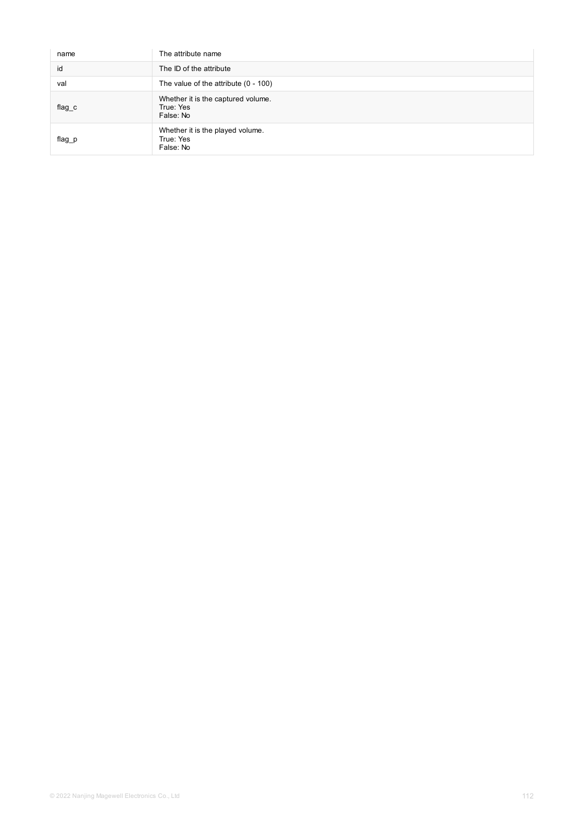| name   | The attribute name                                           |
|--------|--------------------------------------------------------------|
| id     | The ID of the attribute                                      |
| val    | The value of the attribute $(0 - 100)$                       |
| flag_c | Whether it is the captured volume.<br>True: Yes<br>False: No |
| flag_p | Whether it is the played volume.<br>True: Yes<br>False: No   |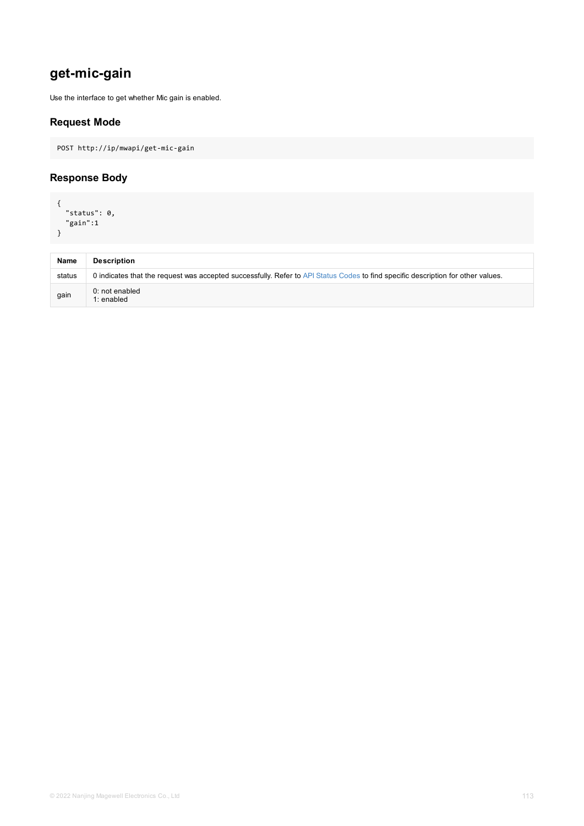| उावापउ | <u>v indicates that the request was accepted successfully. Here to All clatus ocules to find specific ucsu</u> |
|--------|----------------------------------------------------------------------------------------------------------------|
| gain   | 0: not enabled<br>∶enabled                                                                                     |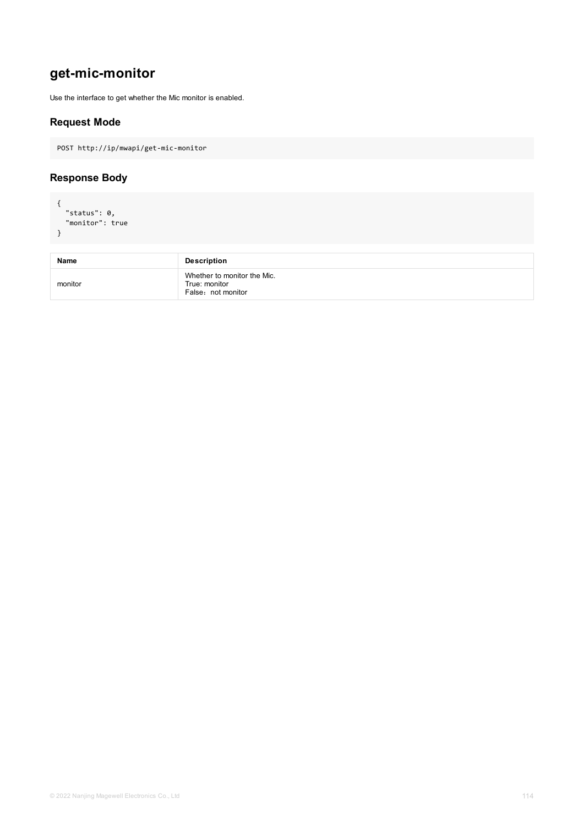# **get-mic-monitor**

Use the interface to get whether the Mic monitor is enabled.

### **Request Mode**

POST http://ip/mwapi/get-mic-monitor

## **Response Body**

```
{
  "status": 0,
 "monitor": true
}
```

| <b>Name</b> | <b>Description</b>                                                 |
|-------------|--------------------------------------------------------------------|
| monitor     | Whether to monitor the Mic.<br>True: monitor<br>False: not monitor |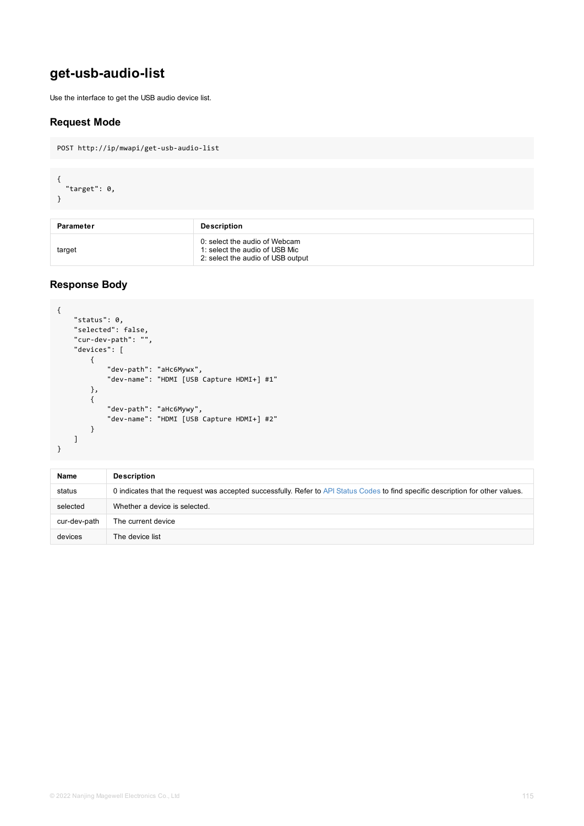```
{
    "status": 0,
    "selected": false,
    "cur-dev-path": "",
    "devices": [
        {
            "dev-path": "aHc6Mywx",
            "dev-name": "HDMI [USB Capture HDMI+] #1"
        },
        {
            "dev-path": "aHc6Mywy",
            "dev-name": "HDMI [USB Capture HDMI+] #2"
       }
    ]
}
```

| Name         | <b>Description</b>                                                                               |
|--------------|--------------------------------------------------------------------------------------------------|
| status       | 0 indicates that the request was accepted successfully. Refer to API Status Codes to find specif |
| selected     | Whether a device is selected.                                                                    |
| cur-dev-path | The current device                                                                               |
| devices      | The device list                                                                                  |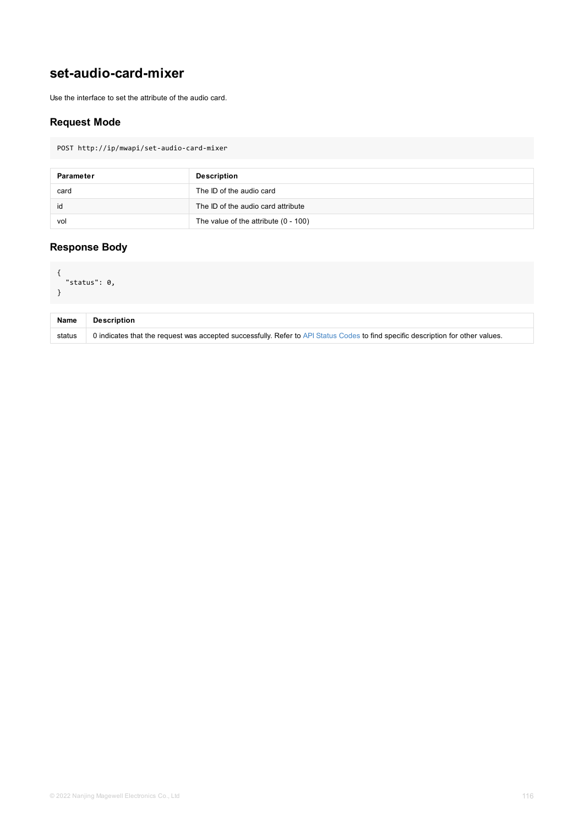```
\sim"status": 0,
}
```

| <b>Name</b> | <b>Description</b>                                                                                      |
|-------------|---------------------------------------------------------------------------------------------------------|
| status      | 0 indicates that the request was accepted successfully. Refer to API Status Codes to find specific desc |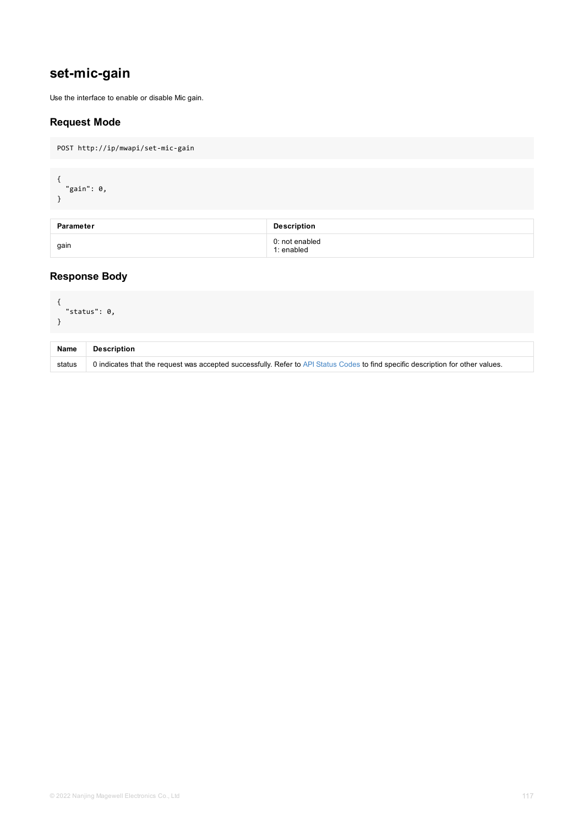```
{
 "status": 0,
}
```

| Name   | <b>Description</b>                                                                                      |
|--------|---------------------------------------------------------------------------------------------------------|
| status | 0 indicates that the request was accepted successfully. Refer to API Status Codes to find specific desc |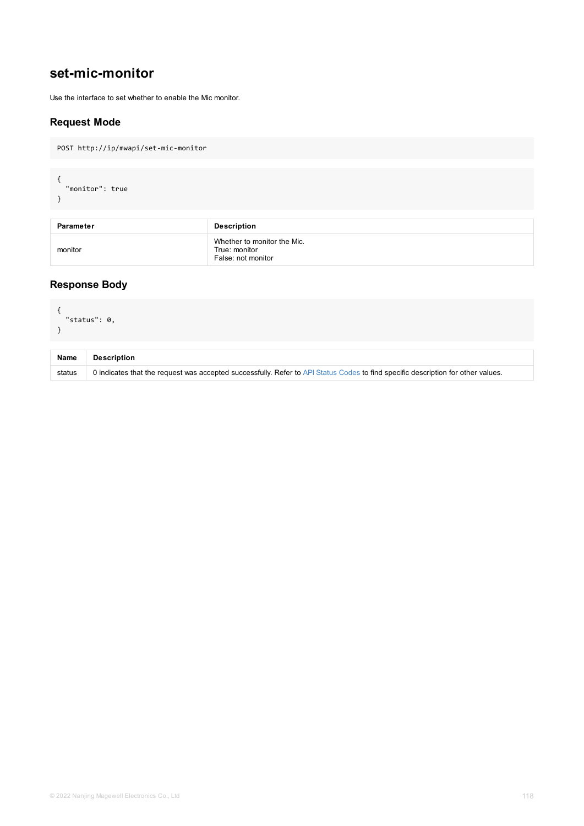```
{
  "status": 0,
}
```

| <b>Name</b> | <b>Description</b>                                                                                      |
|-------------|---------------------------------------------------------------------------------------------------------|
| status      | 0 indicates that the request was accepted successfully. Refer to API Status Codes to find specific dest |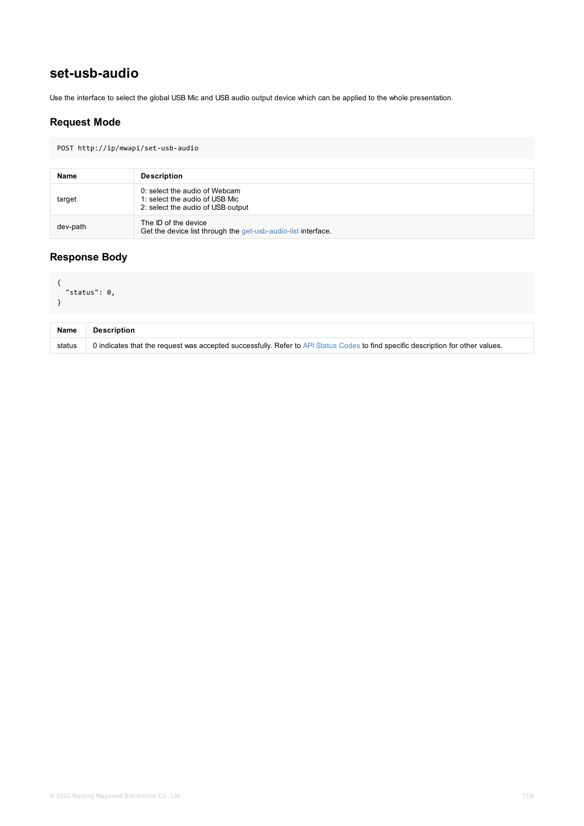```
{
 "status": 0,
}
```

| <b>Name</b> | <b>Description</b>                                                                                      |
|-------------|---------------------------------------------------------------------------------------------------------|
| status      | 0 indicates that the request was accepted successfully. Refer to API Status Codes to find specific desc |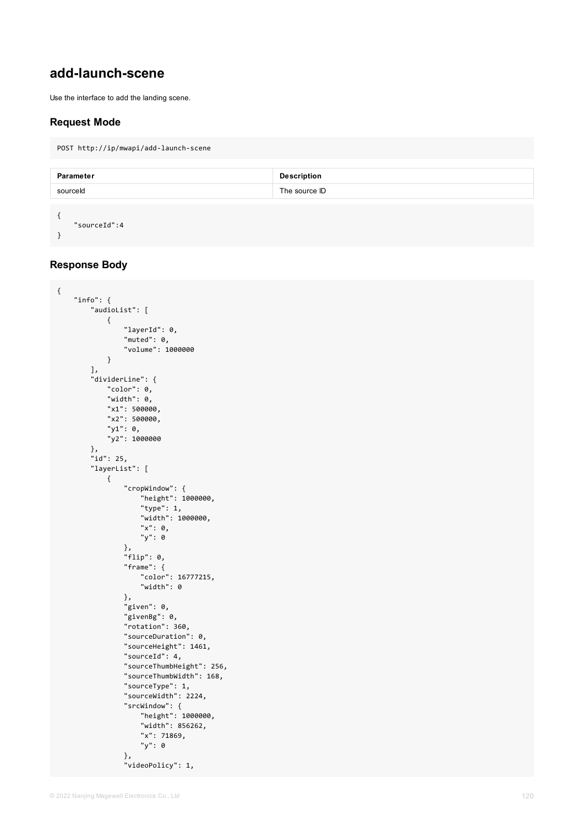## add-launch-scene

Use the interface to add the landing scene.

### **Request Mode**

POST http://ip/mwapi/add-launch-s c e n e

```
{
    "info": {
         "audioList": [
             {
                 "layerId": 0,
                 "muted": 0,
                 "volume": 1000000
             }
         ]
,
         "dividerLine": {
             "color": 0,
             "width": 0,
             "x1": 500000,
             "x2": 500000,
             "y1": 0,
             "y2": 1000000
         }
,
         "id": 25,
         "layerList": [
            {
                 "cropWindow": {
                      "height": 1000000,
                      "type": 1,
                      "width": 1000000,
                      "x": 0,
                      "
y
"
:
0
                 }
,
                 "flip": 0,
                 "frame": {
                      "color": 16777215,
                      "width": 0
                 }
,
                 "given": 0,
                 "givenBg": 0,
                 "rotation": 360,
                 "sourceDuration": 0,
                 "sourceHeight": 1461,
                 "sourceId": 4,
                 "sourceThumbHeight": 256,
                 "sourceThumbWidth": 168,
                 "sourceType": 1,
                 "sourceWidth": 2224,
                 "srcWindow": {
                      "height": 1000000,
                      "width": 856262,
                      "x": 71869,
                      "
y
"
:
0
                 }
,
                 "videoPolicy": 1,
```

| Parameter | <b>Description</b> |
|-----------|--------------------|
| sourceld  | The source ID      |

```
{
    "sourceId":4
}
```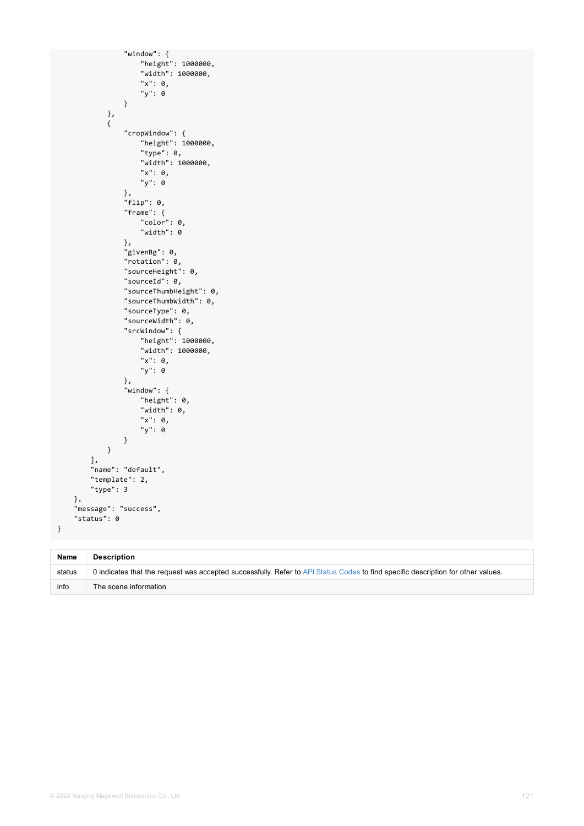```
"sourceId": 0,
                "sourceThumbHeight": 0,
                "sourceThumbWidth": 0,
                "sourceType": 0,
                "sourceWidth": 0,
                "srcWindow": {
                    "height": 1000000,
                    "width": 1000000,
                    "x": 0,
                    "y": 0
                },
                "window": {
                    "height": 0,
                    "width": 0,
                    "x": 0,"y": 0
                }
            }
        ],
        "name": "default",
        "template": 2,
        "type": 3
    },
    "message": "success",
    "status": 0
}
```

| <b>Name</b> | <b>Description</b>                                                                                      |
|-------------|---------------------------------------------------------------------------------------------------------|
| status      | 0 indicates that the request was accepted successfully. Refer to API Status Codes to find specific desc |
| info        | The scene information                                                                                   |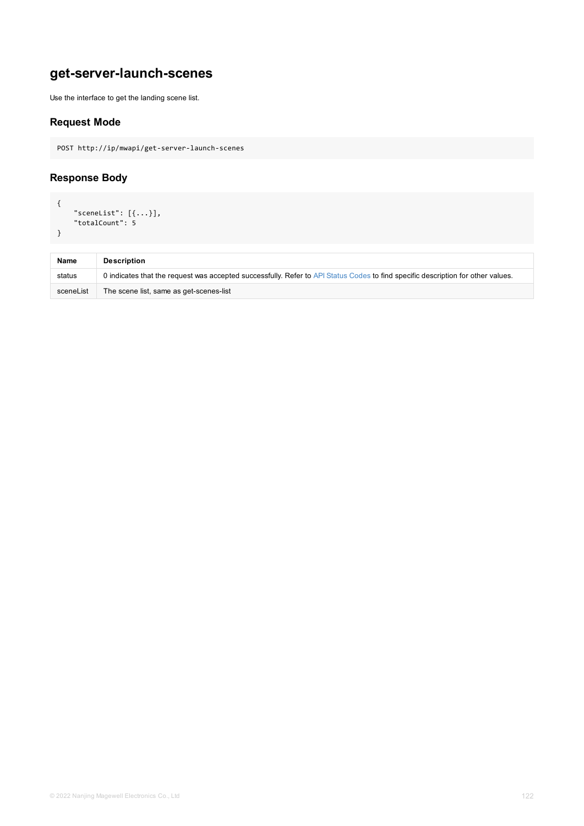| <del>status</del> | <u>o indicates that the reducst was accepted successidity. INJULIO ALTORIUS COUCS to find specific d</u> |
|-------------------|----------------------------------------------------------------------------------------------------------|
| sceneList         | The scene list, same as get-scenes-list                                                                  |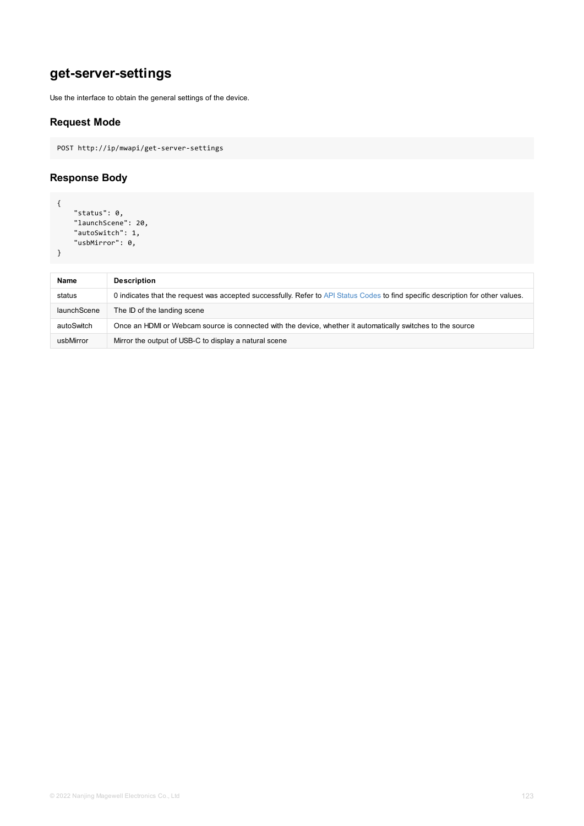| <b>Name</b> | <b>Description</b>                                                                               |
|-------------|--------------------------------------------------------------------------------------------------|
| status      | 0 indicates that the request was accepted successfully. Refer to API Status Codes to find specif |
| launchScene | The ID of the landing scene                                                                      |
| autoSwitch  | Once an HDMI or Webcam source is connected with the device, whether it automatically switche     |
| usbMirror   | Mirror the output of USB-C to display a natural scene                                            |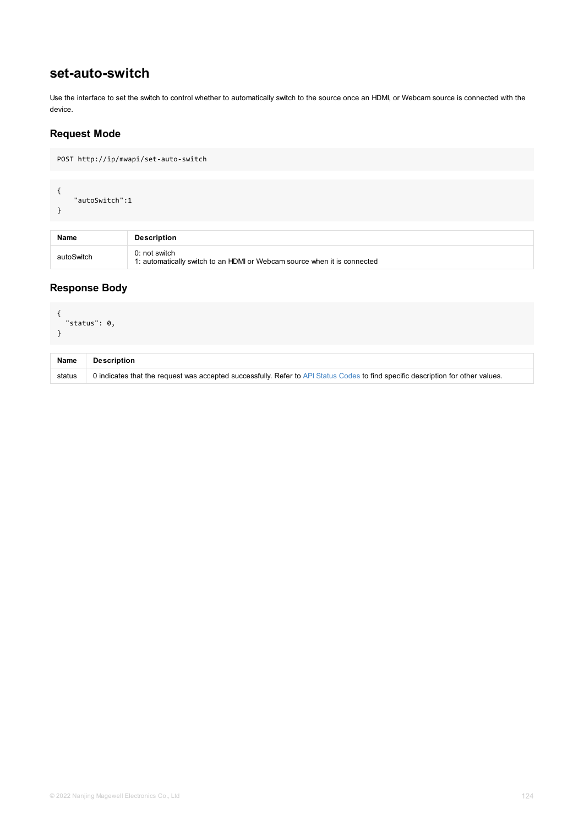```
{
  "status": 0,
}
```

| <b>Name</b> | <b>Description</b>                                                                                      |
|-------------|---------------------------------------------------------------------------------------------------------|
| status      | 0 indicates that the request was accepted successfully. Refer to API Status Codes to find specific desc |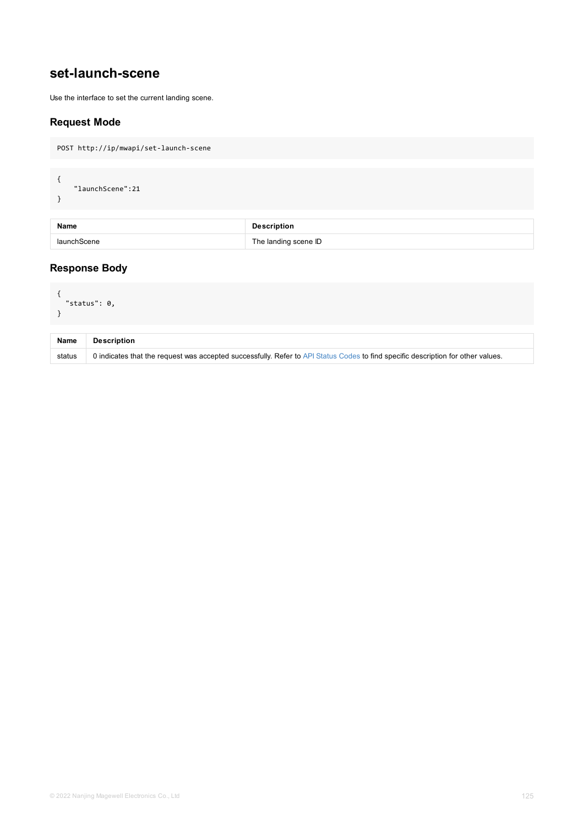```
{
 "status": 0,
}
```

| <b>Name</b> | Description                                                                                             |
|-------------|---------------------------------------------------------------------------------------------------------|
| status      | 0 indicates that the request was accepted successfully. Refer to API Status Codes to find specific desc |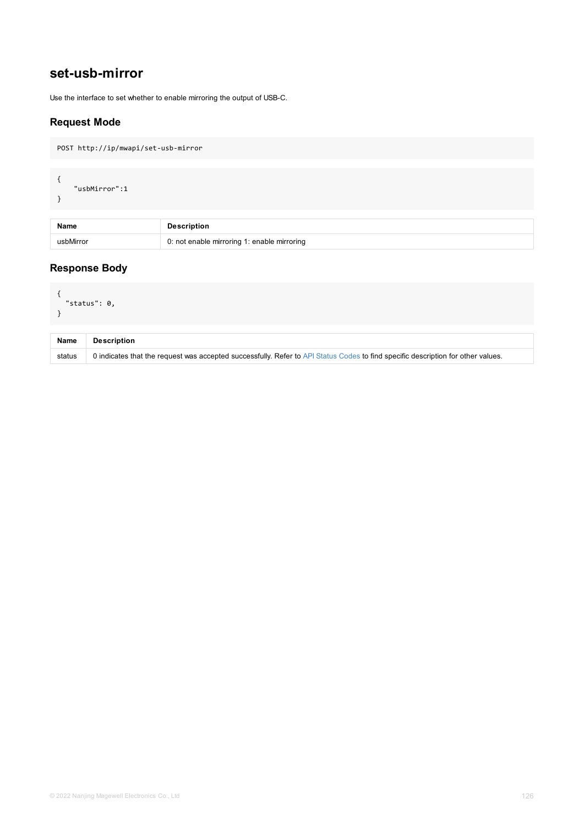```
{
 "status": 0,
}
```

| <b>Name</b> | Description                                                                                             |
|-------------|---------------------------------------------------------------------------------------------------------|
| status      | 0 indicates that the request was accepted successfully. Refer to API Status Codes to find specific desc |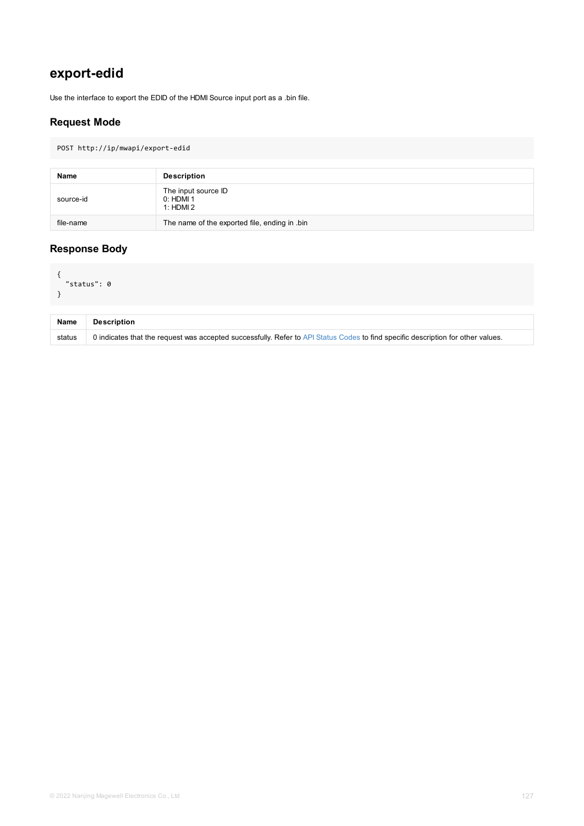```
\epsilon"status": 0
}
```

| <b>Name</b> | <b>Description</b>                                                                                      |
|-------------|---------------------------------------------------------------------------------------------------------|
| status      | 0 indicates that the request was accepted successfully. Refer to API Status Codes to find specific desc |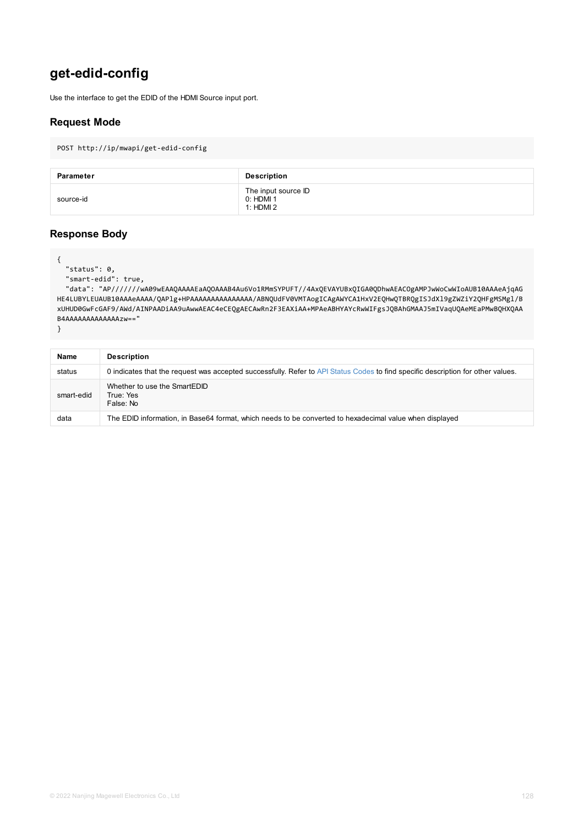```
"smart-edid": true,
```
"data": "AP//////wA09wEAAQAAAAEaAQOAAAB4Au6Vo1RMmSYPUFT//4AxQEVAYUBxQIGA0QDhwAEACOgAMI HE4LUBYLEUAUB10AAAeAAAA/QAPlg+HPAAAAAAAAAAAAAAAA/ABNQUdFV0VMTAogICAgAWYCA1HxV2EQHwQTBRQgI xUHUD0GwFcGAF9/AWd/AINPAADiAA9uAwwAEAC4eCEQgAECAwRn2F3EAXiAA+MPAeABHYAYcRwWIFgsJQBAhGMAA B4AAAAAAAAAAAAAzw=="

| <b>Name</b> | <b>Description</b>                                                                                 |
|-------------|----------------------------------------------------------------------------------------------------|
| status      | 0 indicates that the request was accepted successfully. Refer to API Status Codes to find specific |
| smart-edid  | Whether to use the SmartEDID<br>True: Yes<br>False: No                                             |
| data        | The EDID information, in Base64 format, which needs to be converted to hexadecimal value when      |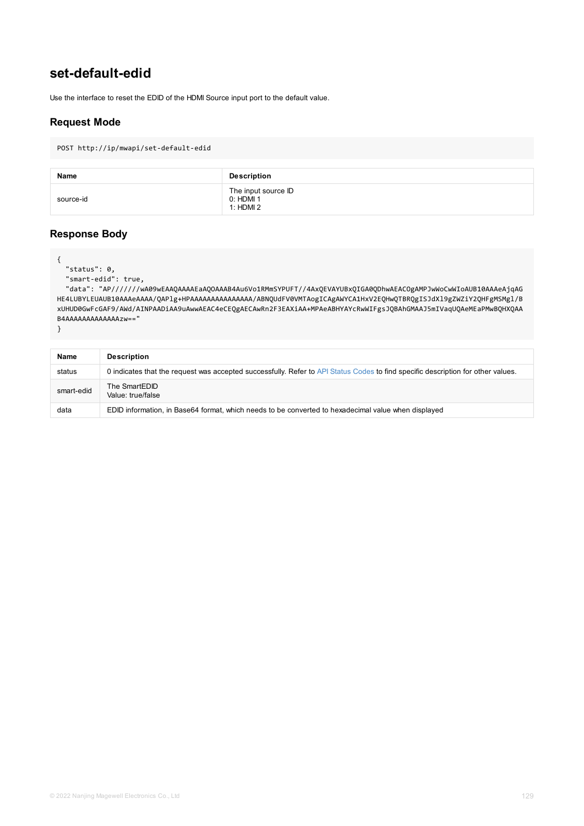```
"smart-edid": true,
```
"data": "AP//////wA09wEAAQAAAAEaAQOAAAB4Au6Vo1RMmSYPUFT//4AxQEVAYUBxQIGA0QDhwAEACOgAMI HE4LUBYLEUAUB10AAAeAAAA/QAPlg+HPAAAAAAAAAAAAAAAA/ABNQUdFV0VMTAogICAgAWYCA1HxV2EQHwQTBRQgI xUHUD0GwFcGAF9/AWd/AINPAADiAA9uAwwAEAC4eCEQgAECAwRn2F3EAXiAA+MPAeABHYAYcRwWIFgsJQBAhGMAA B4AAAAAAAAAAAAAzw=="

| <b>Name</b> | <b>Description</b>                                                                                 |
|-------------|----------------------------------------------------------------------------------------------------|
| status      | 0 indicates that the request was accepted successfully. Refer to API Status Codes to find specific |
| smart-edid  | The SmartEDID<br>Value: true/false                                                                 |
| data        | EDID information, in Base64 format, which needs to be converted to hexadecimal value when disp     |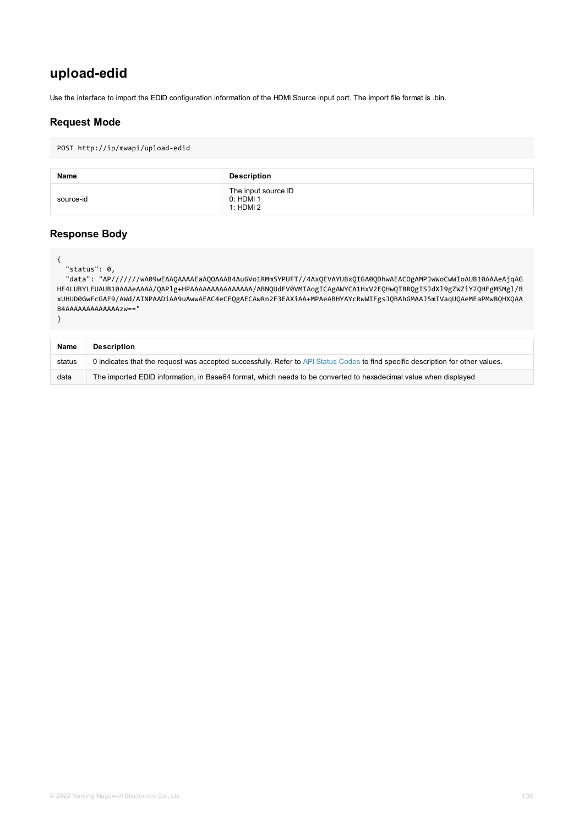"data": "AP//////wA09wEAAQAAAAEaAQOAAAB4Au6Vo1RMmSYPUFT//4AxQEVAYUBxQIGA0QDhwAEACOgAM| HE4LUBYLEUAUB10AAAeAAAA/QAPlg+HPAAAAAAAAAAAAAAAA/ABNQUdFV0VMTAogICAgAWYCA1HxV2EQHwQTBRQgI xUHUD0GwFcGAF9/AWd/AINPAADiAA9uAwwAEAC4eCEQgAECAwRn2F3EAXiAA+MPAeABHYAYcRwWIFgsJQBAhGMAA B4AAAAAAAAAAAAAzw=="

| <b>Name</b> | <b>Description</b>                                                                                      |
|-------------|---------------------------------------------------------------------------------------------------------|
| status      | 0 indicates that the request was accepted successfully. Refer to API Status Codes to find specific desc |
| data        | The imported EDID information, in Base64 format, which needs to be converted to hexadecimal value       |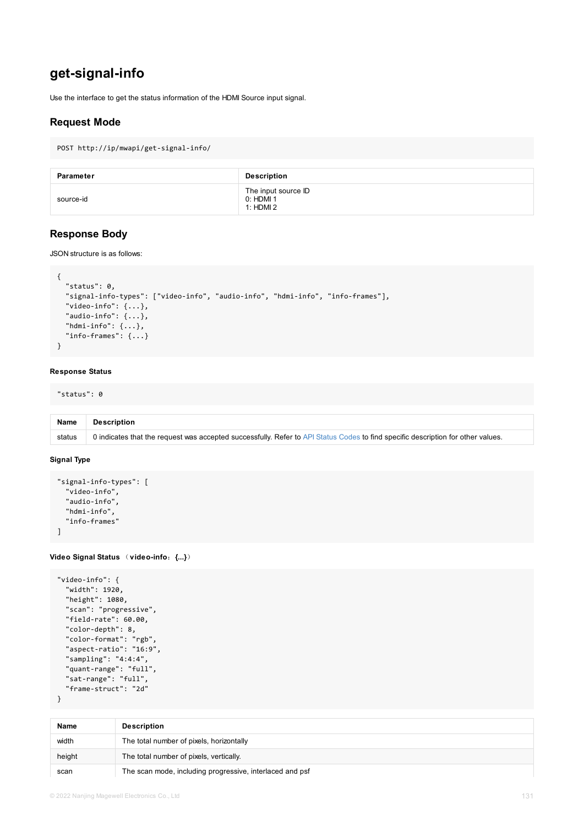```
\mathfrak{r}"status": 0,
  "signal-info-types": ["video-info", "audio-info", "hdmi-info", "info-frames"],
  "video-info": \{\ldots\},
  "audio-info": {...},
  "hdmi-info": \{ \ldots \},
  "info-frames": {...}
}
```
#### **Response Status**

"status": 0

| <b>Name</b> | <b>Description</b>                                                                                      |
|-------------|---------------------------------------------------------------------------------------------------------|
| status      | 0 indicates that the request was accepted successfully. Refer to API Status Codes to find specific desc |

#### **Signal Type**

```
"signal-info-types": [
  "video-info",
  "audio-info",
  "hdmi-info",
  "info-frames"
\mathbf{I}
```
**Video Signal Status** (**video-info**:**{...}**)

```
"video-info": {
  "width": 1920,
  "height": 1080,
  "scan": "progressive",
  "field-rate": 60.00,
  "color-depth": 8,
  "color-format": "rgb",
  "aspect-ratio": "16:9",
  "sampling": "4:4:4",
  "quant-range": "full",
  "sat-range": "full",
  "frame-struct": "2d"
}
```

```
Name Description
width The total number of pixels, horizontally
height The total number of pixels, vertically.
scan The scan mode, including progressive, interlaced and psf
```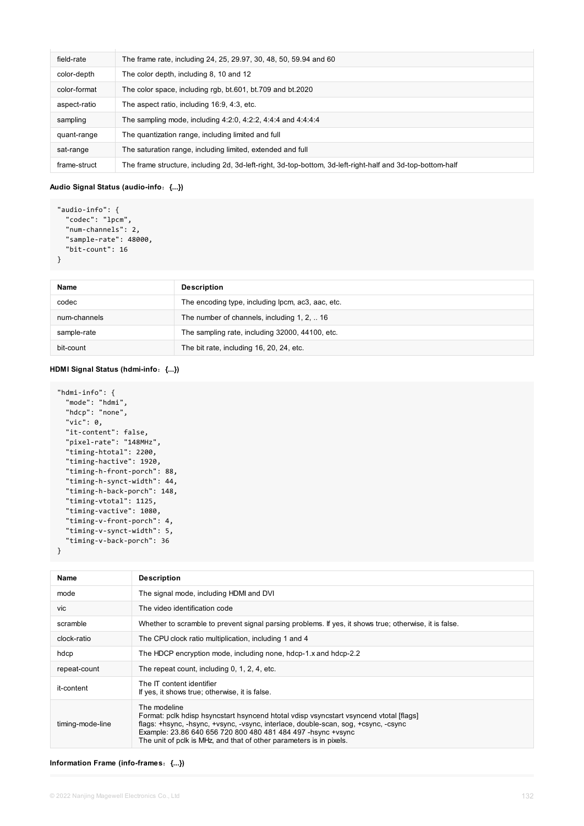| field-rate   | The frame rate, including 24, 25, 29.97, 30, 48, 50, 59.94 and 60                                          |
|--------------|------------------------------------------------------------------------------------------------------------|
| color-depth  | The color depth, including 8, 10 and 12                                                                    |
| color-format | The color space, including rgb, bt.601, bt.709 and bt.2020                                                 |
| aspect-ratio | The aspect ratio, including 16:9, 4:3, etc.                                                                |
| sampling     | The sampling mode, including $4:2:0, 4:2:2, 4:4:4$ and $4:4:4:4$                                           |
| quant-range  | The quantization range, including limited and full                                                         |
| sat-range    | The saturation range, including limited, extended and full                                                 |
| frame-struct | The frame structure, including 2d, 3d-left-right, 3d-top-bottom, 3d-left-right-half and 3d-top-bottom-half |

#### **Audio Signal Status (audio-info**:**{...})**

```
"audio-info": {
  "codec": "lpcm",
  "num-channels": 2,
  "sample-rate": 48000,
  "bit-count": 16
}
```

| <b>Name</b>  | <b>Description</b>                                |
|--------------|---------------------------------------------------|
| codec        | The encoding type, including lpcm, ac3, aac, etc. |
| num-channels | The number of channels, including 1, 2,  16       |
| sample-rate  | The sampling rate, including 32000, 44100, etc.   |
| bit-count    | The bit rate, including 16, 20, 24, etc.          |

#### **HDMI Signal Status (hdmi-info**:**{...})**

```
"hdmi-info": {
  "mode": "hdmi",
  "hdcp": "none",
  "vic": 0,
  "it-content": false,
  "pixel-rate": "148MHz",
  "timing-htotal": 2200,
  "timing-hactive": 1920,
  "timing-h-front-porch": 88,
  "timing-h-synct-width": 44,
  "timing-h-back-porch": 148,
  "timing-vtotal": 1125,
  "timing-vactive": 1080,
  "timing-v-front-porch": 4,
  "timing-v-synct-width": 5,
  "timing-v-back-porch": 36
}
```

| <b>Name</b>      | <b>Description</b>                                                                                                                                                                                                                                                                                                                    |
|------------------|---------------------------------------------------------------------------------------------------------------------------------------------------------------------------------------------------------------------------------------------------------------------------------------------------------------------------------------|
| mode             | The signal mode, including HDMI and DVI                                                                                                                                                                                                                                                                                               |
| VIC.             | The video identification code                                                                                                                                                                                                                                                                                                         |
| scramble         | Whether to scramble to prevent signal parsing problems. If yes, it shows true; otherwise, it is false.                                                                                                                                                                                                                                |
| clock-ratio      | The CPU clock ratio multiplication, including 1 and 4                                                                                                                                                                                                                                                                                 |
| hdcp             | The HDCP encryption mode, including none, hdcp-1.x and hdcp-2.2                                                                                                                                                                                                                                                                       |
| repeat-count     | The repeat count, including 0, 1, 2, 4, etc.                                                                                                                                                                                                                                                                                          |
| it-content       | The IT content identifier<br>If yes, it shows true; otherwise, it is false.                                                                                                                                                                                                                                                           |
| timing-mode-line | The modeline<br>Format: pclk hdisp hsyncstart hsyncend htotal vdisp vsyncstart vsyncend vtotal [flags]<br>flags: +hsync, -hsync, +vsync, -vsync, interlace, double-scan, sog, +csync, -csync<br>Example: 23.86 640 656 720 800 480 481 484 497 - hsync + vsync<br>The unit of pclk is MHz, and that of other parameters is in pixels. |

#### **Information Frame (info-frames**:**{...})**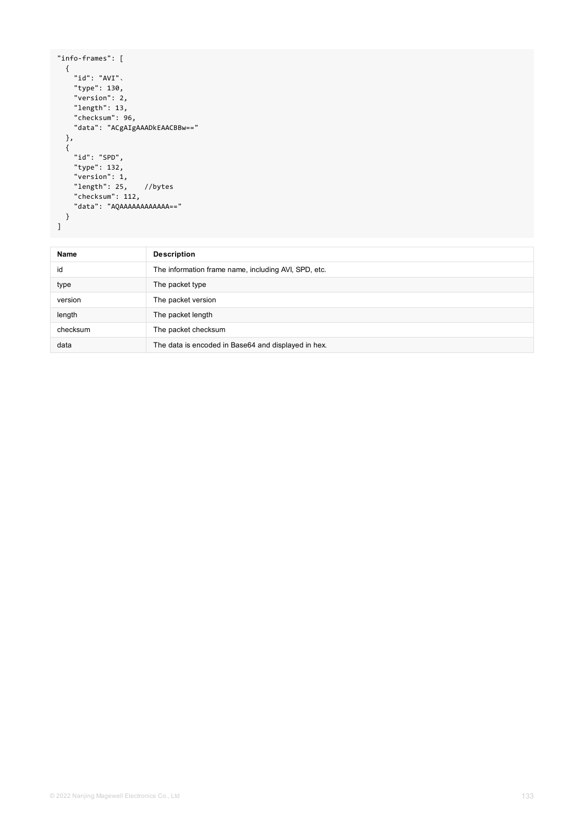```
"info-frames": [
 {
   "id": "AVI"、
   "type": 130,
   "version": 2,
   "length": 13,
   "checksum": 96,
   "data": "ACgAIgAAADkEAACBBw=="
 },
 {
   "id": "SPD",
   "type": 132,
   "version": 1,
   "length": 25, //bytes
   "checksum": 112,
   "data": "AQAAAAAAAAAAAA=="
 }
]
```

| <b>Name</b> | <b>Description</b>                                   |
|-------------|------------------------------------------------------|
| id          | The information frame name, including AVI, SPD, etc. |
| type        | The packet type                                      |
| version     | The packet version                                   |
| length      | The packet length                                    |
| checksum    | The packet checksum                                  |
| data        | The data is encoded in Base64 and displayed in hex.  |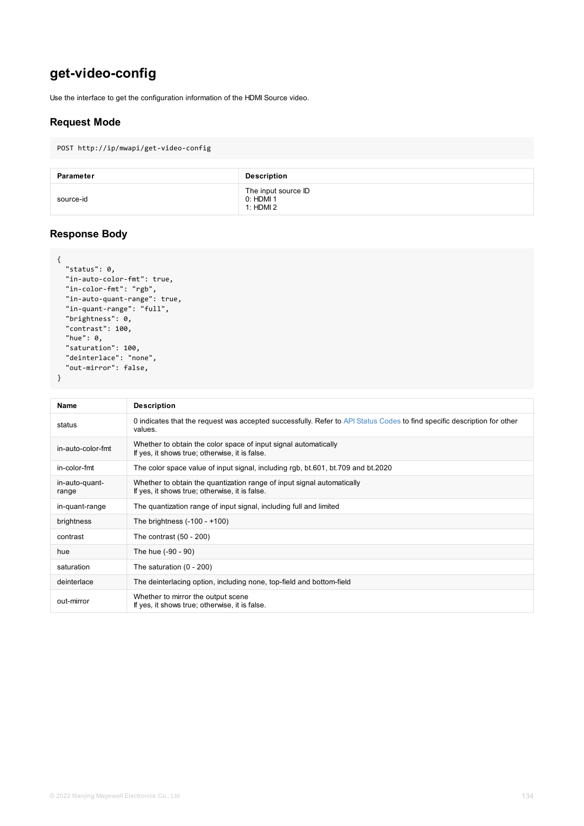```
"in-auto-color-fmt": true,
"in-color-fmt": "rgb",
"in-auto-quant-range": true,
"in-quant-range": "full",
"brightness": 0,
"contrast": 100,
"hue": 0,
"saturation": 100,
"deinterlace": "none",
"out-mirror": false,
```

| <b>Name</b>             | <b>Description</b>                                                                                                       |
|-------------------------|--------------------------------------------------------------------------------------------------------------------------|
| status                  | 0 indicates that the request was accepted successfully. Refer to API Status Codes to find<br>values.                     |
| in-auto-color-fmt       | Whether to obtain the color space of input signal automatically<br>If yes, it shows true; otherwise, it is false.        |
| in-color-fmt            | The color space value of input signal, including rgb, bt.601, bt.709 and bt.2020                                         |
| in-auto-quant-<br>range | Whether to obtain the quantization range of input signal automatically<br>If yes, it shows true; otherwise, it is false. |
| in-quant-range          | The quantization range of input signal, including full and limited                                                       |
| brightness              | The brightness $(-100 - +100)$                                                                                           |
| contrast                | The contrast $(50 - 200)$                                                                                                |
| hue                     | The hue (-90 - 90)                                                                                                       |
| saturation              | The saturation $(0 - 200)$                                                                                               |
| deinterlace             | The deinterlacing option, including none, top-field and bottom-field                                                     |
| out-mirror              | Whether to mirror the output scene<br>If yes, it shows true; otherwise, it is false.                                     |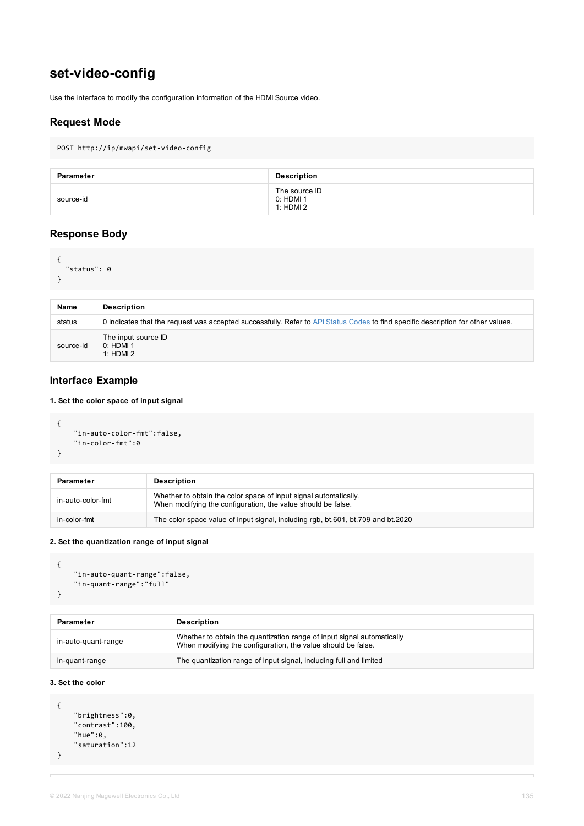```
}
```

| <b>Name</b> | <b>Description</b>                                                                                   |
|-------------|------------------------------------------------------------------------------------------------------|
| status      | 0 indicates that the request was accepted successfully. Refer to API Status Codes to find specific d |
| source-id   | The input source ID<br>$0:$ HDMI 1<br>1: HDMI 2                                                      |

### **Interface Example**

**1. Set the color space of input signal**

```
{
    "in-auto-color-fmt":false,
    "in-color-fmt":0
}
```

| <b>Parameter</b>  | <b>Description</b>                                                                                                               |
|-------------------|----------------------------------------------------------------------------------------------------------------------------------|
| in-auto-color-fmt | Whether to obtain the color space of input signal automatically.<br>When modifying the configuration, the value should be false. |
| in-color-fmt      | The color space value of input signal, including rgb, bt.601, bt.709 and bt.2020                                                 |

#### **2. Set the quantization range of input signal**

```
{
    "in-auto-quant-range":false,
    "in-quant-range":"full"
}
```

| <b>Parameter</b>    | <b>Description</b>                                                                                                                     |
|---------------------|----------------------------------------------------------------------------------------------------------------------------------------|
| in-auto-quant-range | Whether to obtain the quantization range of input signal automatically<br>When modifying the configuration, the value should be false. |
| in-quant-range      | The quantization range of input signal, including full and limited                                                                     |

#### **3. Set the color**

```
{
    "brightness":0,
    "contrast":100,
    "hue":0,
    "saturation":12
}
```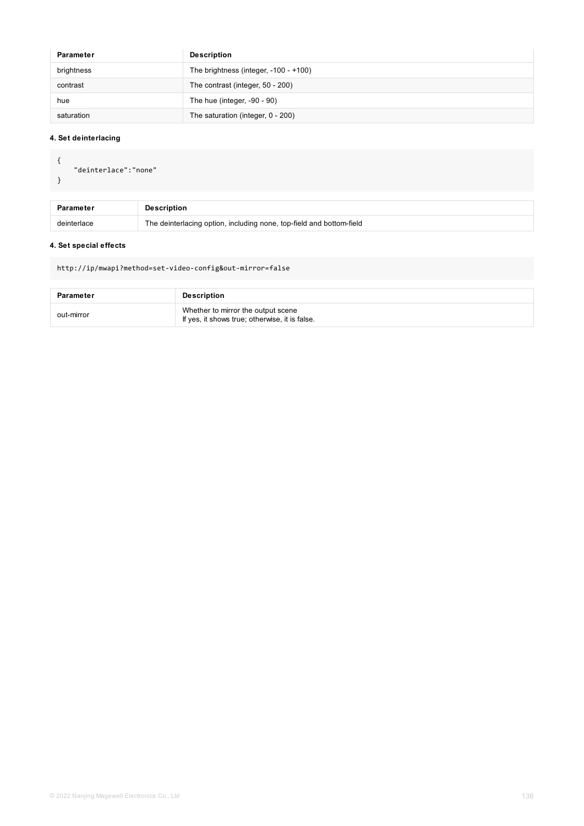| <b>Parameter</b> | <b>Description</b>                       |
|------------------|------------------------------------------|
| brightness       | The brightness (integer, $-100 - +100$ ) |
| contrast         | The contrast (integer, 50 - 200)         |
| hue              | The hue (integer, -90 - 90)              |
| saturation       | The saturation (integer, 0 - 200)        |

```
\{"deinterlace":"none"
}
```
### **4. Set deinterlacing**

| deinterlace | The deinterlacing option, including none, top-field and bottom-field |
|-------------|----------------------------------------------------------------------|

### **4. Set special effects**

http://ip/mwapi?method=set-video-config&out-mirror=false

| <b>Parameter</b> | <b>Description</b>                                                                   |
|------------------|--------------------------------------------------------------------------------------|
| out-mirror       | Whether to mirror the output scene<br>If yes, it shows true; otherwise, it is false. |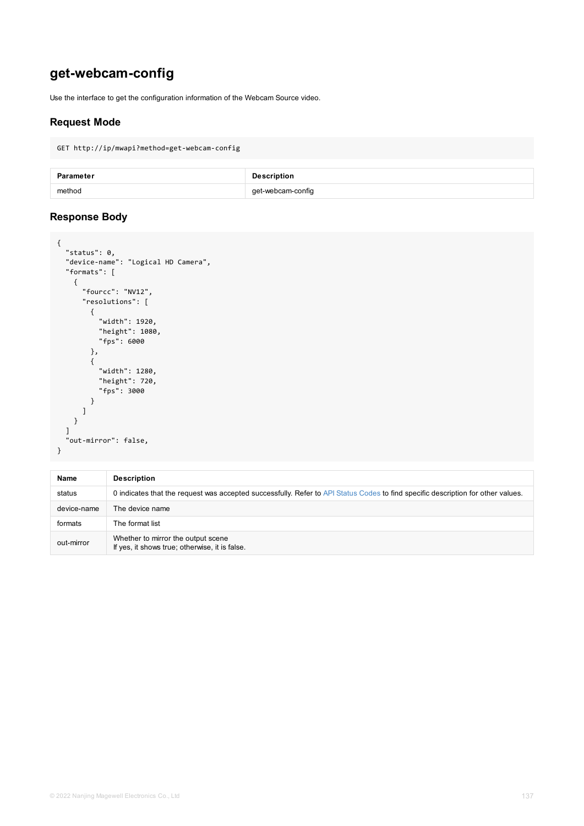# **get-webcam-config**

Use the interface to get the configuration information of the Webcam Source video.

### **Request Mode**

GET http://ip/mwapi?method=get-webcam-config

| <b>Parameter</b> |                   |
|------------------|-------------------|
| method           | get-webcam-config |
|                  |                   |

### **Response Body**

```
{
  "status": 0,
  "device-name": "Logical HD Camera",
  "formats": [
   {
      "fourcc": "NV12",
      "resolutions": [
       {
          "width": 1920,
          "height": 1080,
          "fps": 6000
        },
        {
          "width": 1280,
          "height": 720,
          "fps": 3000
        }
      ]
    }
  ]
  "out-mirror": false,
}
```

| <b>Name</b> | <b>Description</b>                                                                                                               |
|-------------|----------------------------------------------------------------------------------------------------------------------------------|
| status      | 0 indicates that the request was accepted successfully. Refer to API Status Codes to find specific description for other values. |
| device-name | The device name                                                                                                                  |
| formats     | The format list                                                                                                                  |
| out-mirror  | Whether to mirror the output scene<br>If yes, it shows true; otherwise, it is false.                                             |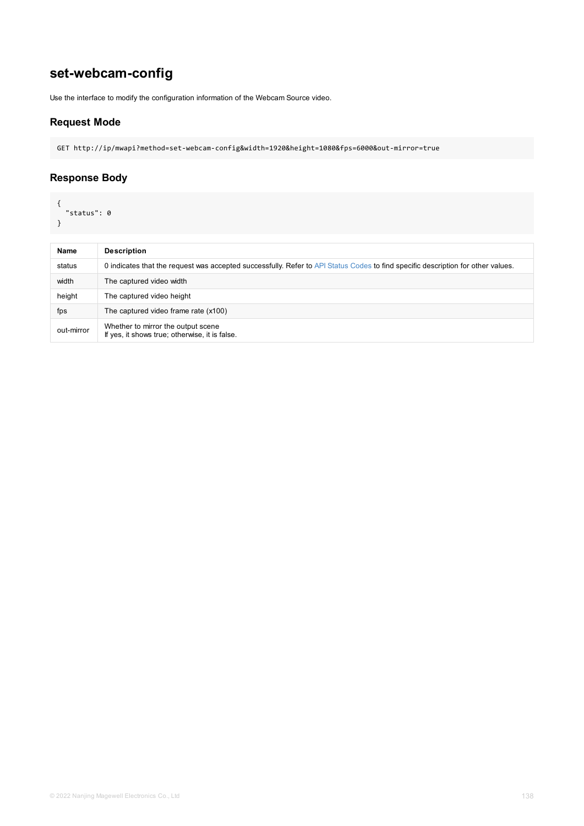# **set-webcam-config**

Use the interface to modify the configuration information of the Webcam Source video.

### **Request Mode**

GET http://ip/mwapi?method=set-webcam-config&width=1920&height=1080&fps=6000&out-mirror=true

## **Response Body**

```
{
  "status": 0
}
```

| Name       | <b>Description</b>                                                                                                               |
|------------|----------------------------------------------------------------------------------------------------------------------------------|
| status     | 0 indicates that the request was accepted successfully. Refer to API Status Codes to find specific description for other values. |
| width      | The captured video width                                                                                                         |
| height     | The captured video height                                                                                                        |
| fps        | The captured video frame rate (x100)                                                                                             |
| out-mirror | Whether to mirror the output scene<br>If yes, it shows true; otherwise, it is false.                                             |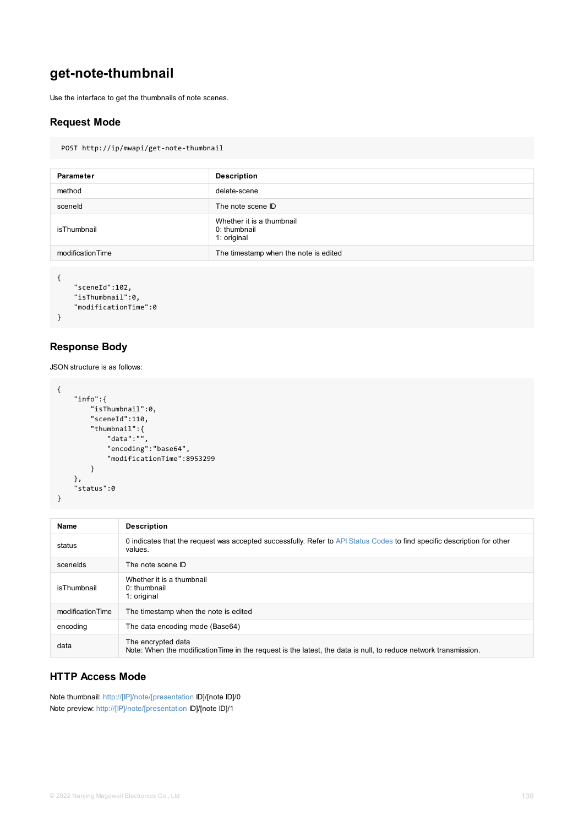```
\mathfrak{t}"sceneId":102,
     "isThumbnail":0,
     "modificationTime":0
}
```
JSON structure is as follows:

```
{
    "info":{
        "isThumbnail":0,
        "sceneId":110,
        "thumbnail":{
            "data":"",
            "encoding":"base64",
            "modificationTime":8953299
        }
    },
    "status":0
}
```

| <b>Name</b>      | <b>Description</b>                                                                                                    |
|------------------|-----------------------------------------------------------------------------------------------------------------------|
| status           | 0 indicates that the request was accepted successfully. Refer to API Status Codes to find sp<br>values.               |
| scenelds         | The note scene ID                                                                                                     |
| isThumbnail      | Whether it is a thumbnail<br>$0:$ thumbnail<br>1: original                                                            |
| modificationTime | The timestamp when the note is edited                                                                                 |
| encoding         | The data encoding mode (Base64)                                                                                       |
| data             | The encrypted data<br>Note: When the modification Time in the request is the latest, the data is null, to reduce netw |

### **HTTP Access Mode**

Note thumbnail: http://[IP]/note/[presentation ID]/[note ID]/0 Note preview: http://[IP]/note/[presentation ID]/[note ID]/1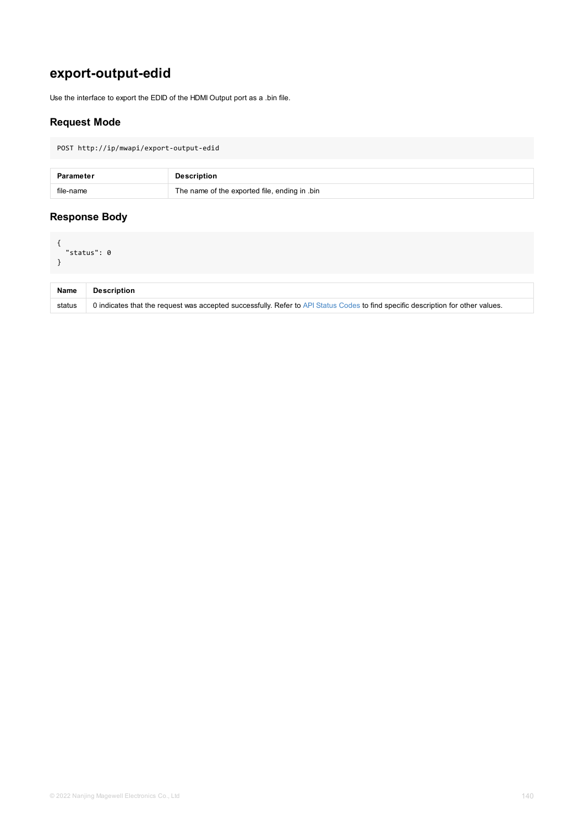| <b>Name</b> | <b>Description</b>                                                                                      |
|-------------|---------------------------------------------------------------------------------------------------------|
| status      | 0 indicates that the request was accepted successfully. Refer to API Status Codes to find specific desc |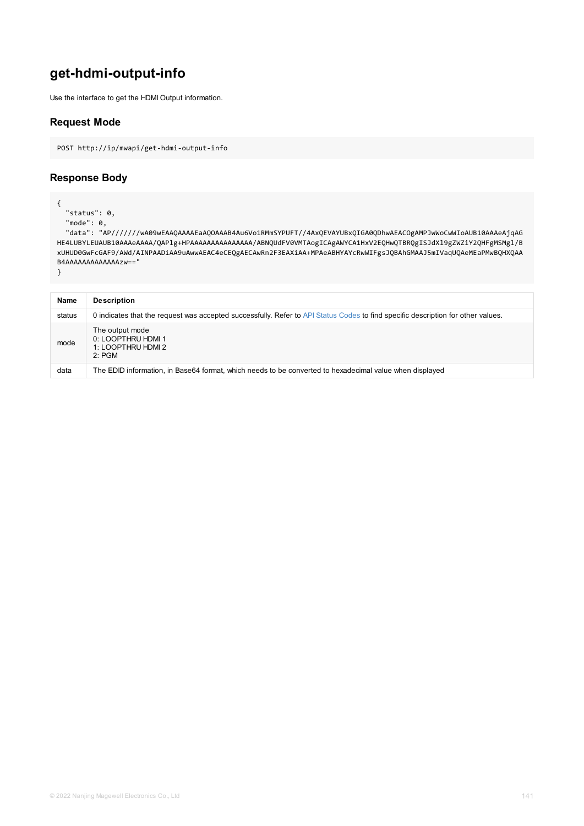| <b>Name</b> | <b>Description</b>                                                                                      |
|-------------|---------------------------------------------------------------------------------------------------------|
| status      | 0 indicates that the request was accepted successfully. Refer to API Status Codes to find specific desc |
| mode        | The output mode<br>0: LOOPTHRU HDMI 1<br>1: LOOPTHRU HDMI 2<br>2:PGM                                    |
| data        | The EDID information, in Base64 format, which needs to be converted to hexadecimal value when disp      |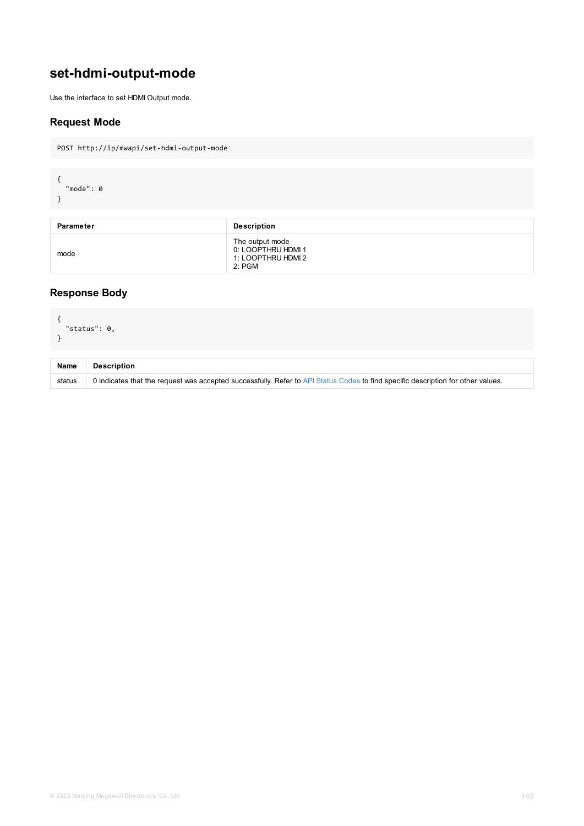```
{
  "status": 0,
}
```

| <b>Name</b> | <b>Description</b>                                                                                      |
|-------------|---------------------------------------------------------------------------------------------------------|
| status      | 0 indicates that the request was accepted successfully. Refer to API Status Codes to find specific deso |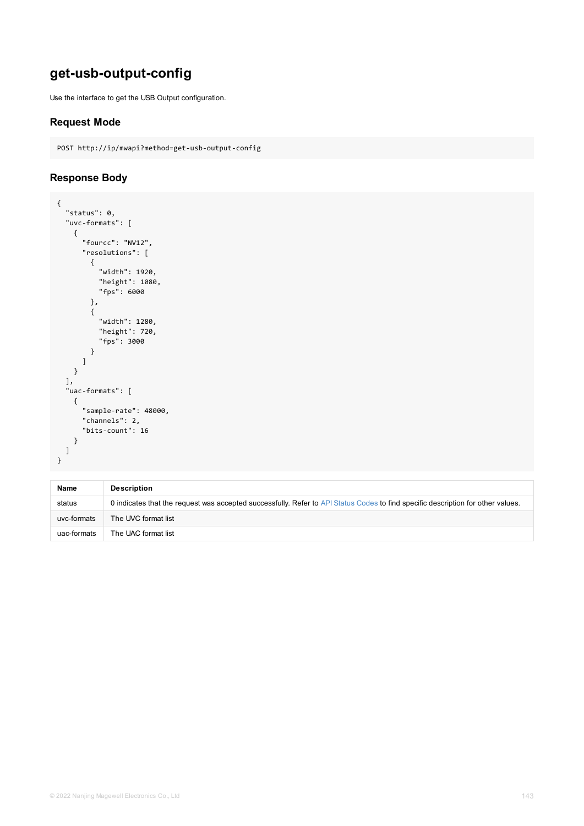```
"height": 1080,
          "fps": 6000
        },
        {
          "width": 1280,
          "height": 720,
         "fps": 3000
        }
      ]
    }
  ],
  "uac-formats": [
   {
      "sample-rate": 48000,
      "channels": 2,
      "bits-count": 16
    }
  ]
}
```

| <b>Name</b> | <b>Description</b>                                                                                 |
|-------------|----------------------------------------------------------------------------------------------------|
| status      | 0 indicates that the request was accepted successfully. Refer to API Status Codes to find specific |
| uvc-formats | The UVC format list                                                                                |
| uac-formats | The UAC format list                                                                                |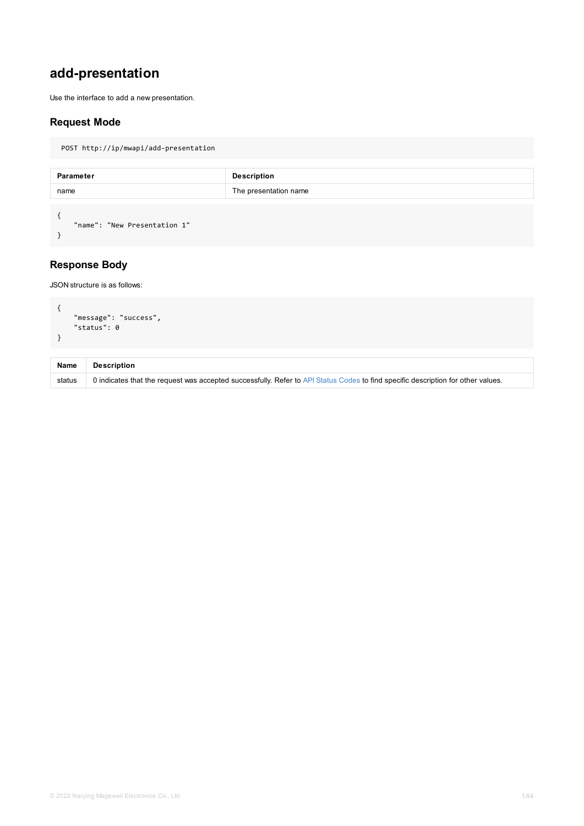JSON structure is as follows:

```
{
   "message": "success",
   "status": 0
}
```

| <b>Name</b> | Description                                                                                             |
|-------------|---------------------------------------------------------------------------------------------------------|
| status      | 0 indicates that the request was accepted successfully. Refer to API Status Codes to find specific desc |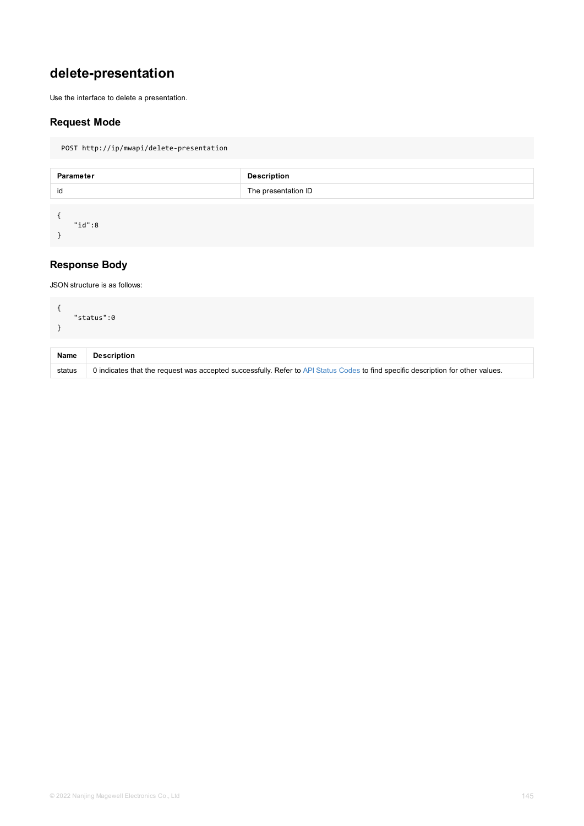```
{
    "status":0
}
```

| <b>Name</b> | <b>Description</b>                                                                                      |
|-------------|---------------------------------------------------------------------------------------------------------|
| status      | 0 indicates that the request was accepted successfully. Refer to API Status Codes to find specific desc |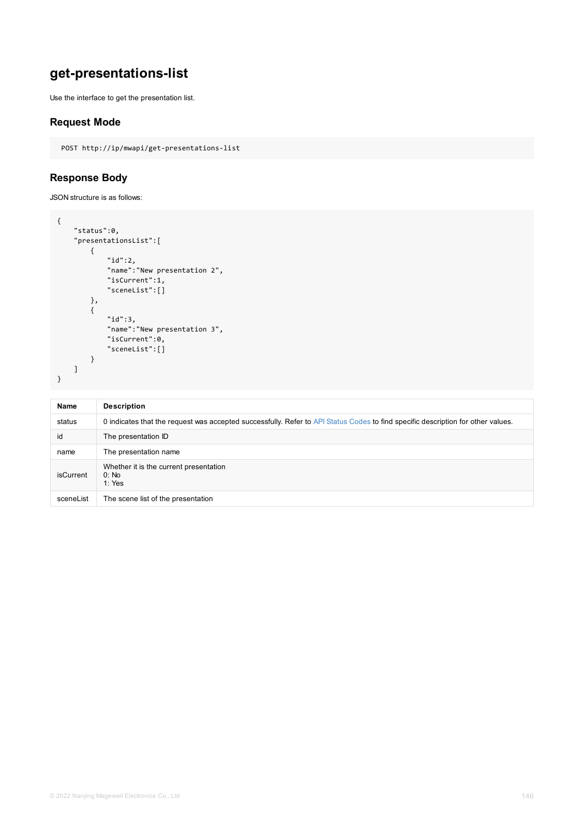```
"isCurrent":1,
            "sceneList":[]
        },
        {
            "id":3,
            "name":"New presentation 3",
            "isCurrent":0,
            "sceneList":[]
        }
   ]
}
```

| <b>Description</b><br><b>Name</b><br>status<br>id<br>The presentation ID<br>The presentation name<br>name<br>Whether it is the current presentation<br><b>isCurrent</b><br>$0:$ No<br>1: Yes<br>The scene list of the presentation<br>sceneList |  |                                                                                                      |
|-------------------------------------------------------------------------------------------------------------------------------------------------------------------------------------------------------------------------------------------------|--|------------------------------------------------------------------------------------------------------|
|                                                                                                                                                                                                                                                 |  |                                                                                                      |
|                                                                                                                                                                                                                                                 |  | 0 indicates that the request was accepted successfully. Refer to API Status Codes to find specific c |
|                                                                                                                                                                                                                                                 |  |                                                                                                      |
|                                                                                                                                                                                                                                                 |  |                                                                                                      |
|                                                                                                                                                                                                                                                 |  |                                                                                                      |
|                                                                                                                                                                                                                                                 |  |                                                                                                      |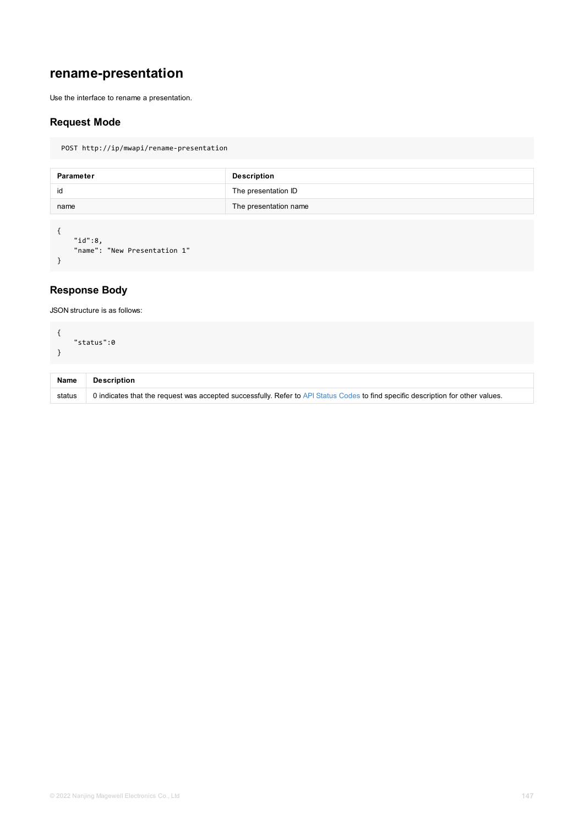# **Response Body**

```
{
    "status":0
}
```

| <b>Name</b> | <b>Description</b>                                                                                      |
|-------------|---------------------------------------------------------------------------------------------------------|
| status      | 0 indicates that the request was accepted successfully. Refer to API Status Codes to find specific desc |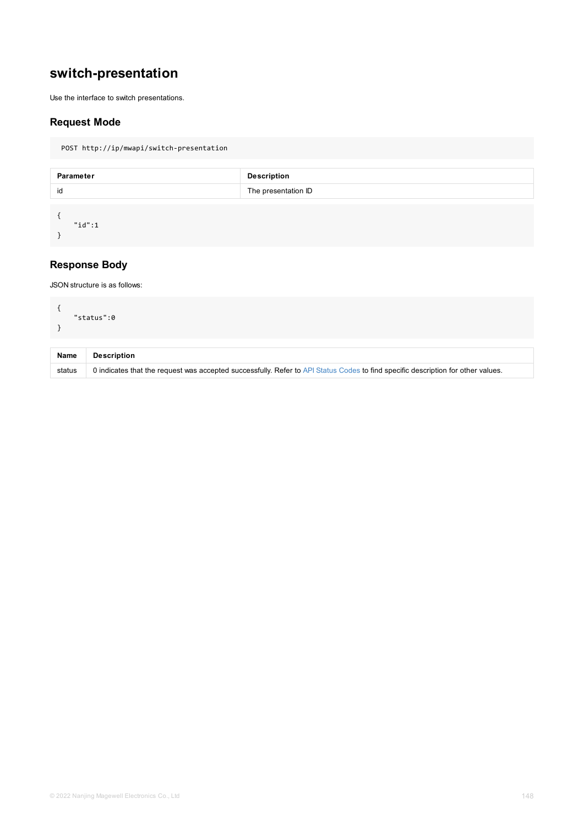```
{
    "status":0
}
```

| <b>Name</b> | <b>Description</b>                                                                                      |
|-------------|---------------------------------------------------------------------------------------------------------|
| status      | 0 indicates that the request was accepted successfully. Refer to API Status Codes to find specific desc |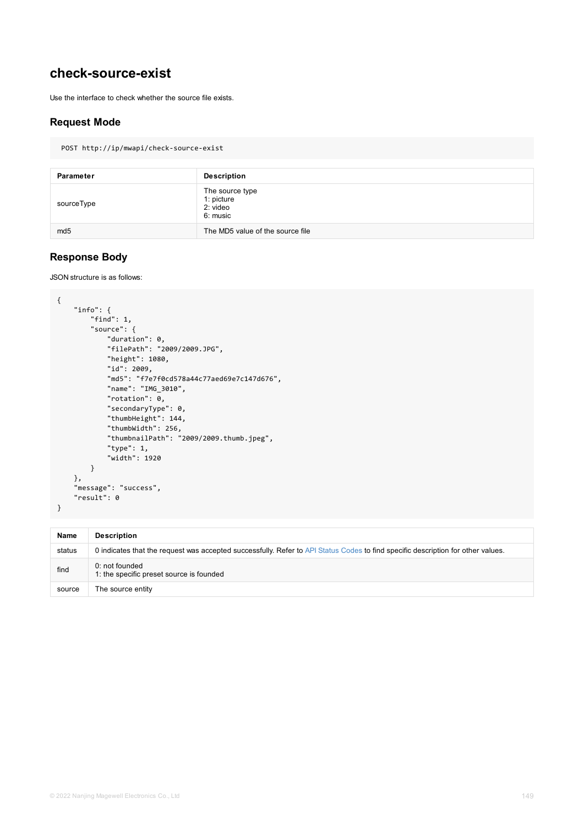```
{
    "info": {
        "find": 1,
        "source": {
            "duration": 0,
            "filePath": "2009/2009.JPG",
            "height": 1080,
            "id": 2009,
            "md5": "f7e7f0cd578a44c77aed69e7c147d676",
            "name": "IMG_3010",
            "rotation": 0,
            "secondaryType": 0,
            "thumbHeight": 144,
            "thumbWidth": 256,
            "thumbnailPath": "2009/2009.thumb.jpeg",
            "type": 1,
            "width": 1920
        }
    },
    "message": "success",
    "result": 0
}
```

| <b>Name</b> | <b>Description</b>                                                                                     |
|-------------|--------------------------------------------------------------------------------------------------------|
| status      | 0 indicates that the request was accepted successfully. Refer to API Status Codes to find specific des |
| find        | 0: not founded<br>1: the specific preset source is founded                                             |
| source      | The source entity                                                                                      |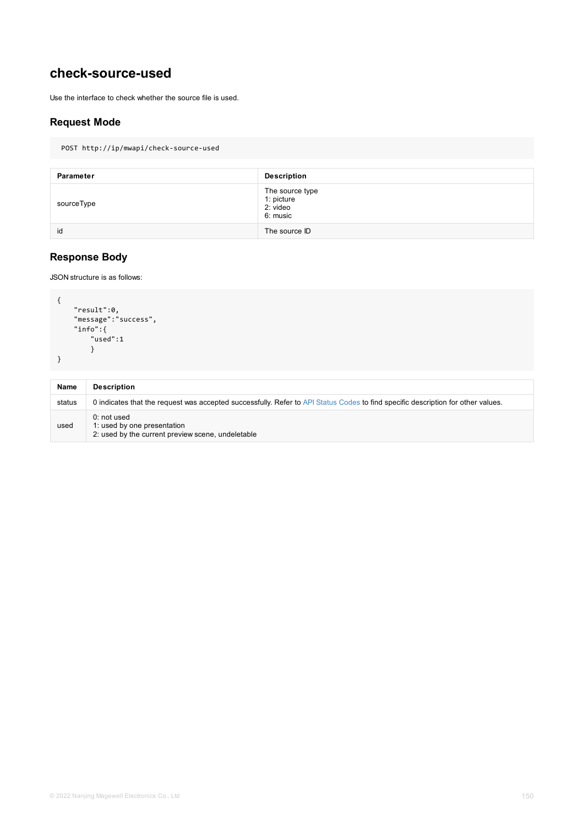```
{
    "result":0,
   "message":"success",
    "info":{
       "used":1
       }
}
```

| <b>Name</b> | <b>Description</b>                                                                                      |
|-------------|---------------------------------------------------------------------------------------------------------|
| status      | 0 indicates that the request was accepted successfully. Refer to API Status Codes to find specific desc |
| used        | 0: not used<br>1: used by one presentation<br>2: used by the current preview scene, undeletable         |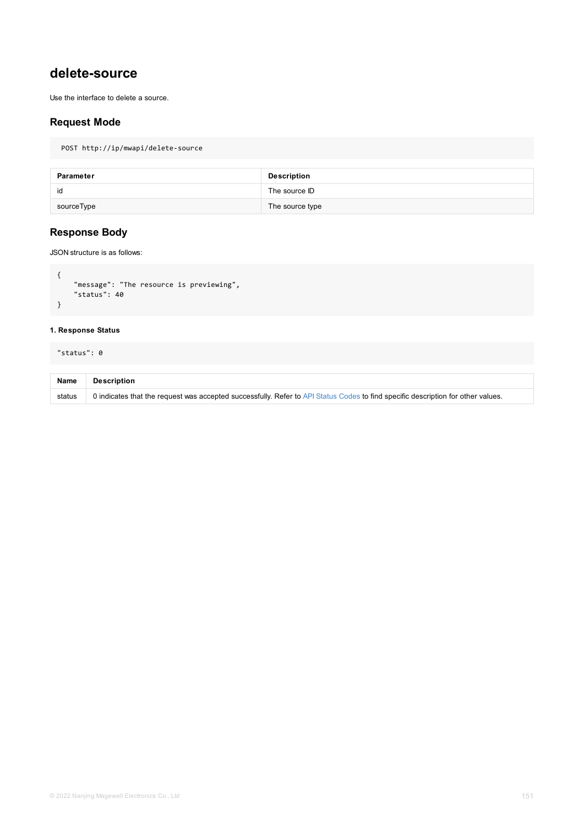```
\mathbf{r}"message": "The resource is previewing",
    "status": 40
}
```
### **1. Response Status**

| <b>Name</b> | <b>Description</b>                                                                                      |
|-------------|---------------------------------------------------------------------------------------------------------|
| status      | 0 indicates that the request was accepted successfully. Refer to API Status Codes to find specific desc |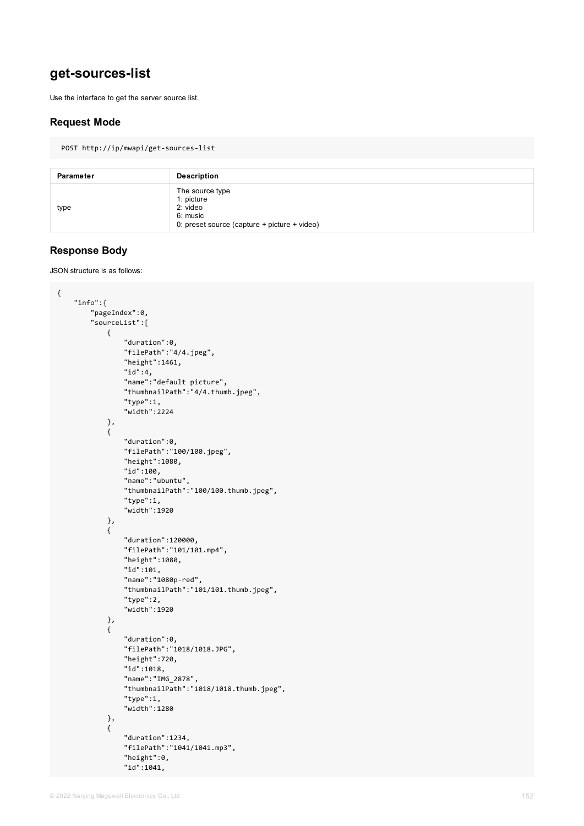# **get-sources-list**

Use the interface to get the server source list.

### **Request Mode**

POST http://ip/mwapi/get-sources-list

| Parameter | <b>Description</b>                                                                                    |
|-----------|-------------------------------------------------------------------------------------------------------|
| type      | The source type<br>1: picture<br>2: video<br>6: music<br>0: preset source (capture + picture + video) |

## **Response Body**

J S O N s t r u c t u r e is a s f ollo ws:

{

```
{
    "duration":0,
    "filePath":"1018/1018.JPG",
    "height":720,
    "id":1018,
    "name":"IMG_2878",
    "thumbnailPath":"1018/1018.thumb.jpeg",
    "type":1,
    "width":1280
}
,
{
    "duration":1234,
    "filePath":"1041/1041.mp3",
    "height":0,
    "id":1041,
```

```
"info":{ "pageIndex":0
,
    "sourceList":[
        {
            "duration":0,
            "filePath":"4/4.jpeg",
            "height":1461,
            "id":4,
            "name":"default picture",
            "thumbnailPath":"4/4.thumb.jpeg",
            "type":1,
            "width":2224
        }
,
        {
            "duration":0,
            "filePath":"100/100.jpeg",
            "height":1080,
            "id":100,
            "name":"ubuntu",
            "thumbnailPath":"100/100.thumb.jpeg",
            "type":1,
            "width":1920
        }
,
        {
            "duration":120000,
            "filePath":"101/101.mp4",
            "height":1080,
            "id":101,
            "name":"1080p-red",
            "thumbnailPath":"101/101.thumb.jpeg",
            "type":2,
            "width":1920
        }
,
```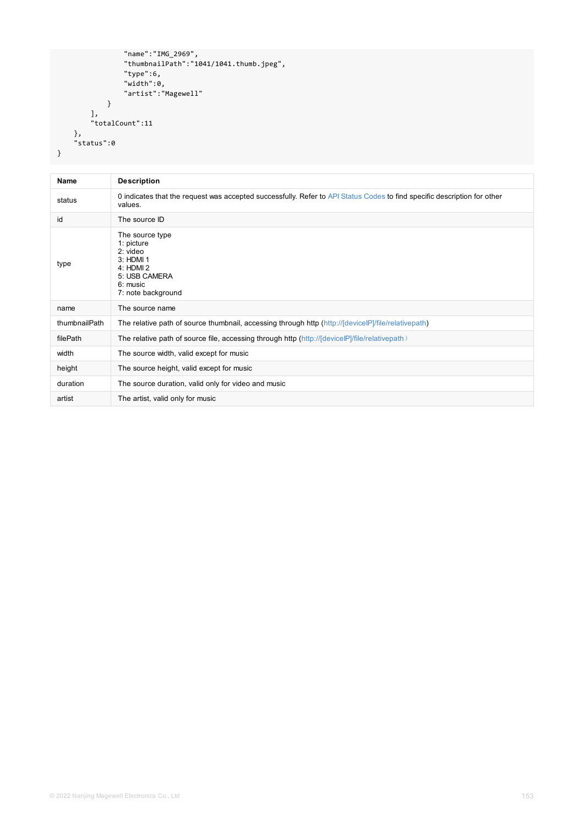|               | <del>J. UJU UAMLIVA</del><br>6: music<br>7: note background                                        |
|---------------|----------------------------------------------------------------------------------------------------|
| name          | The source name                                                                                    |
| thumbnailPath | The relative path of source thumbnail, accessing through http (http://[devicelP]/file/relativepath |
| filePath      | The relative path of source file, accessing through http (http://[devicelP]/file/relativepath)     |
| width         | The source width, valid except for music                                                           |
| height        | The source height, valid except for music                                                          |
| duration      | The source duration, valid only for video and music                                                |
| artist        | The artist, valid only for music                                                                   |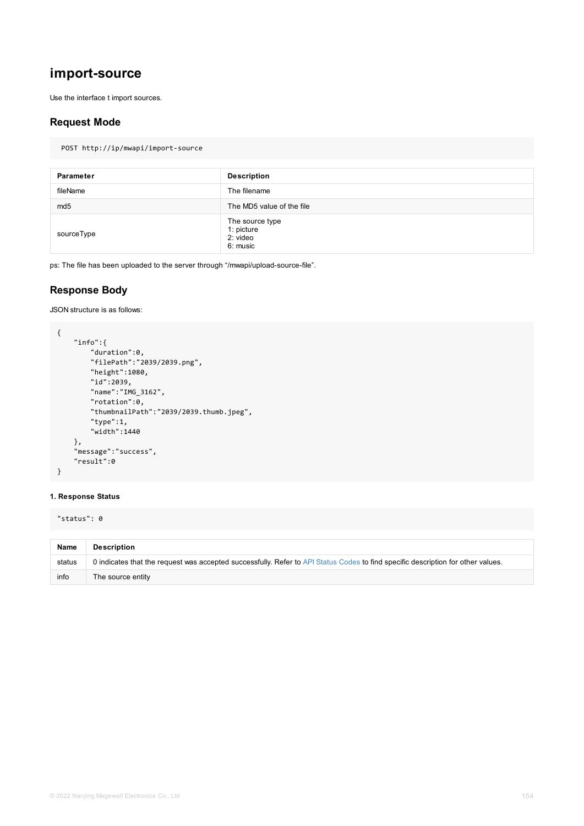## **Response Body**

JSON structure is as follows:

```
{
    "info":{
        "duration":0,
        "filePath":"2039/2039.png",
        "height":1080,
        "id":2039,
        "name":"IMG_3162",
        "rotation":0,
        "thumbnailPath":"2039/2039.thumb.jpeg",
        "type":1,
        "width":1440
    },
    "message":"success",
    "result":0
}
```
### **1. Response Status**

| <b>Name</b> | <b>Description</b>                                                                                      |
|-------------|---------------------------------------------------------------------------------------------------------|
| status      | 0 indicates that the request was accepted successfully. Refer to API Status Codes to find specific desc |
| info        | The source entity                                                                                       |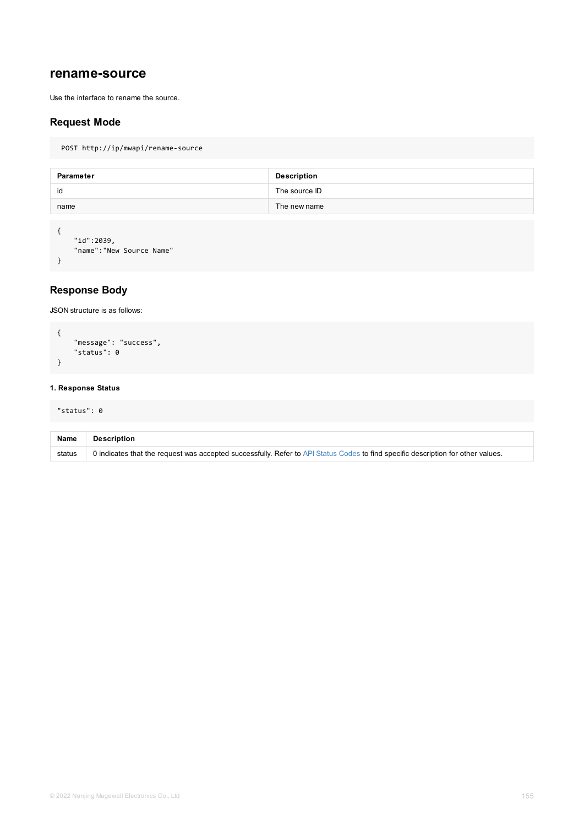## **Response Body**

JSON structure is as follows:

```
{
    "message": "success",
    "status": 0
}
```
### **1. Response Status**

| <b>Name</b> | <b>Description</b>                                                                                      |
|-------------|---------------------------------------------------------------------------------------------------------|
| status      | 0 indicates that the request was accepted successfully. Refer to API Status Codes to find specific desc |